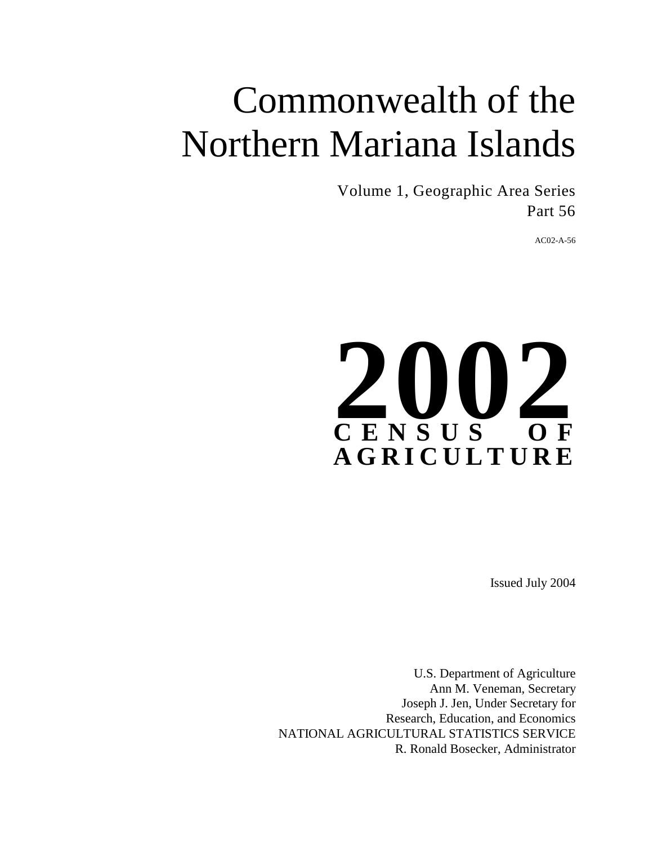# Commonwealth of the Northern Mariana Islands

Volume 1, Geographic Area Series Part 56

AC02-A-56



Issued July 2004

U.S. Department of Agriculture Ann M. Veneman, Secretary Joseph J. Jen, Under Secretary for Research, Education, and Economics NATIONAL AGRICULTURAL STATISTICS SERVICE R. Ronald Bosecker, Administrator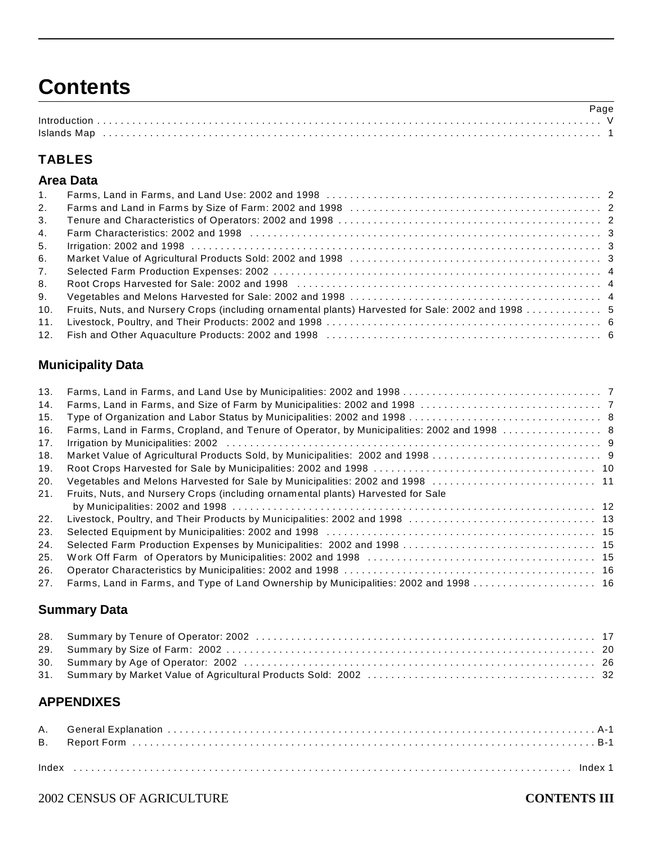# **Contents**

| Introduction |  |
|--------------|--|
| Islands Map  |  |

### **TABLES**

### **Area Data**

| 1 <sub>1</sub> |                                                                                                                                                                                                                                |  |
|----------------|--------------------------------------------------------------------------------------------------------------------------------------------------------------------------------------------------------------------------------|--|
| 2.             |                                                                                                                                                                                                                                |  |
| 3.             |                                                                                                                                                                                                                                |  |
| 4.             |                                                                                                                                                                                                                                |  |
| 5 <sub>1</sub> |                                                                                                                                                                                                                                |  |
| 6.             |                                                                                                                                                                                                                                |  |
| 7 <sub>1</sub> |                                                                                                                                                                                                                                |  |
| 8.             | Root Crops Harvested for Sale: 2002 and 1998 (and contained according contained a set of 4 and 7 4 and 7 and 7 and 7 and 7 and 7 and 7 and 7 and 7 and 7 and 7 and 7 and 7 and 7 and 7 and 7 and 7 and 7 and 7 and 7 and 7 and |  |
| 9.             |                                                                                                                                                                                                                                |  |
| 10.            | Fruits, Nuts, and Nursery Crops (including ornamental plants) Harvested for Sale: 2002 and 1998 5                                                                                                                              |  |
| 11.            |                                                                                                                                                                                                                                |  |
|                |                                                                                                                                                                                                                                |  |

### **Municipality Data**

| 13. |                                                                                  |  |
|-----|----------------------------------------------------------------------------------|--|
| 14. |                                                                                  |  |
| 15. |                                                                                  |  |
| 16. |                                                                                  |  |
| 17. |                                                                                  |  |
| 18. |                                                                                  |  |
| 19. |                                                                                  |  |
| 20. |                                                                                  |  |
| 21. | Fruits, Nuts, and Nursery Crops (including ornamental plants) Harvested for Sale |  |
|     |                                                                                  |  |
| 22. |                                                                                  |  |
| 23. |                                                                                  |  |
| 24. |                                                                                  |  |
| 25. |                                                                                  |  |
| 26. |                                                                                  |  |
| 27. |                                                                                  |  |

### **Summary Data**

### **APPENDIXES**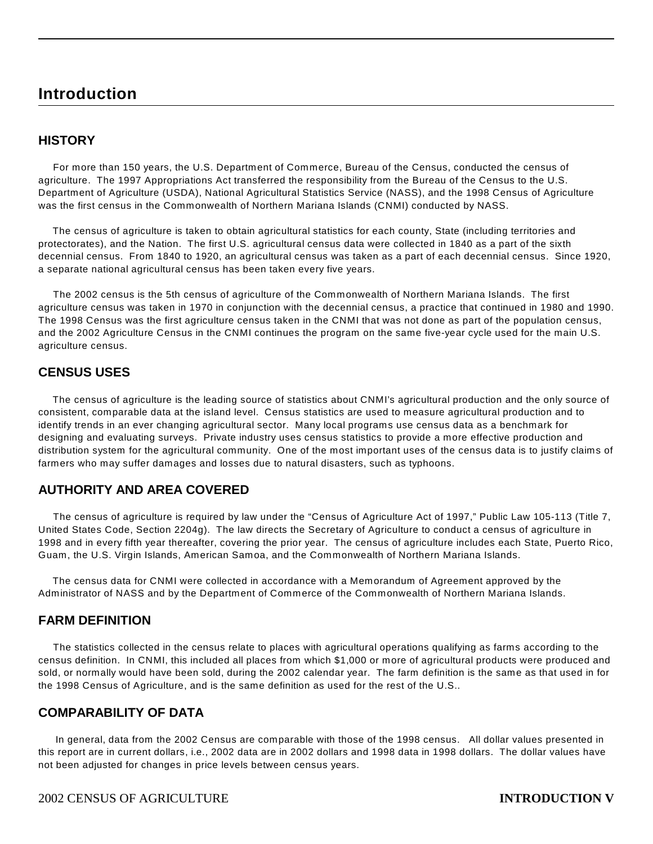### **Introduction**

### **HISTORY**

 For more than 150 years, the U.S. Department of Commerce, Bureau of the Census, conducted the census of agriculture. The 1997 Appropriations Act transferred the responsibility from the Bureau of the Census to the U.S. Department of Agriculture (USDA), National Agricultural Statistics Service (NASS), and the 1998 Census of Agriculture was the first census in the Commonwealth of Northern Mariana Islands (CNMI) conducted by NASS.

The census of agriculture is taken to obtain agricultural statistics for each county, State (including territories and protectorates), and the Nation. The first U.S. agricultural census data were collected in 1840 as a part of the sixth decennial census. From 1840 to 1920, an agricultural census was taken as a part of each decennial census. Since 1920, a separate national agricultural census has been taken every five years.

 The 2002 census is the 5th census of agriculture of the Commonwealth of Northern Mariana Islands. The first agriculture census was taken in 1970 in conjunction with the decennial census, a practice that continued in 1980 and 1990. The 1998 Census was the first agriculture census taken in the CNMI that was not done as part of the population census, and the 2002 Agriculture Census in the CNMI continues the program on the same five-year cycle used for the main U.S. agriculture census.

### **CENSUS USES**

The census of agriculture is the leading source of statistics about CNMI's agricultural production and the only source of consistent, comparable data at the island level. Census statistics are used to measure agricultural production and to identify trends in an ever changing agricultural sector. Many local programs use census data as a benchmark for designing and evaluating surveys. Private industry uses census statistics to provide a more effective production and distribution system for the agricultural community. One of the most important uses of the census data is to justify claims of farmers who may suffer damages and losses due to natural disasters, such as typhoons.

### **AUTHORITY AND AREA COVERED**

 The census of agriculture is required by law under the "Census of Agriculture Act of 1997," Public Law 105-113 (Title 7, United States Code, Section 2204g). The law directs the Secretary of Agriculture to conduct a census of agriculture in 1998 and in every fifth year thereafter, covering the prior year. The census of agriculture includes each State, Puerto Rico, Guam, the U.S. Virgin Islands, American Samoa, and the Commonwealth of Northern Mariana Islands.

The census data for CNMI were collected in accordance with a Memorandum of Agreement approved by the Administrator of NASS and by the Department of Commerce of the Commonwealth of Northern Mariana Islands.

### **FARM DEFINITION**

 The statistics collected in the census relate to places with agricultural operations qualifying as farms according to the census definition. In CNMI, this included all places from which \$1,000 or more of agricultural products were produced and sold, or normally would have been sold, during the 2002 calendar year. The farm definition is the same as that used in for the 1998 Census of Agriculture, and is the same definition as used for the rest of the U.S..

### **COMPARABILITY OF DATA**

 In general, data from the 2002 Census are comparable with those of the 1998 census. All dollar values presented in this report are in current dollars, i.e., 2002 data are in 2002 dollars and 1998 data in 1998 dollars. The dollar values have not been adjusted for changes in price levels between census years.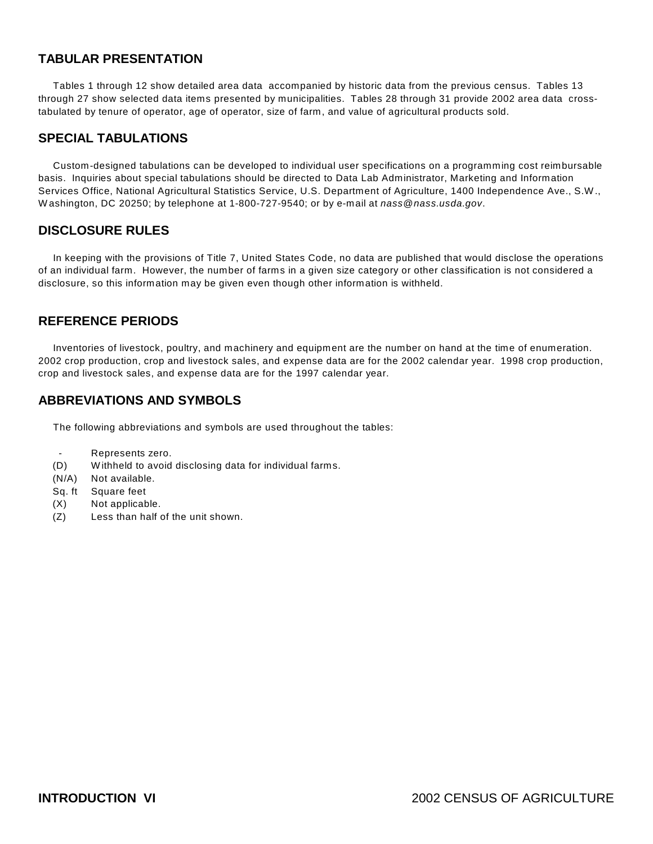### **TABULAR PRESENTATION**

 Tables 1 through 12 show detailed area data accompanied by historic data from the previous census. Tables 13 through 27 show selected data items presented by municipalities. Tables 28 through 31 provide 2002 area data crosstabulated by tenure of operator, age of operator, size of farm, and value of agricultural products sold.

### **SPECIAL TABULATIONS**

 Custom-designed tabulations can be developed to individual user specifications on a programming cost reimbursable basis. Inquiries about special tabulations should be directed to Data Lab Administrator, Marketing and Information Services Office, National Agricultural Statistics Service, U.S. Department of Agriculture, 1400 Independence Ave., S.W ., W ashington, DC 20250; by telephone at 1-800-727-9540; or by e-mail at *nass@nass.usda.gov*.

### **DISCLOSURE RULES**

 In keeping with the provisions of Title 7, United States Code, no data are published that would disclose the operations of an individual farm. However, the number of farms in a given size category or other classification is not considered a disclosure, so this information may be given even though other information is withheld.

### **REFERENCE PERIODS**

 Inventories of livestock, poultry, and machinery and equipment are the number on hand at the time of enumeration. 2002 crop production, crop and livestock sales, and expense data are for the 2002 calendar year. 1998 crop production, crop and livestock sales, and expense data are for the 1997 calendar year.

### **ABBREVIATIONS AND SYMBOLS**

The following abbreviations and symbols are used throughout the tables:

- Represents zero.
- (D) W ithheld to avoid disclosing data for individual farms.
- (N/A) Not available.
- Sq. ft Square feet
- (X) Not applicable.
- (Z) Less than half of the unit shown.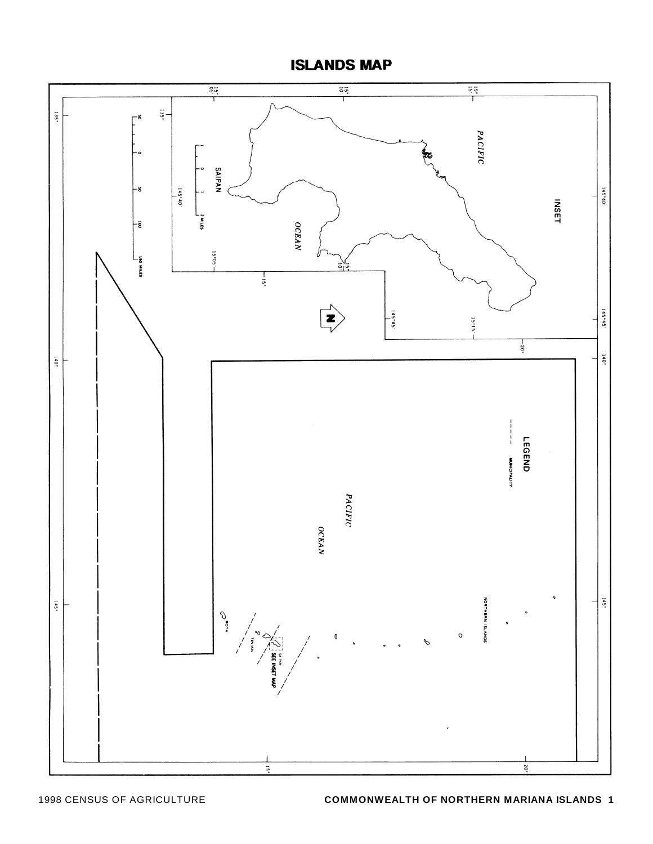**ISLANDS MAP** 

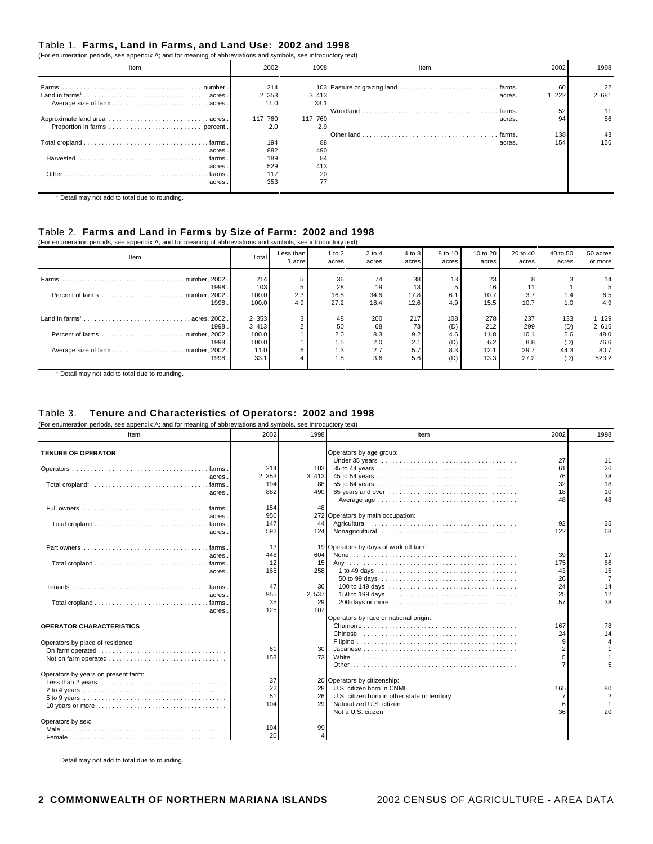#### Table 1. **Farms, Land in Farms, and Land Use: 2002 and 1998**

| (For enumeration periods, see appendix A; and for meaning of abbreviations and symbols, see introductory text) |                          |                        |                                                             |                 |                   |
|----------------------------------------------------------------------------------------------------------------|--------------------------|------------------------|-------------------------------------------------------------|-----------------|-------------------|
| Item                                                                                                           | 2002                     | 1998                   | Item                                                        | 2002            | 1998              |
|                                                                                                                | 214<br>2 3 5 3<br>11.0   | 3 4 1 3<br>33.1        | 103 Pasture or grazing land<br>. farms.<br>acres.<br>farms. | 60<br>222<br>52 | 22<br>2 681<br>11 |
| Approximate land area  acres                                                                                   | 117 760<br>2.0           | 117 760<br>2.9         | acres.<br>farms.                                            | 94<br>138       | 86<br>43          |
| acres<br>Harvested<br>. farms<br>acres                                                                         | 194<br>882<br>189<br>529 | 88<br>490<br>84<br>413 | acres.                                                      | 154             | 156               |
| Other<br>. farms<br>acres                                                                                      | 117<br>353               | 20                     |                                                             |                 |                   |

<sup>1</sup> Detail may not add to total due to rounding.

# Table 2. **Farms and Land in Farms by Size of Farm: 2002 and 1998**<br>(For enumeration periods, see appendix A: and for meaning of abbreviations and symbols, see introductory text)

| Total |                                                                                        |                               | acres                   | acres                                                                                                                                                                                                                |                                                       | 10 to 20<br>acres                                      | acres                                 | 40 to 50<br>acres                       | 50 acres<br>or more                               |
|-------|----------------------------------------------------------------------------------------|-------------------------------|-------------------------|----------------------------------------------------------------------------------------------------------------------------------------------------------------------------------------------------------------------|-------------------------------------------------------|--------------------------------------------------------|---------------------------------------|-----------------------------------------|---------------------------------------------------|
|       | 5.<br>2.3<br>4.9                                                                       |                               | 74<br>19                | 38                                                                                                                                                                                                                   | 6.1<br>4.9                                            | 23<br>16<br>10.7<br>15.5                               | 8<br>3.7<br>10.7                      | 1.4<br>1.0                              | 14<br>6.5<br>4.9                                  |
| 33.1  | 3<br>.6<br>.4                                                                          | 50<br>2.0                     | 68<br>8.3<br>2.0<br>2.7 | 9.2<br>2.1<br>5.7<br>5.6                                                                                                                                                                                             | 108<br>(D)<br>4.6<br>(D)<br>8.3<br>(D)                | 278<br>212<br>11.8<br>6.2<br>12.1<br>13.3              | 237<br>299<br>10.1<br>8.8<br>29.7     | 133<br>(D)<br>5.6<br>(D)<br>44.3<br>(D) | 1 1 2 9<br>2 616<br>48.0<br>76.6<br>80.7<br>523.2 |
|       | 1998.<br>100.0<br>1998<br>100.0<br>2 3 5 3<br>1998.<br>100.0<br>1998.<br>100.0<br>1998 | 214<br>103<br>3 4 1 3<br>11.0 | Less than<br>acre       | (For enumeration periods, see appendix A; and for meaning of abbreviations and symbols, see introductory text)<br>1 to $2$<br>acres<br>36<br>28<br>16.8<br>27.2<br>48<br>1.5 <sup>1</sup><br>1.3<br>1.8 <sub>1</sub> | $2$ to $4$<br>34.6<br>18.4<br>200<br>3.6 <sub>1</sub> | 4 to 8<br>13 <sub>1</sub><br>17.8<br>12.6<br>217<br>73 | 8 to 10<br>acres I<br>13 <sub>1</sub> |                                         | 20 to 40<br>27.2                                  |

<sup>1</sup> Detail may not add to total due to rounding.

#### Table 3. **Tenure and Characteristics of Operators: 2002 and 1998**

(For enumeration periods, see appendix A; and for meaning of abbreviations and symbols, see introductory text)

| Item                                                                                           | 2002    | 1998    | Item                                                                                         | 2002 | 1998 |
|------------------------------------------------------------------------------------------------|---------|---------|----------------------------------------------------------------------------------------------|------|------|
| <b>TENURE OF OPERATOR</b>                                                                      |         |         | Operators by age group:                                                                      |      |      |
|                                                                                                |         |         |                                                                                              | 27   | 11   |
|                                                                                                | 214     | 103     |                                                                                              | 61   | 26   |
| . farms.                                                                                       | 2 3 5 3 | 3 4 1 3 |                                                                                              | 76   | 38   |
| acres.                                                                                         | 194     | 88      |                                                                                              | 32   | 18   |
| Total cropland <sup>1</sup><br>. farms.                                                        |         |         |                                                                                              |      |      |
| acres.                                                                                         | 882     | 490     | $65$ years and over $\dots\dots\dots\dots\dots\dots\dots\dots\dots\dots\dots\dots\dots\dots$ | 18   | 10   |
|                                                                                                |         |         |                                                                                              | 48   | 48   |
| . farms.                                                                                       | 154     | 48      |                                                                                              |      |      |
| acres.                                                                                         | 950     |         | 272 Operators by main occupation:                                                            |      |      |
| . farms.                                                                                       | 147     | 44      |                                                                                              | 92   | 35   |
| acres.                                                                                         | 592     | 124     |                                                                                              | 122  | 68   |
| . farms.                                                                                       | 13      |         | 19 Operators by days of work off farm:                                                       |      |      |
| acres.                                                                                         | 448     | 604     |                                                                                              | 39   | 17   |
| . farms.                                                                                       | 12      | 15      |                                                                                              | 175  | 86   |
| acres.                                                                                         | 166     | 258     |                                                                                              | 43   | 15   |
|                                                                                                |         |         |                                                                                              | 26   |      |
| . farms.                                                                                       | 47      | 36      |                                                                                              | 24   | 14   |
| acres.                                                                                         | 955     | 2 5 3 7 |                                                                                              | 25   | 12   |
|                                                                                                | 35      | 29      |                                                                                              | 57   | 38   |
| acres.                                                                                         | 125     | 107     |                                                                                              |      |      |
|                                                                                                |         |         | Operators by race or national origin:                                                        |      |      |
| <b>OPERATOR CHARACTERISTICS</b>                                                                |         |         |                                                                                              | 167  | 78   |
|                                                                                                |         |         |                                                                                              | 24   | 14   |
| Operators by place of residence:                                                               |         |         |                                                                                              |      |      |
|                                                                                                | 61      | 30      |                                                                                              |      |      |
|                                                                                                | 153     | 73      |                                                                                              |      |      |
|                                                                                                |         |         |                                                                                              |      |      |
| Operators by years on present farm:                                                            |         |         |                                                                                              |      |      |
|                                                                                                | 37      |         | 20 Operators by citizenship:                                                                 |      |      |
|                                                                                                | 22      | 28      | U.S. citizen born in CNMI                                                                    | 165  | 80   |
|                                                                                                | 51      | 26      | U.S. citizen born in other state or territory                                                |      |      |
|                                                                                                | 104     | 29      | Naturalized U.S. citizen                                                                     |      |      |
| 10 years or more $\dots\dots\dots\dots\dots\dots\dots\dots\dots\dots\dots\dots\dots\dots\dots$ |         |         | Not a U.S. citizen                                                                           | 36   | 20   |
| Operators by sex:                                                                              |         |         |                                                                                              |      |      |
|                                                                                                | 194     | 99      |                                                                                              |      |      |
|                                                                                                | 20      |         |                                                                                              |      |      |

 $1$  Detail may not add to total due to rounding.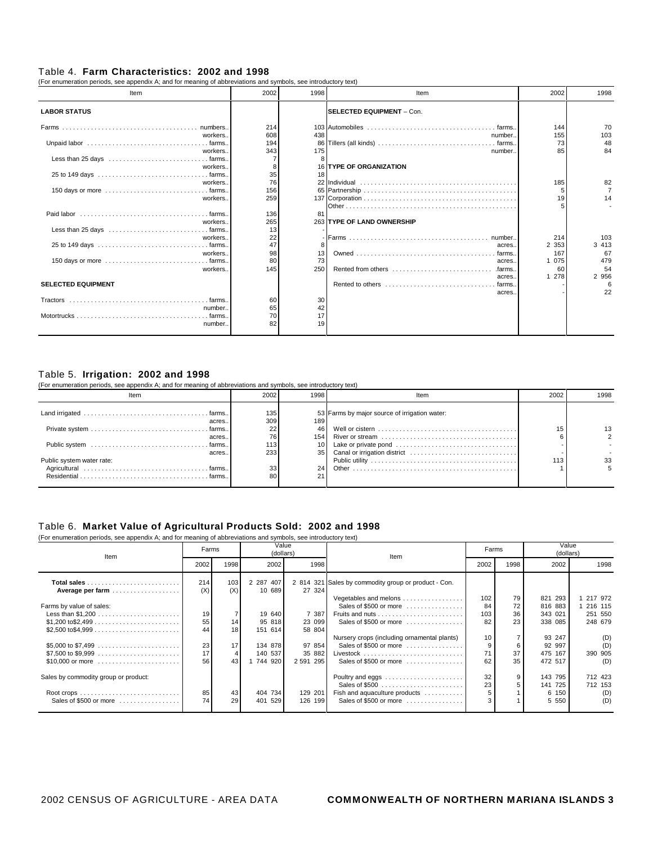#### Table 4. **Farm Characteristics: 2002 and 1998**

(For enumeration periods, see appendix A; and for meaning of abbreviations and symbols, see introductory text)

| Item                                                                              | 2002 | 1998 | Item                                                                                              | 2002    | 1998    |
|-----------------------------------------------------------------------------------|------|------|---------------------------------------------------------------------------------------------------|---------|---------|
| <b>LABOR STATUS</b>                                                               |      |      | <b>SELECTED EQUIPMENT - Con.</b>                                                                  |         |         |
|                                                                                   | 214  |      |                                                                                                   | 144     | 70      |
| workers.                                                                          | 608  | 438  | number.                                                                                           | 155     | 103     |
|                                                                                   | 194  | 86   |                                                                                                   | 73      | 48      |
| workers.                                                                          | 343  | 175  | number.                                                                                           | 85      | 84      |
|                                                                                   |      |      |                                                                                                   |         |         |
| workers.                                                                          |      |      | <b>16 TYPE OF ORGANIZATION</b>                                                                    |         |         |
|                                                                                   | 35   | 18   |                                                                                                   |         |         |
| workers.                                                                          | 76   |      |                                                                                                   | 185     | 82      |
|                                                                                   | 156  |      |                                                                                                   | 5       |         |
| workers.                                                                          | 259  |      |                                                                                                   | 19      | 14      |
|                                                                                   |      |      |                                                                                                   |         |         |
|                                                                                   | 136  | 81   |                                                                                                   |         |         |
| workers.                                                                          | 265  |      | 263 TYPE OF LAND OWNERSHIP                                                                        |         |         |
|                                                                                   | 13   |      |                                                                                                   |         |         |
| workers.                                                                          | 22   |      |                                                                                                   | 214     | 103     |
|                                                                                   | 47   | 8    | acres.                                                                                            | 2 3 5 3 | 3 4 1 3 |
| workers.                                                                          | 98   | 13   | farms.                                                                                            | 167     | 67      |
| 150 days or more $\ldots \ldots \ldots \ldots \ldots \ldots \ldots \ldots$ farms. | 80   | 73   | acres.                                                                                            | 1 0 7 5 | 479     |
| workers.                                                                          | 145  | 250  | Rented from others<br>farms.                                                                      | 60      | 54      |
|                                                                                   |      |      | acres.                                                                                            | 1 278   | 2 956   |
| <b>SELECTED EQUIPMENT</b>                                                         |      |      | Rented to others enterprise the contract of the Rented to others and contract the Rente<br>farms. |         |         |
|                                                                                   |      |      | acres.                                                                                            |         | 22      |
|                                                                                   | 60   | 30   |                                                                                                   |         |         |
| number.                                                                           | 65   | 42   |                                                                                                   |         |         |
|                                                                                   | 70   | 17   |                                                                                                   |         |         |
| number                                                                            | 82   | 19   |                                                                                                   |         |         |
|                                                                                   |      |      |                                                                                                   |         |         |

#### Table 5. **Irrigation: 2002 and 1998**

(For enumeration periods, see appendix A; and for meaning of abbreviations and symbols, see introductory text)

| Item                      | 2002 | 1998<br>Item    |                                               | 2002 | 1998 |
|---------------------------|------|-----------------|-----------------------------------------------|------|------|
|                           | 135  |                 | 53 Farms by major source of irrigation water: |      |      |
| acres                     | 309  | 189             |                                               |      |      |
|                           | 22   | 46 I            |                                               | 15   | 13   |
| acres                     | 76   |                 |                                               |      |      |
| Public system farms       | 113  | 10 <sub>1</sub> |                                               |      |      |
| acres                     | 233  | 35 <sup>1</sup> |                                               |      |      |
| Public system water rate: |      |                 |                                               | 113  | 33   |
|                           | 33   | 24              |                                               |      |      |
|                           | 80   | 21              |                                               |      |      |
|                           |      |                 |                                               |      |      |

#### Table 6. **Market Value of Agricultural Products Sold: 2002 and 1998**

(For enumeration periods, see appendix A; and for meaning of abbreviations and symbols, see introductory text)

| Item                                                                                                                               | Farms                                          |                                    | (dollars)                                                                           | Value                                                                    | Item                                                                                                                                                                                                                                                             | Farms                                         |                                  | Value<br>(dollars)                                                                 |                                                                          |
|------------------------------------------------------------------------------------------------------------------------------------|------------------------------------------------|------------------------------------|-------------------------------------------------------------------------------------|--------------------------------------------------------------------------|------------------------------------------------------------------------------------------------------------------------------------------------------------------------------------------------------------------------------------------------------------------|-----------------------------------------------|----------------------------------|------------------------------------------------------------------------------------|--------------------------------------------------------------------------|
|                                                                                                                                    | 2002                                           | 1998                               | 2002                                                                                | 1998                                                                     |                                                                                                                                                                                                                                                                  | 2002                                          | 1998                             | 2002                                                                               | 1998                                                                     |
| Average per farm<br>Farms by value of sales:<br>Less than $$1,200$<br>\$10,000 or more $\ldots \ldots \ldots \ldots \ldots \ldots$ | 214<br>(X)<br>19<br>55<br>44<br>23<br>17<br>56 | 103<br>(X)<br>14<br>18<br>17<br>43 | 2 287 407<br>10 689<br>19 640<br>95 818<br>151 614<br>134 878<br>140 537<br>744 920 | 27 324<br>7 387<br>23 099<br>58 804<br>97 854<br>35 882<br>2 5 9 1 2 9 5 | 2 814 321 Sales by commodity group or product - Con.<br>Vegetables and melons<br>Sales of \$500 or more<br>Sales of \$500 or more $\dots\dots\dots\dots\dots$<br>Nursery crops (including ornamental plants)<br>Sales of \$500 or more<br>Sales of \$500 or more | 102<br>84<br>103<br>82<br>10<br>9<br>71<br>62 | 79<br>72<br>36<br>23<br>37<br>35 | 821 293<br>816 883<br>343 021<br>338 085<br>93 247<br>92 997<br>475 167<br>472 517 | 217 972<br>216 115<br>251 550<br>248 679<br>(D)<br>(D)<br>390 905<br>(D) |
| Sales by commodity group or product:<br>Sales of \$500 or more                                                                     | 85<br>74                                       | 43<br>29                           | 404 734<br>401 529                                                                  | 129 201<br>126 199                                                       | Sales of \$500<br>Fish and aquaculture products<br>Sales of \$500 or more $\ldots$ , , ,                                                                                                                                                                         | 32<br>23<br>5                                 | 9                                | 143 795<br>141 725<br>6 150<br>5 550                                               | 712 423<br>712 153<br>(D)<br>(D)                                         |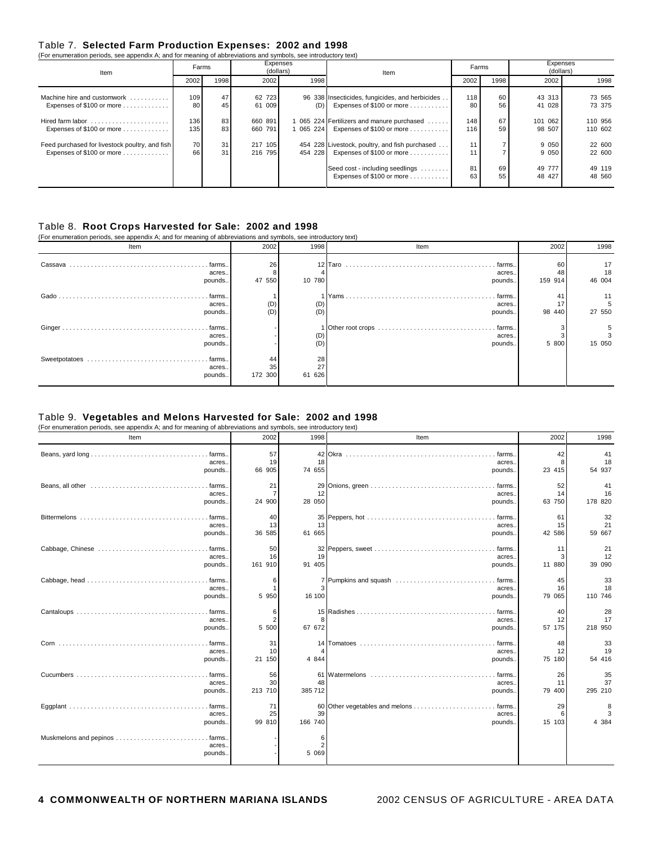#### Table 7. **Selected Farm Production Expenses: 2002 and 1998**

| (For enumeration periods, see appendix A; and for meaning of abbreviations and symbols, see introductory text) |             |          |                       |           |                                                                               |            |          |                       |                    |
|----------------------------------------------------------------------------------------------------------------|-------------|----------|-----------------------|-----------|-------------------------------------------------------------------------------|------------|----------|-----------------------|--------------------|
| Item                                                                                                           | Farms       |          | Expenses<br>(dollars) |           | Item                                                                          | Farms      |          | Expenses<br>(dollars) |                    |
|                                                                                                                | 2002        | 1998     | 2002                  | 1998      |                                                                               | 2002       | 1998     | 2002                  | 1998               |
| Machine hire and customwork<br>Expenses of \$100 or more                                                       | 109<br>80   | 47<br>45 | 62 723<br>61 009      | (D)       | 96 338 Insecticides, fungicides, and herbicides.<br>Expenses of \$100 or more | 118<br>80  | 60<br>56 | 43 313<br>41 028      | 73 565<br>73 375   |
| Hired farm labor<br>Expenses of \$100 or more                                                                  | 136<br>1351 | 83<br>83 | 660 891<br>660 791    | 1 065 224 | 1 065 224 Fertilizers and manure purchased<br>Expenses of \$100 or more       | 148<br>116 | 67<br>59 | 101 062<br>98 507     | 110 956<br>110 602 |
| Feed purchased for livestock poultry, and fish<br>Expenses of \$100 or more                                    | 70<br>66    | 31<br>31 | 217 105<br>216 795    | 454 228   | 454 228 Livestock, poultry, and fish purchased<br>Expenses of \$100 or more   | 11         |          | 9 0 5 0<br>9 0 5 0    | 22 600<br>22 600   |
|                                                                                                                |             |          |                       |           | Seed cost - including seedlings<br>Expenses of \$100 or more                  | 81<br>63   | 69<br>55 | 49 777<br>48 427      | 49 119<br>48 560   |

#### Table 8. **Root Crops Harvested for Sale: 2002 and 1998**

| (For enumeration periods, see appendix A; and for meaning of abbreviations and symbols, see introductory text)<br>Item | 2002                | 1998               | Item                        | 2002          | 1998               |
|------------------------------------------------------------------------------------------------------------------------|---------------------|--------------------|-----------------------------|---------------|--------------------|
| farms<br>acres<br>pounds                                                                                               | 26<br>47 550        | 10 780             | farms.<br>acres.<br>pounds. | 60<br>159 914 | 17<br>18<br>46 004 |
| Gado<br>farms<br>acres<br>pounds                                                                                       | (D)<br>(D)          | (D)<br>(D)         | farms.<br>acres.<br>pounds. | 41<br>98 440  | 11<br>5<br>27 550  |
| farms<br>acres<br>pounds                                                                                               |                     | (D)<br>(D)         | farms.<br>acres.<br>pounds. | 5 800         | з<br>15 050        |
| acres<br>pounds                                                                                                        | 44<br>35<br>172 300 | 28<br>27<br>61 626 |                             |               |                    |

#### Table 9. **Vegetables and Melons Harvested for Sale: 2002 and 1998**

(For enumeration periods, see appendix A; and for meaning of abbreviations and symbols, see introductory text)

| Item                                              | 2002                | 1998               | Item                          | 2002               | 1998                |
|---------------------------------------------------|---------------------|--------------------|-------------------------------|--------------------|---------------------|
| acres.<br>pounds.                                 | 57<br>19<br>66 905  | 42<br>18<br>74 655 | acres.<br>pounds.             | 42<br>8<br>23 415  | 41<br>18<br>54 937  |
| Beans, all other<br>. farms.<br>acres.<br>pounds. | 21<br>24 900        | 12<br>28 050       | . farms.<br>acres.<br>pounds. | 52<br>14<br>63 750 | 41<br>16<br>178 820 |
| . farms.<br>acres.<br>pounds                      | 40<br>13<br>36 585  | 13<br>61 665       | . farms.<br>acres.<br>pounds. | 61<br>15<br>42 586 | 32<br>21<br>59 667  |
| Cabbage, Chinese<br>. . farms<br>acres<br>pounds  | 50<br>16<br>161 910 | 19<br>91 405       | acres.<br>pounds.             | 11<br>3<br>11 880  | 21<br>12<br>39 090  |
| acres<br>pounds.                                  | 6<br>5 9 5 0        | 16 100             | acres.<br>pounds.             | 45<br>16<br>79 065 | 33<br>18<br>110 746 |
| . farms<br>acres<br>pounds                        | 6<br>5 500          | 67 672             | acres.<br>pounds.             | 40<br>12<br>57 175 | 28<br>17<br>218 950 |
| . . farms<br>acres.<br>pounds                     | 31<br>10<br>21 150  | 14<br>4 8 4 4      | acres.<br>pounds.             | 48<br>12<br>75 180 | 33<br>19<br>54 416  |
| . farms<br>acres.<br>pounds                       | 56<br>30<br>213 710 | 48<br>385 712      | acres.<br>pounds.             | 26<br>11<br>79 400 | 35<br>37<br>295 210 |
| . farms.<br>acres.<br>pounds                      | 71<br>25<br>99 810  | 39<br>166 740      | . farms.<br>acres.<br>pounds. | 29<br>6<br>15 103  | 8<br>3<br>4 384     |
| . farms<br>acres.<br>pounds                       |                     | 5 0 6 9            |                               |                    |                     |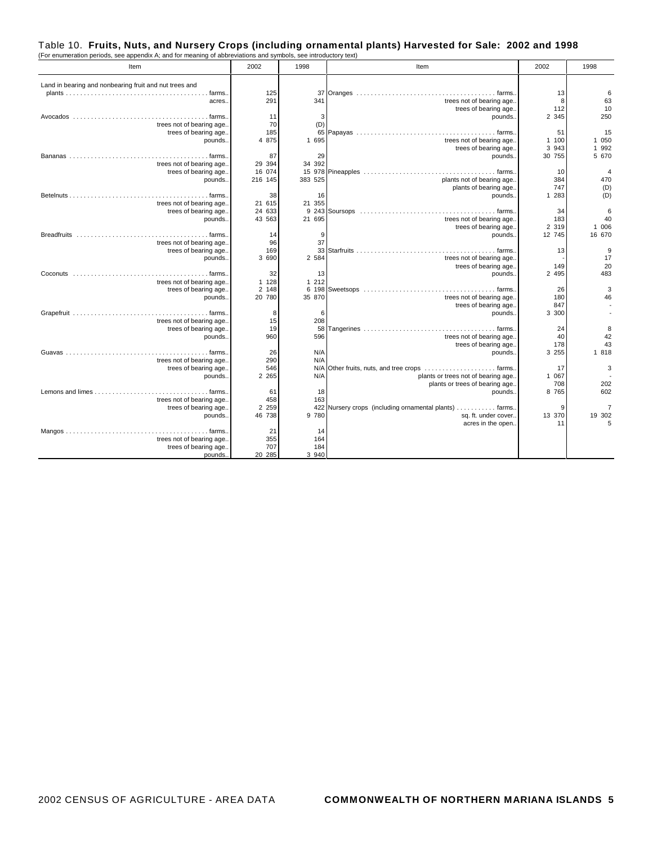# Table 10. **Fruits, Nuts, and Nursery Crops (including ornamental plants) Harvested for Sale: 2002 and 1998** (For enumeration periods, see appendix A; and for meaning of abbreviations and symbols, see introductory text)

| For enumeration periods, see appendix A, and for meaning or abbreviations and symbols, see introductory text)<br>Item | 2002     | 1998    | Item                                               | 2002    | 1998           |
|-----------------------------------------------------------------------------------------------------------------------|----------|---------|----------------------------------------------------|---------|----------------|
| Land in bearing and nonbearing fruit and nut trees and                                                                |          |         |                                                    |         |                |
|                                                                                                                       | 125      | 37      |                                                    | 13      | 6              |
| acres.                                                                                                                | 291      | 341     | trees not of bearing age.                          | 8       | 63             |
|                                                                                                                       |          |         | trees of bearing age.                              | 112     | 10             |
|                                                                                                                       | 11       | 3       | pounds.                                            | 2 3 4 5 | 250            |
| trees not of bearing age.                                                                                             | 70       | (D)     |                                                    |         |                |
| trees of bearing age.                                                                                                 | 185      |         |                                                    | 51      | 15             |
| pounds.                                                                                                               | 4 875    | 1 695   | trees not of bearing age.                          | 1 100   | 1 050          |
|                                                                                                                       |          |         | trees of bearing age.                              | 3 9 4 3 | 1 992          |
|                                                                                                                       | 87       | 29      | pounds.                                            | 30 755  | 5 670          |
| trees not of bearing age.                                                                                             | 29 394   | 34 392  |                                                    |         |                |
| trees of bearing age.                                                                                                 | 16 074   |         |                                                    | 10      | 4              |
| pounds.                                                                                                               | 216 145  | 383 525 | plants not of bearing age.                         | 384     | 470            |
|                                                                                                                       |          |         | plants of bearing age.                             | 747     | (D)            |
|                                                                                                                       | 38       | 16      | pounds.                                            | 1 283   | (D)            |
| trees not of bearing age.                                                                                             | 21 615   | 21 355  |                                                    |         |                |
| trees of bearing age.                                                                                                 | 24 633   |         |                                                    | 34      | 6              |
| pounds.                                                                                                               | 43 563   | 21 695  | trees not of bearing age.                          | 183     | 40             |
|                                                                                                                       |          |         | trees of bearing age.                              | 2 3 1 9 | 1 006          |
| trees not of bearing age.                                                                                             | 14<br>96 | 9<br>37 | pounds.                                            | 12 745  | 16 670         |
| trees of bearing age.                                                                                                 | 169      |         |                                                    | 13      | 9              |
| pounds.                                                                                                               | 3 6 9 0  | 2 584   | trees not of bearing age.                          |         | 17             |
|                                                                                                                       |          |         | trees of bearing age.                              | 149     | 20             |
|                                                                                                                       | 32       | 13      | pounds.                                            | 2 4 9 5 | 483            |
| trees not of bearing age.                                                                                             | 1 1 2 8  | 1 2 1 2 |                                                    |         |                |
| trees of bearing age.                                                                                                 | 2 148    |         |                                                    | 26      | 3              |
| pounds.                                                                                                               | 20 780   | 35 870  | trees not of bearing age.                          | 180     | 46             |
|                                                                                                                       |          |         | trees of bearing age.                              | 847     |                |
|                                                                                                                       | 8        | 6       | pounds.                                            | 3 300   |                |
| trees not of bearing age.                                                                                             | 15       | 208     |                                                    |         |                |
| trees of bearing age.                                                                                                 | 19       | 58      |                                                    | 24      | 8              |
| pounds.                                                                                                               | 960      | 596     | trees not of bearing age.                          | 40      | 42             |
|                                                                                                                       |          |         | trees of bearing age.                              | 178     | 43             |
|                                                                                                                       | 26       | N/A     | pounds.                                            | 3 2 5 5 | 1 818          |
| trees not of bearing age.                                                                                             | 290      | N/A     |                                                    |         |                |
| trees of bearing age.                                                                                                 | 546      | N/A     | Other fruits, nuts, and tree crops  farms          | 17      | 3              |
| pounds.                                                                                                               | 2 2 6 5  | N/A     | plants or trees not of bearing age.                | 1 0 6 7 |                |
|                                                                                                                       |          |         | plants or trees of bearing age.                    | 708     | 202            |
|                                                                                                                       | 61       | 18      | pounds.                                            | 8 7 6 5 | 602            |
| trees not of bearing age.                                                                                             | 458      | 163     |                                                    |         |                |
| trees of bearing age.                                                                                                 | 2 2 5 9  | 422     | Nursery crops (including ornamental plants) farms. | 9       | $\overline{7}$ |
| pounds.                                                                                                               | 46 738   | 9 780   | sq. ft. under cover.                               | 13 370  | 19 302         |
|                                                                                                                       |          |         | acres in the open.                                 | 11      | 5              |
|                                                                                                                       | 21       | 14      |                                                    |         |                |
| trees not of bearing age.                                                                                             | 355      | 164     |                                                    |         |                |
| trees of bearing age.                                                                                                 | 707      | 184     |                                                    |         |                |
| pounds.                                                                                                               | 20 285   | 3 9 4 0 |                                                    |         |                |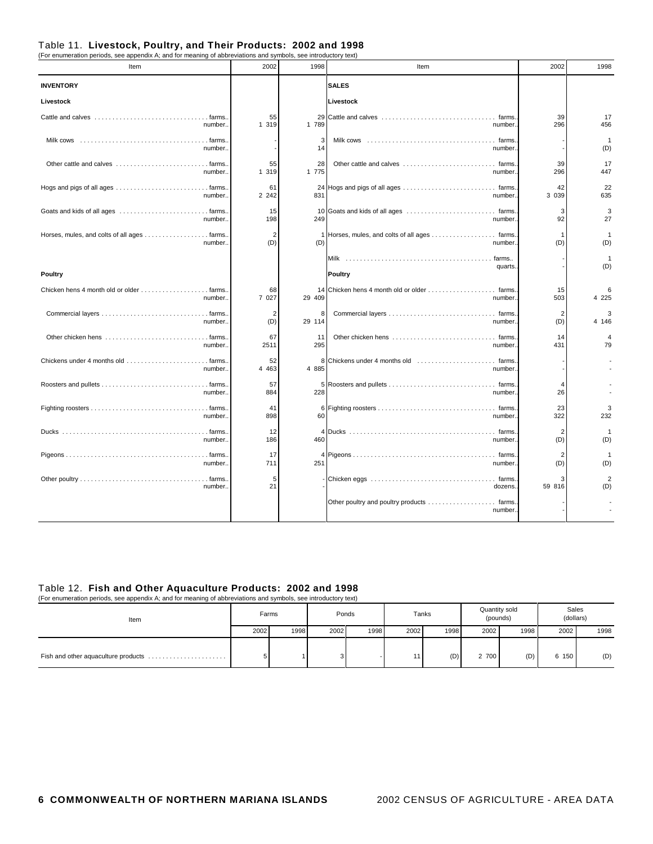# Table 11. **Livestock, Poultry, and Their Products: 2002 and 1998** (For enumeration periods, see appendix A; and for meaning of abbreviations and symbols, see introductory text)

| or origination ponoas, soc apponant h, and for modifing or approvidence and sympols, soc introductivity to a<br>Item | 2002                  | 1998        | Item                                                     | 2002          | 1998                 |
|----------------------------------------------------------------------------------------------------------------------|-----------------------|-------------|----------------------------------------------------------|---------------|----------------------|
| <b>INVENTORY</b>                                                                                                     |                       |             | <b>SALES</b>                                             |               |                      |
| Livestock                                                                                                            |                       |             | Livestock                                                |               |                      |
| number                                                                                                               | 55<br>1 319           | 29<br>1 789 | Cattle and calves<br>number.                             | 39<br>296     | 17<br>456            |
| number.                                                                                                              |                       | 3<br>14     | number                                                   |               | $\mathbf{1}$<br>(D)  |
| number.                                                                                                              | 55<br>1 319           | 28<br>1 775 | number                                                   | 39<br>296     | 17<br>447            |
| number                                                                                                               | 61<br>2 2 4 2         | 831         | number                                                   | 42<br>3 0 3 9 | 22<br>635            |
| number                                                                                                               | 15<br>198             | 249         | number                                                   | 3<br>92       | 3<br>27              |
| Horses, mules, and colts of all ages farms<br>number                                                                 | $\overline{2}$<br>(D) | (D)         | 1 Horses, mules, and colts of all ages farms.<br>number. | -1<br>(D)     | -1<br>(D)            |
|                                                                                                                      |                       |             | quarts.                                                  |               | (D)                  |
| Poultry                                                                                                              |                       |             | Poultry                                                  |               |                      |
| Chicken hens 4 month old or older farms.<br>number.                                                                  | 68<br>7 027           | 29 409      | 14 Chicken hens 4 month old or older  farms.<br>number   | 15<br>503     | 6<br>4 2 2 5         |
| number.                                                                                                              | 2<br>(D)              | 8<br>29 114 | number                                                   | 2<br>(D)      | 3<br>4 146           |
| number                                                                                                               | 67<br>2511            | 11<br>295   | number                                                   | 14<br>431     | $\overline{4}$<br>79 |
| Chickens under 4 months old  farms.<br>number.                                                                       | 52<br>4 4 6 3         | 8<br>4 885  | number                                                   |               |                      |
| number                                                                                                               | 57<br>884             | 228         | number.                                                  | 4<br>26       |                      |
| number                                                                                                               | 41<br>898             | 60          | number.                                                  | 23<br>322     | 3<br>232             |
| number                                                                                                               | 12<br>186             | 460         | number.                                                  | 2<br>(D)      | -1<br>(D)            |
| number                                                                                                               | 17<br>711             | 251         | number                                                   | (D)           | (D)                  |
| number                                                                                                               | 5<br>21               |             | dozens                                                   | ٩<br>59 816   | 2<br>(D)             |
|                                                                                                                      |                       |             | number                                                   |               |                      |

#### Table 12. **Fish and Other Aquaculture Products: 2002 and 1998**

(For enumeration periods, see appendix A; and for meaning of abbreviations and symbols, see introductory text)

| Item                                | Farms |      | Ponds |      | Tanks |      | Quantity sold<br>(pounds) |      | <b>Sales</b><br>(dollars) |      |
|-------------------------------------|-------|------|-------|------|-------|------|---------------------------|------|---------------------------|------|
|                                     | 2002  | 1998 | 2002  | 1998 | 2002  | 1998 | 2002                      | 1998 | 2002                      | 1998 |
| Fish and other aquaculture products | 5 I   |      |       |      | 11.   | (D)  | 2 700                     | (D)  | 6 150                     | (D)  |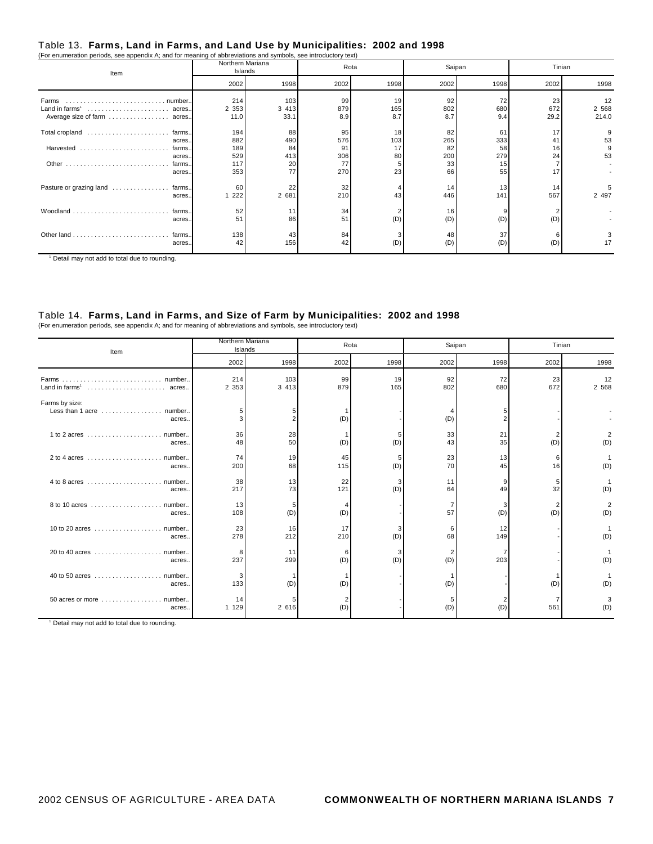#### Table 13. **Farms, Land in Farms, and Land Use by Municipalities: 2002 and 1998**

| (For enumeration periods, see appendix A; and for meaning of abbreviations and symbols, see introductory text) |                        |                             |                  |                  |                  |                  |                   |                        |
|----------------------------------------------------------------------------------------------------------------|------------------------|-----------------------------|------------------|------------------|------------------|------------------|-------------------|------------------------|
| Item                                                                                                           |                        | Northern Mariana<br>Islands |                  | Rota             |                  | Saipan           | Tinian            |                        |
|                                                                                                                | 2002                   | 1998                        | 2002             | 1998             | 2002             | 1998             | 2002              | 1998                   |
| Farms<br>Land in farms <sup>1</sup> acres.<br>Average size of farm acres.                                      | 214<br>2 3 5 3<br>11.0 | 103<br>3 4 1 3<br>33.1      | 99<br>879<br>8.9 | 19<br>165<br>8.7 | 92<br>802<br>8.7 | 72<br>680<br>9.4 | 23<br>672<br>29.2 | 12<br>2 5 6 8<br>214.0 |
| Total cropland  farms<br>acres.                                                                                | 194<br>882             | 88<br>490                   | 95<br>576        | 18<br>103        | 82<br>265        | 61<br>333        | 17<br>41          | 53                     |
| Harvested<br>farms.<br>acres.                                                                                  | 189<br>529             | 84<br>413                   | 91<br>306        | 17<br>80         | 82<br>200        | 58<br>279        | 16<br>24          | 53                     |
| farms.<br>acres.                                                                                               | 117<br>353             | 20<br>77                    | 77<br>270        | 23               | 33<br>66         | 15<br>55         | 17                |                        |
| Pasture or grazing land<br>farms.<br>acres.                                                                    | 60<br>222              | 22<br>2 681                 | 32<br>210        | 43               | 14<br>446        | 13<br>141        | 14<br>567         | 2 497                  |
| Woodland<br>farms.<br>acres.                                                                                   | 52<br>51               | 11<br>86                    | 34<br>51         | (D)              | 16<br>(D)        | (D)              | (D)               |                        |
| farms.<br>acres.                                                                                               | 138<br>42              | 43<br>156                   | 84<br>42         | (D)              | 48<br>(D)        | 37<br>(D)        | (D)               | 17                     |

<sup>1</sup> Detail may not add to total due to rounding.

### Table 14. **Farms, Land in Farms, and Size of Farm by Municipalities: 2002 and 1998**

(For enumeration periods, see appendix A; and for meaning of abbreviations and symbols, see introductory text)

| Item                                                     | Northern Mariana<br>Islands |                | Rota      |           | Saipan    |           | Tinian    |               |
|----------------------------------------------------------|-----------------------------|----------------|-----------|-----------|-----------|-----------|-----------|---------------|
|                                                          | 2002                        | 1998           | 2002      | 1998      | 2002      | 1998      | 2002      | 1998          |
| Farms<br>number.<br>Land in farms <sup>1</sup><br>acres. | 214<br>2 3 5 3              | 103<br>3 4 1 3 | 99<br>879 | 19<br>165 | 92<br>802 | 72<br>680 | 23<br>672 | 12<br>2 5 6 8 |
| Farms by size:<br>Less than 1 acre  number<br>acres.     |                             |                | (D)       |           | (D)       | 5<br>2    |           |               |
| acres.                                                   | 36<br>48                    | 28<br>50       | (D)       | (D)       | 33<br>43  | 21<br>35  | (D)       | (D)           |
| acres.                                                   | 74<br>200                   | 19<br>68       | 45<br>115 | (D)       | 23<br>70  | 13<br>45  | 16        | (D)           |
| acres.                                                   | 38<br>217                   | 13<br>73       | 22<br>121 | (D)       | 11<br>64  | 9<br>49   | 5<br>32   | (D)           |
| acres.                                                   | 13<br>108                   | 5<br>(D)       | (D)       |           | 57        | 3<br>(D)  | (D)       | 2<br>(D)      |
| 10 to 20 acres number<br>acres.                          | 23<br>278                   | 16<br>212      | 17<br>210 | (D)       | 6<br>68   | 12<br>149 |           | (D)           |
| 20 to 40 acres number<br>acres.                          | 8<br>237                    | 11<br>299      | 6<br>(D)  | (D)       | (D)       | 203       |           | (D)           |
| 40 to 50 acres number<br>acres.                          | 3<br>133                    | (D)            | (D)       |           | (D)       |           | (D)       | (D)           |
| 50 acres or more  number<br>acres.                       | 14<br>1 1 2 9               | 2 616          | (D)       |           | (D)       | (D)       | 561       | (D)           |

<sup>1</sup> Detail may not add to total due to rounding.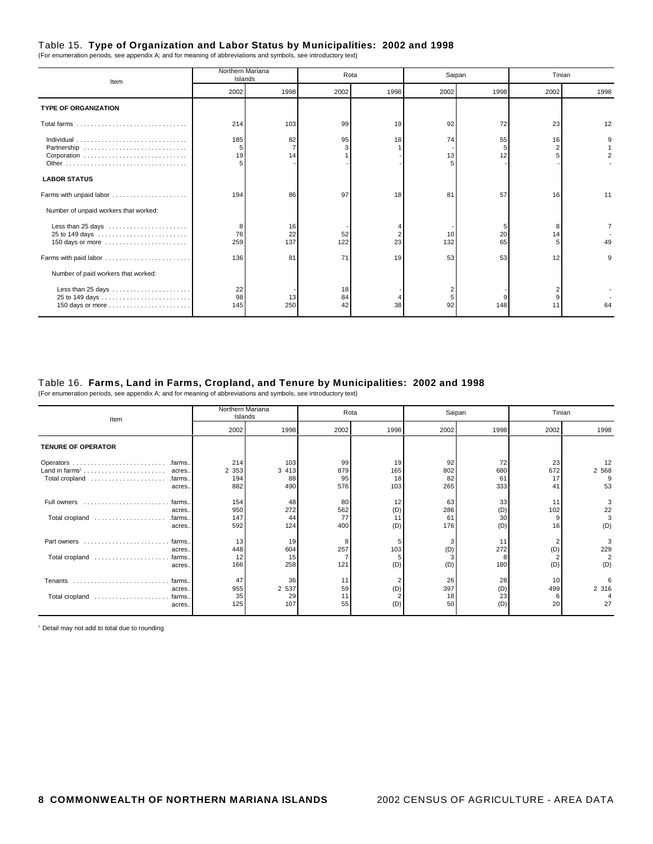#### Table 15. **Type of Organization and Labor Status by Municipalities: 2002 and 1998**

(For enumeration periods, see appendix A; and for meaning of abbreviations and symbols, see introductory text)

| Item                                  | Northern Mariana<br>Islands |                 | Rota           |      | Saipan    |               | Tinian |      |
|---------------------------------------|-----------------------------|-----------------|----------------|------|-----------|---------------|--------|------|
|                                       | 2002                        | 1998            | 2002           | 1998 | 2002      | 1998          | 2002   | 1998 |
| <b>TYPE OF ORGANIZATION</b>           |                             |                 |                |      |           |               |        |      |
|                                       | 214                         | 103             | 99             | 19   | 92        | 72            | 23     | 12   |
| Partnership                           | 185<br>5<br>19              | 82<br>14        | 95             | 18   | 74<br>13  | 55<br>12      | 16     | 9    |
| <b>LABOR STATUS</b>                   |                             |                 |                |      |           |               |        |      |
|                                       | 194                         | 86              | 97             | 18   | 81        | 57            | 16     | 11   |
| Number of unpaid workers that worked: |                             |                 |                |      |           |               |        |      |
| Less than 25 days<br>150 days or more | 8<br>76<br>259              | 16<br>22<br>137 | 52<br>122      | 23   | 10<br>132 | 5<br>20<br>65 | 14     | 49   |
| Farms with paid labor                 | 136                         | 81              | 71             | 19   | 53        | 53            | 12     | 9    |
| Number of paid workers that worked:   |                             |                 |                |      |           |               |        |      |
| 150 days or more                      | 22<br>98<br>145             | 13<br>250       | 18<br>84<br>42 | 38   | 92        | 148           | 11     | 64   |

#### Table 16. **Farms, Land in Farms, Cropland, and Tenure by Municipalities: 2002 and 1998**

(For enumeration periods, see appendix A; and for meaning of abbreviations and symbols, see introductory text)

| Item                                                                              | Northern Mariana<br>Islands  |                             | Rota                   |                        | Saipan                 |                        | Tinian                |                          |
|-----------------------------------------------------------------------------------|------------------------------|-----------------------------|------------------------|------------------------|------------------------|------------------------|-----------------------|--------------------------|
|                                                                                   | 2002                         | 1998                        | 2002                   | 1998                   | 2002                   | 1998                   | 2002                  | 1998                     |
| <b>TENURE OF OPERATOR</b>                                                         |                              |                             |                        |                        |                        |                        |                       |                          |
| Operators<br>.farms<br>Land in farms'<br>acres<br>Total cropland  .farms<br>acres | 214<br>2 3 5 3<br>194<br>882 | 103<br>3 4 1 3<br>88<br>490 | 99<br>879<br>95<br>576 | 19<br>165<br>18<br>103 | 92<br>802<br>82<br>265 | 72<br>680<br>61<br>333 | 23<br>672<br>17<br>41 | 12<br>2 5 6 8<br>c<br>53 |
| farms<br>acres.<br>Total cropland<br>.farms<br>acres.                             | 154<br>950<br>147<br>592     | 48<br>272<br>44<br>124      | 80<br>562<br>77<br>400 | 12<br>(D)<br>(D)       | 63<br>286<br>61<br>176 | 33<br>(D)<br>30<br>(D) | 11<br>102<br>16       | 22<br>3<br>(D)           |
| Part owners<br>farms<br>acres<br>Total cropland  farms<br>acres                   | 13<br>448<br>12<br>166       | 19<br>604<br>15<br>258      | 8<br>257<br>121        | 103<br>(D)             | (D)<br>(D)             | 11<br>272<br>180       | (D)<br>(D)            | 229<br>2<br>(D)          |
| Tenants<br>farms<br>acres.<br>Total cropland  farms<br>acres                      | 47<br>955<br>35<br>125       | 36<br>2 537<br>29<br>107    | 11<br>59<br>11<br>55   | (D)<br>(D)             | 26<br>397<br>18<br>50  | 28<br>(D)<br>23<br>(D) | 10<br>499<br>20       | 6<br>2 3 1 6<br>27       |

 $<sup>1</sup>$  Detail may not add to total due to rounding</sup>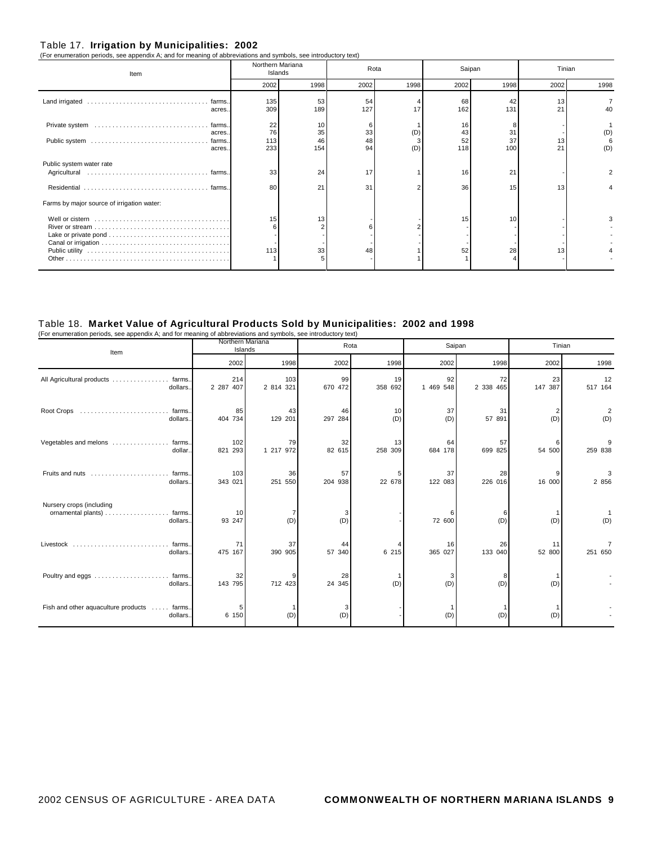#### Table 17. **Irrigation by Municipalities: 2002**

|  |  | (For enumeration periods, see appendix A; and for meaning of abbreviations and symbols, see introductory text) |  |
|--|--|----------------------------------------------------------------------------------------------------------------|--|

| Item                                       | Northern Mariana<br>Islands |                       | Rota           |            | Saipan                |                 | Tinian   |            |
|--------------------------------------------|-----------------------------|-----------------------|----------------|------------|-----------------------|-----------------|----------|------------|
|                                            | 2002                        | 1998                  | 2002           | 1998       | 2002                  | 1998            | 2002     | 1998       |
| acres                                      | 135<br>309                  | 53<br>189             | 54<br>127      |            | 68<br>162             | 42<br>131       | 13<br>21 | 40         |
| Private system<br>farms<br>acres<br>acres  | 22<br>76<br>113<br>233      | 10<br>35<br>46<br>154 | 33<br>48<br>94 | (D)<br>(D) | 16<br>43<br>52<br>118 | 31<br>37<br>100 | 13<br>21 | (D)<br>(D) |
| Public system water rate                   | 33<br>80                    | 24<br>21              | 17<br>31       |            | 16<br>36              | 21<br>15        | 13       |            |
| Farms by major source of irrigation water: |                             |                       |                |            |                       |                 |          |            |
|                                            | 15<br>113                   | 13<br>33              | 48             |            | 15<br>52              | 10<br>28        | 13       |            |

#### Table 18. **Market Value of Agricultural Products Sold by Municipalities: 2002 and 1998**

(For enumeration periods, see appendix A; and for meaning of abbreviations and symbols, see introductory text)

| Item                                                                   | Northern Mariana<br>Islands |                       | Rota          |               | Saipan          |                 | Tinian        |                       |  |
|------------------------------------------------------------------------|-----------------------------|-----------------------|---------------|---------------|-----------------|-----------------|---------------|-----------------------|--|
|                                                                        | 2002                        | 1998                  | 2002          | 1998          | 2002            | 1998            | 2002          | 1998                  |  |
| All Agricultural products<br>farms.<br>.<br>dollars.                   | 214<br>2 287 407            | 103<br>2 814 321      | 99<br>670 472 | 19<br>358 692 | 92<br>1 469 548 | 72<br>2 338 465 | 23<br>147 387 | 12<br>517 164         |  |
| Root Crops  farms<br>dollars.                                          | 85<br>404 734               | 43<br>129 201         | 46<br>297 284 | 10<br>(D)     | 37<br>(D)       | 31<br>57 891    | (D)           | $\overline{2}$<br>(D) |  |
| Vegetables and melons<br>farms.<br>dollar.                             | 102<br>821 293              | 79<br>1 217 972       | 32<br>82 615  | 13<br>258 309 | 64<br>684 178   | 57<br>699 825   | 6<br>54 500   | 9<br>259 838          |  |
| Fruits and nuts<br>. farms<br>dollars.                                 | 103<br>343 021              | 36<br>251 550         | 57<br>204 938 | 22 678        | 37<br>122 083   | 28<br>226 016   | 9<br>16 000   | 3<br>2 8 5 6          |  |
| Nursery crops (including<br>ornamental plants)<br>. farms.<br>dollars. | 10<br>93 247                | $\overline{7}$<br>(D) | 3<br>(D)      |               | 72 600          | 6<br>(D)        | (D)           | (D)                   |  |
| Livestock<br>farms.<br>dollars.                                        | 71<br>475 167               | 37<br>390 905         | 44<br>57 340  | 6 215         | 16<br>365 027   | 26<br>133 040   | 11<br>52 800  | 7<br>251 650          |  |
| dollars.                                                               | 32<br>143 795               | 9<br>712 423          | 28<br>24 345  | (D)           | -3<br>(D)       | 8<br>(D)        | (D)           |                       |  |
| Fish and other aquaculture products  farms.<br>dollars.                | 5<br>6 150                  | (D)                   | 3<br>(D)      |               | (D)             | 1<br>(D)        | (D)           |                       |  |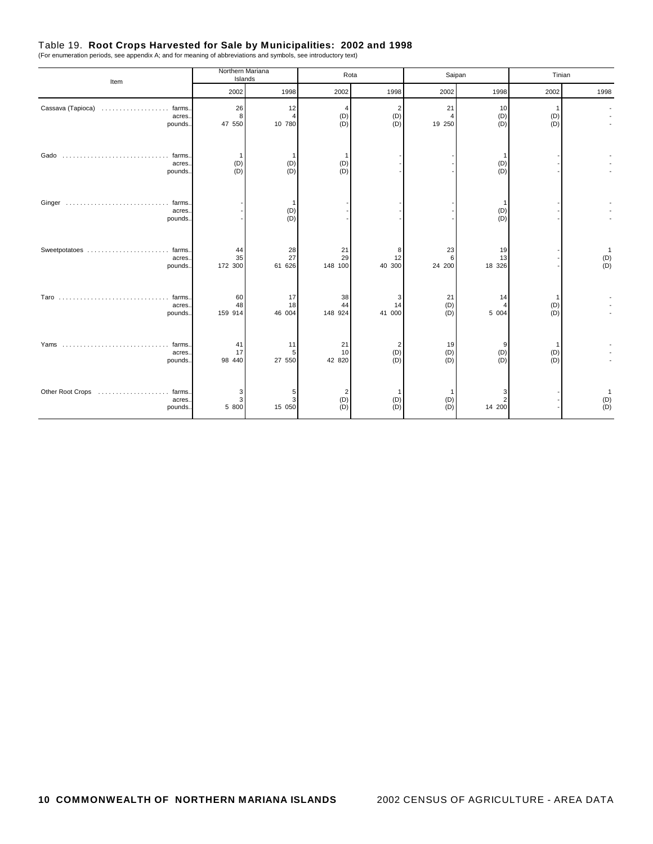# Table 19. **Root Crops Harvested for Sale by Municipalities: 2002 and 1998** (For enumeration periods, see appendix A; and for meaning of abbreviations and symbols, see introductory text)

| Item                                           | Northern Mariana    | Islands            |                                 | Rota                |                   | Saipan                        | Tinian              |                                |  |
|------------------------------------------------|---------------------|--------------------|---------------------------------|---------------------|-------------------|-------------------------------|---------------------|--------------------------------|--|
|                                                | 2002                | 1998               | 2002                            | 1998                | 2002              | 1998                          | 2002                | 1998                           |  |
| Cassava (Tapioca)  farms.<br>acres.<br>pounds. | 26<br>8<br>47 550   | 12<br>10 780       | $\overline{4}$<br>(D)<br>(D)    | 2<br>$(D)$<br>$(D)$ | 21<br>19 250      | 10<br>(D)<br>(D)              | 1<br>$(D)$<br>$(D)$ |                                |  |
| farms.<br>Gado<br>acres.<br>pounds.            | (D)<br>(D)          | 1<br>(D)<br>(D)    | $\mathbf{1}$<br>(D)<br>(D)      |                     |                   | (D)<br>(D)                    |                     |                                |  |
| acres.<br>pounds.                              |                     | 1<br>(D)<br>(D)    |                                 |                     |                   | (D)<br>(D)                    |                     |                                |  |
| Sweetpotatoes  farms<br>acres.<br>pounds.      | 44<br>35<br>172 300 | 28<br>27<br>61 626 | 21<br>29<br>148 100             | 8<br>12<br>40 300   | 23<br>6<br>24 200 | 19<br>13<br>18 326            |                     | $\mathbf{1}$<br>$(D)$<br>$(D)$ |  |
| acres.<br>pounds.                              | 60<br>48<br>159 914 | 17<br>18<br>46 004 | 38<br>44<br>148 924             | 3<br>14<br>41 000   | 21<br>(D)<br>(D)  | 14<br>5 004                   | (D)<br>(D)          |                                |  |
| farms.<br>Yams<br>acres.<br>pounds.            | 41<br>17<br>98 440  | 11<br>5<br>27 550  | 21<br>10 <sup>1</sup><br>42 820 | 2<br>(D)<br>(D)     | 19<br>(D)<br>(D)  | 9<br>(D)<br>(D)               | (D)<br>(D)          |                                |  |
| Other Root Crops  farms<br>acres.<br>pounds.   | 3<br>3<br>5 800     | 5<br>3<br>15 050   | $\overline{2}$<br>(D)<br>(D)    | (D)<br>(D)          | (D)<br>(D)        | 3<br>$\overline{c}$<br>14 200 |                     | (D)<br>(D)                     |  |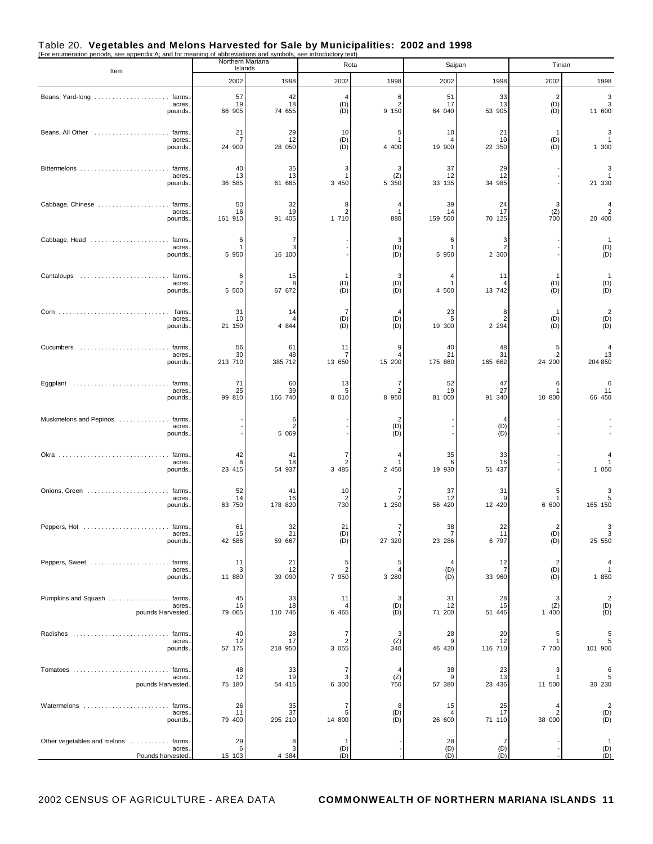| Table 20. Vegetables and Melons Harvested for Sale by Municipalities: 2002 and 1998                            |  |
|----------------------------------------------------------------------------------------------------------------|--|
| (For enumeration periods, see appendix A; and for meaning of abbreviations and symbols, see introductory text) |  |

| (For enumeration periods,<br>see appendix A; and for meaning of appreviations and symbols, see introductory text) | Northern Mariana    |                         | Rota                           |                    | Saipan                   |                                | Tinian                       |                                                              |
|-------------------------------------------------------------------------------------------------------------------|---------------------|-------------------------|--------------------------------|--------------------|--------------------------|--------------------------------|------------------------------|--------------------------------------------------------------|
| Item                                                                                                              | 2002                | Islands<br>1998         | 2002                           | 1998               | 2002                     | 1998                           | 2002                         | 1998                                                         |
| Beans, Yard-long  farms.<br>acres.<br>pounds.                                                                     | 57<br>19<br>66 905  | 42<br>18<br>74 655      | $\overline{4}$<br>(D)<br>(D)   | 6<br>2<br>9 150    | 51<br>17<br>64 040       | 33<br>13<br>53 905             | $\overline{2}$<br>(D)<br>(D) | 3<br>3<br>11 600                                             |
| Beans, All Other  farms.<br>acres.<br>pounds.                                                                     | 21<br>24 900        | 29<br>12<br>28 050      | 10<br>(D)<br>(D)               | 5<br>-1<br>4 4 0 0 | 10<br>19 900             | 21<br>10<br>22 350             | (D)<br>(D)                   | 3<br>1 300                                                   |
| Bittermelons  farms.<br>acres.<br>pounds.                                                                         | 40<br>13<br>36 585  | 35<br>13<br>61 665      | 3<br>-1<br>3 450               | 3<br>(Z)<br>5 350  | 37<br>12<br>33 135       | 29<br>12<br>34 985             |                              | 3<br>21 330                                                  |
| Cabbage, Chinese  farms.<br>acres.<br>pounds.                                                                     | 50<br>16<br>161 910 | 32<br>19<br>91 405      | 8<br>2<br>1 710                | 4<br>-1<br>880     | 39<br>14<br>159 500      | 24<br>17<br>70 125             | 3<br>(Z)<br>700              | 2<br>20 400                                                  |
| Cabbage, Head  farms.<br>acres.<br>pounds.                                                                        | 6<br>5 9 5 0        | 7<br>16 100             |                                | 3<br>(D)<br>(D)    | 6<br>5 9 5 0             | 3<br>$\overline{2}$<br>2 300   |                              | -1<br>$(D)$<br>$(D)$                                         |
| Cantaloups  farms.<br>acres.<br>pounds.                                                                           | 6<br>2<br>5 500     | 15<br>67 672            | (D)<br>(D)                     | 3<br>(D)<br>(D)    | 4 500                    | 11<br>4<br>13 742              | (D)<br>(D)                   | $\mathbf{1}$<br>(D)<br>(D)                                   |
| acres.<br>pounds.                                                                                                 | 31<br>10<br>21 150  | 14<br>4 8 4 4           | 7<br>(D)<br>(D)                | (D)<br>(D)         | 23<br>f<br>19 300        | 8<br>$\overline{2}$<br>2 2 9 4 | (D)<br>(D)                   | $\overline{2}$<br>(D)<br>(D)                                 |
| Cucumbers<br>acres.<br>pounds.                                                                                    | 56<br>30<br>213 710 | 61<br>48<br>385 712     | 11<br>7<br>13 650              | g<br>15 200        | 40<br>21<br>175 860      | 48<br>31<br>165 662            | 24 200                       | 13<br>204 850                                                |
| Eggplant  farms.<br>acres.<br>pounds.                                                                             | 71<br>25<br>99 810  | 60<br>39<br>166 740     | 13<br>5<br>8 0 1 0             | 7<br>2<br>8 9 5 0  | 52<br>19<br>81 000       | 47<br>27<br>91 340             | 6<br>10 800                  | 6<br>11<br>66 450                                            |
| Muskmelons and Pepinos  farms.<br>acres.<br>pounds.                                                               |                     | 6<br>5 0 6 9            |                                | 2<br>(D)<br>(D)    |                          | (D)<br>(D)                     |                              |                                                              |
| acres.<br>pounds.                                                                                                 | 42<br>8<br>23 415   | 41<br>18<br>54 937      | 7<br>$\overline{2}$<br>3 485   | 2 450              | 35<br>f<br>19 930        | 33<br>16<br>51 437             |                              | 1 050                                                        |
| Onions, Green  farms.<br>acres.<br>pounds.                                                                        | 52<br>14<br>63 750  | 41<br>16<br>178 820     | 10<br>$\overline{2}$<br>730    | 7<br>2<br>1 250    | 37<br>12<br>56 420       | 31<br>9<br>12 420              | 6 600                        | 5<br>165 150                                                 |
| acres.<br>pounds.                                                                                                 | 61<br>15<br>42 586  | 32<br>$^{21}$<br>59 667 | 21<br>$(D)$<br>$(D)$           | 7<br>27 320        | 38<br>23 286             | 22<br>6 797                    | $(D)$<br>$(D)$               | 3<br>3<br>25 550                                             |
| Peppers, Sweet  farms.<br>acres.<br>pounds.                                                                       | 11<br>3<br>11 880   | 21<br>12<br>39 090      | 5<br>$\overline{2}$<br>7 9 5 0 | 5<br>4<br>3 2 8 0  | 4<br>(D)<br>(D)          | 12<br>7<br>33 960              | 2<br>(D)<br>(D)              | 4<br>$\mathbf{1}$<br>1 850                                   |
| Pumpkins and Squash  farms.<br>acres.<br>pounds Harvested.                                                        | 45<br>16<br>79 065  | 33<br>18<br>110 746     | 11<br>4<br>6 4 6 5             | 3<br>(D)<br>(D)    | 31<br>12<br>71 200       | 28<br>15<br>51 446             | 3<br>(Z)<br>1400             | $\begin{array}{c} 2 \\ \text{(D)} \\ \text{(D)} \end{array}$ |
| Radishes  farms.<br>acres.<br>pounds.                                                                             | 40<br>12<br>57 175  | 28<br>17<br>218 950     | 7<br>$\overline{2}$<br>3 0 5 5 | 3<br>(Z)<br>340    | 28<br>9<br>46 420        | 20<br>12<br>116 710            | 5<br>7 700                   | 5<br>5<br>101 900                                            |
| Tomatoes<br>farms.<br>acres.<br>pounds Harvested.                                                                 | 48<br>12<br>75 180  | 33<br>19<br>54 416      | 7<br>3<br>6 300                | 4<br>(Z)<br>750    | 38<br>C<br>57 380        | 23<br>13<br>23 436             | 3<br>11 500                  | 6<br>5<br>30 230                                             |
| Watermelons  farms.<br>acres.<br>pounds.                                                                          | 26<br>11<br>79 400  | 35<br>37<br>295 210     | 7<br>5<br>14 800               | 8<br>(D)<br>(D)    | 15<br>$\prime$<br>26 600 | 25<br>17<br>71 110             | $\overline{2}$<br>38 000     | $\begin{array}{c} 2 \\ (D) \\ (D) \end{array}$               |
| Other vegetables and melons  farms.<br>acres.<br>Pounds harvested.                                                | 29<br>6<br>15 103   | 8<br>3<br>4 3 8 4       | (D)<br>(D)                     |                    | 28<br>(D)<br>(D)         | 7<br>(D)<br>(D)                |                              | $\mathbf{1}$<br>$(D)$<br>$(D)$                               |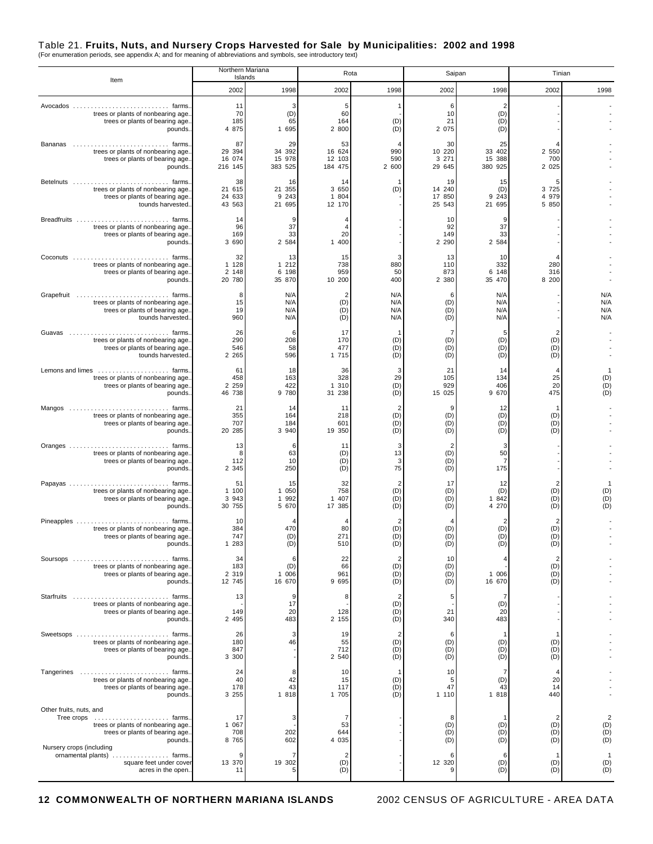# Table 21. **Fruits, Nuts, and Nursery Crops Harvested for Sale by Municipalities: 2002 and 1998** (For enumeration periods, see appendix A; and for meaning of abbreviations and symbols, see introductory text)

| Item                                                                                                                                                  | Northern Mariana<br>Islands       |                                   | Rota                                      |                                     |                                     | Saipan                                       | Tinian                                |                                              |  |
|-------------------------------------------------------------------------------------------------------------------------------------------------------|-----------------------------------|-----------------------------------|-------------------------------------------|-------------------------------------|-------------------------------------|----------------------------------------------|---------------------------------------|----------------------------------------------|--|
|                                                                                                                                                       | 2002                              | 1998                              | 2002                                      | 1998                                | 2002                                | 1998                                         | 2002                                  | 1998                                         |  |
| Avocados<br>trees or plants of nonbearing age.<br>trees or plants of bearing age.<br>pounds.                                                          | 11<br>70<br>185<br>4 875          | 3<br>(D)<br>65<br>1 695           | 5<br>60<br>164<br>2 800                   | $\mathbf{1}$<br>(D)<br>(D)          | 6<br>10<br>21<br>2 0 7 5            | $\overline{\mathbf{c}}$<br>(D)<br>(D)<br>(D) |                                       |                                              |  |
| Bananas<br>trees or plants of nonbearing age.<br>trees or plants of bearing age.<br>pounds.                                                           | 87<br>29 394<br>16 074<br>216 145 | 29<br>34 392<br>15 978<br>383 525 | 53<br>16 624<br>12 103<br>184 475         | 4<br>990<br>590<br>2 600            | 30<br>10 220<br>3 2 7 1<br>29 645   | 25<br>33 402<br>15 388<br>380 925            | 4<br>2 5 5 0<br>700<br>2 0 2 5        |                                              |  |
| Betelnuts  farms.<br>trees or plants of nonbearing age.<br>trees or plants of bearing age.<br>tounds harvested.                                       | 38<br>21 615<br>24 633<br>43 563  | 16<br>21 355<br>9 2 4 3<br>21 695 | 14<br>3 650<br>1 804<br>12 170            | (D)                                 | 19<br>14 240<br>17 850<br>25 543    | 15<br>(D)<br>9 2 4 3<br>21 695               | 5<br>3 7 2 5<br>4 979<br>5 850        |                                              |  |
| Breadfruits  farms.<br>trees or plants of nonbearing age.<br>trees or plants of bearing age.<br>pounds.                                               | 14<br>96<br>169<br>3 690          | 9<br>37<br>33<br>2 584            | 4<br>$\overline{4}$<br>20<br>1 400        |                                     | 10<br>92<br>149<br>2 2 9 0          | 9<br>37<br>33<br>2 584                       |                                       |                                              |  |
| trees or plants of nonbearing age.<br>trees or plants of bearing age.<br>pounds.                                                                      | 32<br>1 1 28<br>2 148<br>20 780   | 13<br>1 2 1 2<br>6 198<br>35 870  | 15<br>738<br>959<br>10 200                | 3<br>880<br>50<br>400               | 13<br>110<br>873<br>2 380           | 10<br>332<br>6 148<br>35 470                 | $\overline{4}$<br>280<br>316<br>8 200 |                                              |  |
| Grapefruit  farms.<br>trees or plants of nonbearing age.<br>trees or plants of bearing age.<br>tounds harvested.                                      | 8<br>15<br>19<br>960              | N/A<br>N/A<br>N/A<br>N/A          | $\overline{2}$<br>(D)<br>(D)<br>(D)       | N/A<br>N/A<br>N/A<br>N/A            | 6<br>(D)<br>(D)<br>(D)              | N/A<br>N/A<br>N/A<br>N/A                     |                                       | N/A<br>N/A<br>N/A<br>N/A                     |  |
| Guavas  farms.<br>trees or plants of nonbearing age.<br>trees or plants of bearing age.<br>tounds harvested.                                          | 26<br>290<br>546<br>2 2 6 5       | 6<br>208<br>58<br>596             | 17<br>170<br>477<br>1 715                 | -1<br>(D)<br>(D)<br>(D)             | 7<br>(D)<br>(D)<br>(D)              | 5<br>(D)<br>(D)<br>(D)                       | $\overline{c}$<br>(D)<br>(D)<br>(D)   |                                              |  |
| Lemons and limes  farms.<br>trees or plants of nonbearing age.<br>trees or plants of bearing age.<br>pounds.                                          | 61<br>458<br>2 2 5 9<br>46 738    | 18<br>163<br>422<br>9 780         | 36<br>328<br>1 310<br>31 238              | 3<br>29<br>(D)<br>(D)               | 21<br>105<br>929<br>15 025          | 14<br>134<br>406<br>9 670                    | 25<br>20<br>475                       | 1<br>$(D)$<br>$(D)$<br>$(D)$                 |  |
| Mangos  farms.<br>trees or plants of nonbearing age.<br>trees or plants of bearing age.<br>pounds.                                                    | 21<br>355<br>707<br>20 285        | 14<br>164<br>184<br>3 940         | 11<br>218<br>601<br>19 350                | 2<br>(D)<br>(D)<br>(D)              | 9<br>(D)<br>(D)<br>(D)              | 12<br>(D)<br>(D)<br>(D)                      | (D)<br>(D)<br>(D)                     |                                              |  |
| Oranges  farms.<br>trees or plants of nonbearing age.<br>trees or plants of bearing age.<br>pounds.                                                   | 13<br>8<br>112<br>2 3 4 5         | 6<br>63<br>10<br>250              | 11<br>(D)<br>(D)<br>(D)                   | 3<br>13<br>3<br>75                  | $\overline{2}$<br>(D)<br>(D)<br>(D) | 3<br>50<br>$\overline{7}$<br>175             |                                       |                                              |  |
| Papayas  farms.<br>trees or plants of nonbearing age.<br>trees or plants of bearing age.<br>pounds.                                                   | 51<br>1 100<br>3 943<br>30 755    | 15<br>1 050<br>1 992<br>5 670     | 32<br>758<br>1 407<br>17 385              | $\overline{2}$<br>(D)<br>(D)<br>(D) | 17<br>(D)<br>(D)<br>(D)             | 12<br>(D)<br>1 842<br>4 270                  | $\overline{2}$<br>(D)<br>(D)<br>(D)   | $(D)$<br>$(D)$<br>(D)                        |  |
| Pineapples  farms.<br>trees or plants of nonbearing age.<br>trees or plants of bearing age.<br>pounds.                                                | 10<br>384<br>747<br>1 283         | 470<br>(D)<br>(U)                 | $\boldsymbol{\Delta}$<br>80<br>271<br>510 | 2<br>(D)<br>(D)<br>(D               | (D)<br>(D)<br>(D)                   | $\overline{2}$<br>(D)<br>(D)<br>(D)          | $\overline{2}$<br>(D)<br>(D)<br>(D)   |                                              |  |
| Soursops  farms.<br>trees or plants of nonbearing age.<br>trees or plants of bearing age.<br>pounds.                                                  | 34<br>183<br>2 3 1 9<br>12 745    | 6<br>(D)<br>1 006<br>16 670       | 22<br>66<br>961<br>9 6 9 5                | $\overline{2}$<br>(D)<br>(D)<br>(D) | 10<br>(D)<br>(D)<br>(D)             | $\overline{4}$<br>1 006<br>16 670            | $\overline{c}$<br>(D)<br>(D)<br>(D)   |                                              |  |
| trees or plants of nonbearing age.<br>trees or plants of bearing age.<br>pounds.                                                                      | 13<br>149<br>2 4 9 5              | 9<br>17<br>20<br>483              | 8<br>128<br>2 155                         | $\overline{2}$<br>(D)<br>(D)<br>(D) | 5<br>21<br>340                      | 7<br>(D)<br>20<br>483                        |                                       |                                              |  |
| trees or plants of nonbearing age.<br>trees or plants of bearing age.<br>pounds.                                                                      | 26<br>180<br>847<br>3 300         | 3<br>46                           | 19<br>55<br>712<br>2 540                  | 2<br>(D)<br>(D)<br>(D)              | 6<br>(D)<br>(D)<br>(D)              | -1<br>(D)<br>(D)<br>(D)                      | $\mathbf{1}$<br>(D)<br>(D)<br>(D)     |                                              |  |
| Tangerines  farms.<br>trees or plants of nonbearing age.<br>trees or plants of bearing age.<br>pounds.                                                | 24<br>40<br>178<br>3 2 5 5        | 8<br>42<br>43<br>1 818            | 10<br>15<br>117<br>1 705                  | (D)<br>(D)<br>(D)                   | 10<br>5<br>47<br>1 110              | 7<br>(D)<br>43<br>1 8 1 8                    | 4<br>20<br>14<br>440                  |                                              |  |
| Other fruits, nuts, and<br>Tree crops<br>trees or plants of nonbearing age.<br>trees or plants of bearing age.<br>pounds.<br>Nursery crops (including | 17<br>1 0 6 7<br>708<br>8 7 6 5   | 3<br>202<br>602                   | 7<br>53<br>644<br>4 0 3 5                 |                                     | 8<br>(D)<br>(D)<br>(D)              | (D)<br>(D)<br>(D)                            | 2<br>(D)<br>(D)<br>(D)                | $\overline{\mathbf{c}}$<br>(D)<br>(D)<br>(D) |  |
| ornamental plants)  farms.<br>square feet under cover<br>acres in the open.                                                                           | 9<br>13 370<br>11                 | 7<br>19 302<br>5                  | $\overline{c}$<br>(D)<br>(D)              |                                     | 6<br>12 320<br>9                    | 6<br>(D)<br>(D)                              | (D)<br>(D)                            | $\mathbf{1}$<br>(D)<br>(D)                   |  |

#### **12 COMMONWEALTH OF NORTHERN MARIANA ISLANDS** 2002 CENSUS OF AGRICULTURE - AREA DATA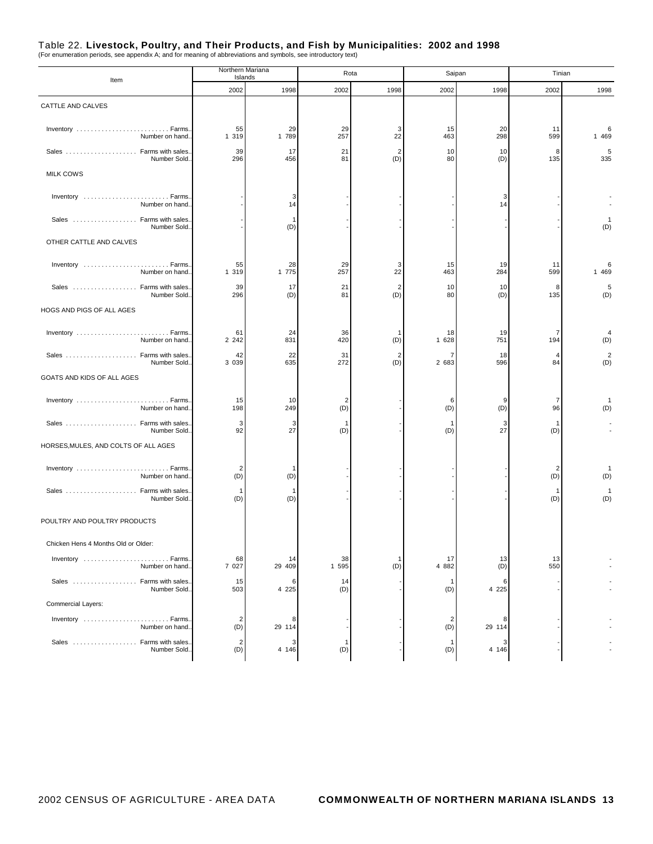# Table 22. **Livestock, Poultry, and Their Products, and Fish by Municipalities: 2002 and 1998** (For enumeration periods, see appendix A; and for meaning of abbreviations and symbols, see introductory text)

| Item                                     | Northern Mariana<br>Islands |                     | Rota                |                       | Saipan              |              | Tinian              |                       |
|------------------------------------------|-----------------------------|---------------------|---------------------|-----------------------|---------------------|--------------|---------------------|-----------------------|
|                                          | 2002                        | 1998                | 2002                | 1998                  | 2002                | 1998         | 2002                | 1998                  |
| CATTLE AND CALVES                        |                             |                     |                     |                       |                     |              |                     |                       |
| Inventory Farms.<br>Number on hand.      | 55<br>1 319                 | 29<br>1 789         | 29<br>257           | 3<br>22               | 15<br>463           | 20<br>298    | 11<br>599           | 6<br>1 4 6 9          |
| Number Sold.                             | 39<br>296                   | 17<br>456           | 21<br>81            | $\overline{2}$<br>(D) | 10<br>80            | 10<br>(D)    | 8<br>135            | $\sqrt{5}$<br>335     |
| <b>MILK COWS</b>                         |                             |                     |                     |                       |                     |              |                     |                       |
| Number on hand.                          |                             | 3<br>14             |                     |                       |                     | 3<br>14      |                     |                       |
| Sales  Farms with sales.<br>Number Sold. |                             | $\mathbf{1}$<br>(D) |                     |                       |                     |              |                     | $\mathbf{1}$<br>(D)   |
| OTHER CATTLE AND CALVES                  |                             |                     |                     |                       |                     |              |                     |                       |
| Number on hand.                          | 55<br>1 319                 | 28<br>1 775         | 29<br>257           | 3<br>22               | 15<br>463           | 19<br>284    | 11<br>599           | 6<br>1 469            |
| Sales  Farms with sales.<br>Number Sold. | 39<br>296                   | 17<br>(D)           | 21<br>81            | $\overline{2}$<br>(D) | 10<br>80            | 10<br>(D)    | 8<br>135            | $\overline{5}$<br>(D) |
| HOGS AND PIGS OF ALL AGES                |                             |                     |                     |                       |                     |              |                     |                       |
| Inventory Farms.<br>Number on hand.      | 61<br>2 2 4 2               | 24<br>831           | 36<br>420           | $\mathbf{1}$<br>(D)   | 18<br>1 628         | 19<br>751    | 7<br>194            | 4<br>(D)              |
| Sales  Farms with sales.<br>Number Sold. | 42<br>3 0 3 9               | 22<br>635           | 31<br>272           | 2<br>(D)              | 7<br>2 683          | 18<br>596    | 4<br>84             | $\overline{c}$<br>(D) |
| GOATS AND KIDS OF ALL AGES               |                             |                     |                     |                       |                     |              |                     |                       |
| Inventory Farms.<br>Number on hand.      | 15<br>198                   | 10<br>249           | 2<br>(D)            |                       | 6<br>(D)            | 9<br>(D)     | 7<br>96             | $\mathbf{1}$<br>(D)   |
| Sales  Farms with sales.<br>Number Sold. | 3<br>92                     | 3<br>27             | 1<br>(D)            |                       | $\mathbf{1}$<br>(D) | 3<br>27      | $\mathbf{1}$<br>(D) |                       |
| HORSES, MULES, AND COLTS OF ALL AGES     |                             |                     |                     |                       |                     |              |                     |                       |
| Inventory Farms.<br>Number on hand.      | $\overline{2}$<br>(D)       | $\mathbf{1}$<br>(D) |                     |                       |                     |              | 2<br>(D)            | (D)                   |
| Sales  Farms with sales.<br>Number Sold. | $\mathbf{1}$<br>(D)         | $\mathbf{1}$<br>(D) |                     |                       |                     |              | -1<br>(D)           | $\mathbf{1}$<br>(D)   |
| POULTRY AND POULTRY PRODUCTS             |                             |                     |                     |                       |                     |              |                     |                       |
| Chicken Hens 4 Months Old or Older:      |                             |                     |                     |                       |                     |              |                     |                       |
| Inventory Farms.<br>Number on hand.      | 68<br>7 027                 | 14<br>29 409        | 38<br>1 595         | 1<br>(D)              | 17<br>4 882         | 13<br>(D)    | 13<br>550           |                       |
| Sales  Farms with sales.<br>Number Sold. | 15<br>503                   | 6<br>4 2 2 5        | 14<br>(D)           |                       | -1<br>(D)           | 6<br>4 2 2 5 |                     |                       |
| Commercial Layers:                       |                             |                     |                     |                       |                     |              |                     |                       |
| Number on hand.                          | 2<br>(D)                    | 8<br>29 114         |                     |                       | 2<br>(D)            | 29 114       |                     |                       |
| Sales  Farms with sales.<br>Number Sold. | $\overline{c}$<br>(D)       | 3<br>4 146          | $\mathbf{1}$<br>(D) |                       | -1<br>(D)           | 3<br>4 146   |                     |                       |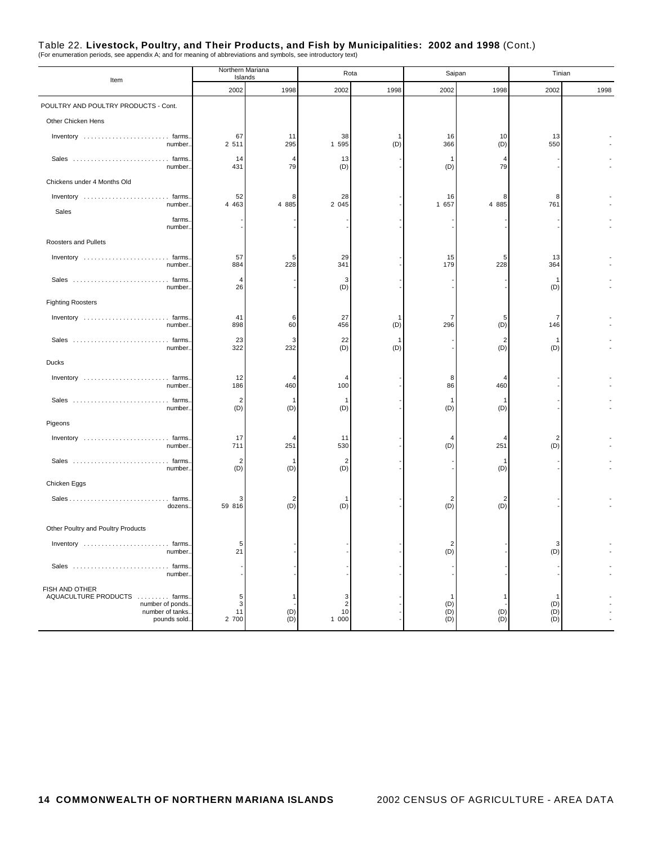# Table 22. **Livestock, Poultry, and Their Products, and Fish by Municipalities: 2002 and 1998** (Cont.) (For enumeration periods, see appendix A; and for meaning of abbreviations and symbols, see introductory text)

| Item                                                                                                   | Northern Mariana<br>Islands |                            | Rota                           |           | Saipan                  |                       | Tinian                            |      |
|--------------------------------------------------------------------------------------------------------|-----------------------------|----------------------------|--------------------------------|-----------|-------------------------|-----------------------|-----------------------------------|------|
|                                                                                                        | 2002                        | 1998                       | 2002                           | 1998      | 2002                    | 1998                  | 2002                              | 1998 |
| POULTRY AND POULTRY PRODUCTS - Cont.                                                                   |                             |                            |                                |           |                         |                       |                                   |      |
| Other Chicken Hens                                                                                     |                             |                            |                                |           |                         |                       |                                   |      |
| Inventory  farms.<br>number.                                                                           | 67<br>2 5 1 1               | 11<br>295                  | 38<br>1 595                    | (D)       | 16<br>366               | 10<br>(D)             | 13<br>550                         |      |
| Sales  farms.<br>number.                                                                               | 14<br>431                   | $\overline{4}$<br>79       | 13<br>(D)                      |           | -1<br>(D)               | 4<br>79               |                                   |      |
| Chickens under 4 Months Old                                                                            |                             |                            |                                |           |                         |                       |                                   |      |
| Inventory  farms.<br>number.                                                                           | 52<br>4 4 6 3               | 8<br>4 885                 | 28<br>2 0 4 5                  |           | 16<br>1 657             | 8<br>4 885            | 8<br>761                          |      |
| Sales<br>farms.<br>number.                                                                             |                             |                            |                                |           |                         |                       |                                   |      |
| Roosters and Pullets                                                                                   |                             |                            |                                |           |                         |                       |                                   |      |
| Inventory  farms.<br>number.                                                                           | 57<br>884                   | 5<br>228                   | 29<br>341                      |           | 15<br>179               | 5<br>228              | 13<br>364                         |      |
| Sales  farms.<br>number.                                                                               | $\overline{4}$<br>26        |                            | 3<br>(D)                       |           |                         |                       | -1<br>(D)                         |      |
| <b>Fighting Roosters</b>                                                                               |                             |                            |                                |           |                         |                       |                                   |      |
| Inventory  farms.<br>number.                                                                           | 41<br>898                   | 6<br>60                    | 27<br>456                      | 1<br>(D)  | 7<br>296                | 5<br>(D)              | 7<br>146                          |      |
| Sales  farms.<br>number.                                                                               | 23<br>322                   | 3<br>232                   | 22<br>(D)                      | -1<br>(D) |                         | 2<br>(D)              | 1<br>(D)                          |      |
| <b>Ducks</b>                                                                                           |                             |                            |                                |           |                         |                       |                                   |      |
| Inventory  farms.<br>number.                                                                           | 12<br>186                   | 460                        | 4<br>100                       |           | 8<br>86                 | 4<br>460              |                                   |      |
| Sales  farms.<br>number.                                                                               | $\overline{2}$<br>(D)       | (D)                        | -1<br>(D)                      |           | -1<br>(D)               | 1<br>(D)              |                                   |      |
| Pigeons                                                                                                |                             |                            |                                |           |                         |                       |                                   |      |
| Inventory  farms.<br>number.                                                                           | 17<br>711                   | 251                        | 11<br>530                      |           | (D)                     | 251                   | 2<br>(D)                          |      |
| Sales  farms.<br>number.                                                                               | 2<br>(D)                    | -1<br>(D)                  | $\overline{c}$<br>(D)          |           |                         | 1<br>(D)              |                                   |      |
| Chicken Eggs                                                                                           |                             |                            |                                |           |                         |                       |                                   |      |
| dozens.                                                                                                | 59 816                      | $\overline{2}$<br>(D)      | -1<br>(D)                      |           | $\overline{2}$<br>(D)   | $\overline{2}$<br>(D) |                                   |      |
| Other Poultry and Poultry Products                                                                     |                             |                            |                                |           |                         |                       |                                   |      |
| farms.<br>Inventory $\ldots \ldots \ldots \ldots \ldots \ldots \ldots$<br>number.                      | đ<br>21                     |                            |                                |           | (D)                     |                       | (D)                               |      |
| Sales  farms.<br>number.                                                                               |                             |                            |                                |           |                         |                       |                                   |      |
| FISH AND OTHER<br>AQUACULTURE PRODUCTS  farms.<br>number of ponds.<br>number of tanks.<br>pounds sold. | 5<br>3<br>11<br>2 700       | $\mathbf{1}$<br>(D)<br>(D) | 3<br>$\sqrt{2}$<br>10<br>1 000 |           | -1<br>(D)<br>(D)<br>(D) | 1<br>(D)<br>(D)       | $\mathbf{1}$<br>(D)<br>(D)<br>(D) |      |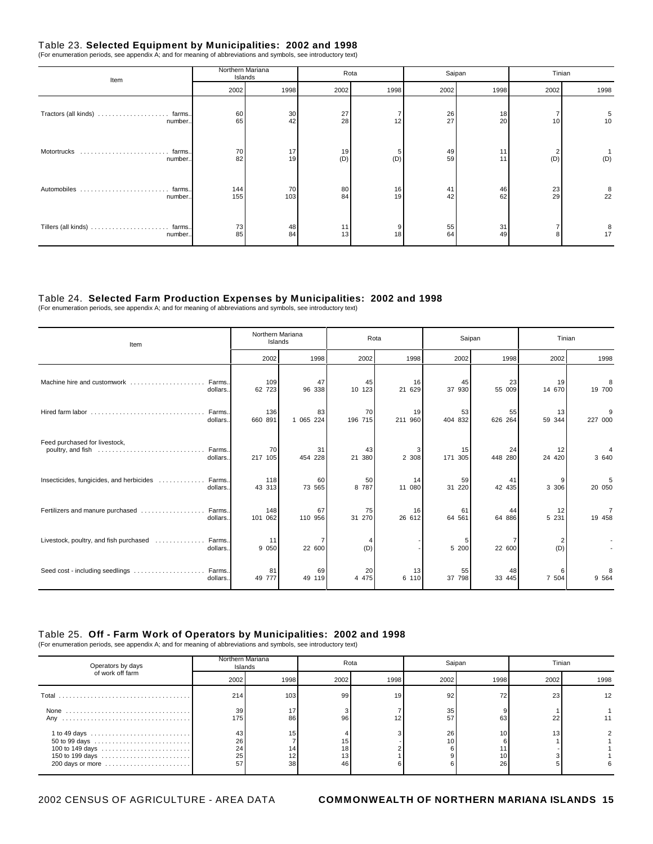#### Table 23. **Selected Equipment by Municipalities: 2002 and 1998**

(For enumeration periods, see appendix A; and for meaning of abbreviations and symbols, see introductory text)

| Item                                   | Northern Mariana | Islands   | Rota      |          | Saipan   |          | Tinian   |         |
|----------------------------------------|------------------|-----------|-----------|----------|----------|----------|----------|---------|
|                                        | 2002             | 1998      | 2002      | 1998     | 2002     | 1998     | 2002     | 1998    |
| Tractors (all kinds)  farms<br>number. | 60<br>65         | 30<br>42  | 27<br>28  | 12       | 26<br>27 | 18<br>20 | 10       | 5<br>10 |
| Motortrucks<br>farms<br>number.        | 70<br>82         | 17<br>19  | 19<br>(D) | 5<br>(D) | 49<br>59 | 11<br>11 | (D)      | (D)     |
| . farms<br>number.                     | 144<br>155       | 70<br>103 | 80<br>84  | 16<br>19 | 41<br>42 | 46<br>62 | 23<br>29 | 8<br>22 |
| number                                 | 73<br>85         | 48<br>84  | 11<br>13  | 9<br>18  | 55<br>64 | 31<br>49 | 8        | 8<br>17 |

### Table 24. **Selected Farm Production Expenses by Municipalities: 2002 and 1998** (For enumeration periods, see appendix A; and for meaning of abbreviations and symbols, see introductory text)

| Item                                                                   | Northern Mariana<br>Islands |                 | Rota          |                  | Saipan           |               | Tinian        |                          |
|------------------------------------------------------------------------|-----------------------------|-----------------|---------------|------------------|------------------|---------------|---------------|--------------------------|
|                                                                        | 2002                        | 1998            | 2002          | 1998             | 2002             | 1998          | 2002          | 1998                     |
| Machine hire and customwork<br>Farms<br>dollars.                       | 109<br>62 723               | 47<br>96 338    | 45<br>10 123  | 16<br>21 629     | 45<br>37 930     | 23<br>55 009  | 19<br>14 670  | 8<br>19 700              |
| Farms<br>Hired farm labor<br>dollars.                                  | 136<br>660 891              | 83<br>1 065 224 | 70<br>196 715 | 19<br>960<br>211 | 53<br>404 832    | 55<br>626 264 | 13<br>59 344  | 9<br>227 000             |
| Feed purchased for livestock,<br>Farms<br>poultry, and fish<br>dollars | 70<br>217 105               | 31<br>454 228   | 43<br>21 380  | 2 3 0 8          | 15<br>305<br>171 | 24<br>448 280 | 12<br>24 420  | 3 640                    |
| Insecticides, fungicides, and herbicides<br>Farms<br>.<br>dollars      | 118<br>43 313               | 60<br>73 565    | 50<br>8 7 8 7 | 14<br>11 080     | 59<br>220<br>31  | 41<br>42 435  | 9<br>3 3 0 6  | 5<br>20 050              |
| Fertilizers and manure purchased<br>Farms<br>dollars                   | 148<br>101 062              | 67<br>110 956   | 75<br>31 270  | 16<br>26 612     | 61<br>64 561     | 44<br>64 886  | 12<br>5 2 3 1 | $\overline{7}$<br>19 458 |
| Farms<br>Livestock, poultry, and fish purchased<br>.<br>dollars        | 11<br>9 0 5 0               | 22 600          | (D)           |                  | 5<br>5 200       | 22 600        | (D)           |                          |
| Seed cost - including seedlings<br>Farms<br>dollars                    | 81<br>49 777                | 69<br>49 119    | 20<br>4 4 7 5 | 13<br>6 110      | 55<br>37 798     | 48<br>33 445  | 6<br>7 504    | 8<br>9 5 6 4             |

#### Table 25. **Off - Farm Work of Operators by Municipalities: 2002 and 1998**

(For enumeration periods, see appendix A; and for meaning of abbreviations and symbols, see introductory text)

| Operators by days                 | Northern Mariana<br>Islands |      | Rota                   |      | Saipan   |                | Tinian |      |
|-----------------------------------|-----------------------------|------|------------------------|------|----------|----------------|--------|------|
| of work off farm                  | 2002                        | 1998 | 2002                   | 1998 | 2002     | 1998           | 2002   | 1998 |
|                                   | 214 <sub>1</sub>            | 103  | 99                     | 19   | 92       |                | 23     | 12   |
| None                              | 39<br>175                   | 86   | 96                     |      | 35<br>57 | 63             | 22     | 11   |
| 50 to 99 days<br>200 days or more | 43<br>26<br>24<br>25<br>57  | 38   | 15 i<br>18<br>13<br>46 |      | 26       | 10<br>10<br>26 | 13     |      |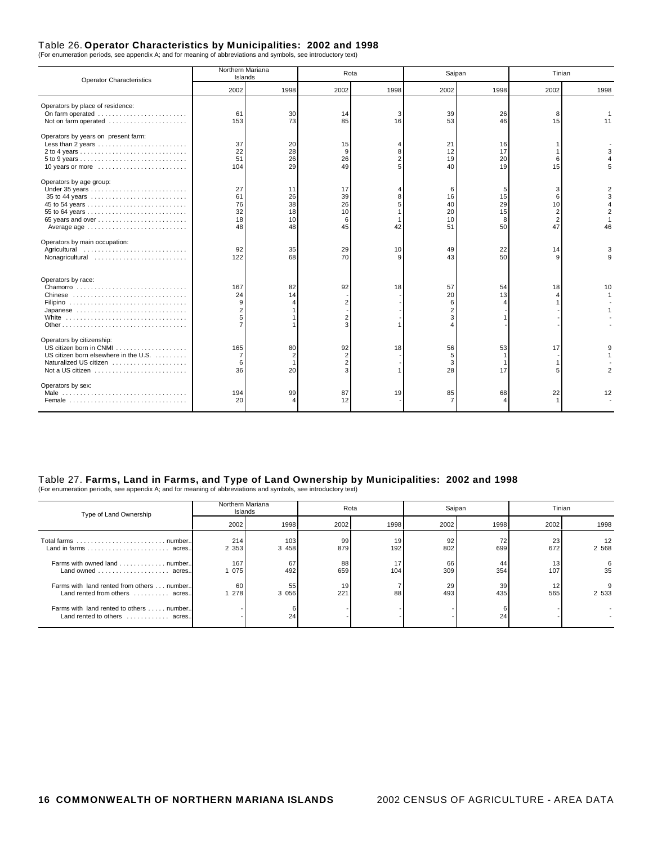# Table 26. **Operator Characteristics by Municipalities: 2002 and 1998** (For enumeration periods, see appendix A; and for meaning of abbreviations and symbols, see introductory text)

| <b>Operator Characteristics</b>                                                                                                 | Northern Mariana<br>Islands      |                                  | Rota                            |      | Saipan                     |                                | Tinian   |      |
|---------------------------------------------------------------------------------------------------------------------------------|----------------------------------|----------------------------------|---------------------------------|------|----------------------------|--------------------------------|----------|------|
|                                                                                                                                 | 2002                             | 1998                             | 2002                            | 1998 | 2002                       | 1998                           | 2002     | 1998 |
| Operators by place of residence:<br>Not on farm operated                                                                        | 61<br>153                        | 30<br>73                         | 14<br>85                        | 16   | 39<br>53                   | 26<br>46                       | 15       | 11   |
| Operators by years on present farm:<br>Less than 2 years<br>10 years or more                                                    | 37<br>22<br>51<br>104            | 20<br>28<br>26<br>29             | 15<br>g<br>26<br>49             |      | 21<br>12<br>19<br>40       | 16<br>17<br>20<br>19           | 15       |      |
| Operators by age group:<br>65 years and over<br>Average age                                                                     | 27<br>61<br>76<br>32<br>18<br>48 | 11<br>26<br>38<br>18<br>10<br>48 | 17<br>39<br>26<br>10<br>6<br>45 | 42   | 16<br>40<br>20<br>10<br>51 | 5<br>15<br>29<br>15<br>8<br>50 | 10<br>47 | 46   |
| Operators by main occupation:<br>Agricultural<br>Nonagricultural                                                                | 92<br>122                        | 35<br>68                         | 29<br>70                        | 10   | 49<br>43                   | 22<br>50                       | 14       |      |
| Operators by race:<br>Chamorro<br>Chinese<br>Japanese<br>White $\ldots \ldots \ldots \ldots \ldots \ldots \ldots \ldots \ldots$ | 167<br>24                        | 82<br>14                         | 92                              | 18   | 57<br>20                   | 54<br>13                       | 18       | 10   |
| Operators by citizenship:<br>US citizen born elsewhere in the U.S.<br>Naturalized US citizen<br>Not a US citizen                | 165<br>6<br>36                   | 80<br>20                         | 92                              | 18   | 56<br>28                   | 53<br>17                       | 17       |      |
| Operators by sex:<br>Female                                                                                                     | 194<br>20                        | 99                               | 87<br>12                        | 19   | 85                         | 68                             | 22       | 12   |

#### Table 27. **Farms, Land in Farms, and Type of Land Ownership by Municipalities: 2002 and 1998** (For enumeration periods, see appendix A; and for meaning of abbreviations and symbols, see introductory text)

| Type of Land Ownership                                                      | Northern Mariana<br>Islands |                  | Rota      |           | Saipan    |           | Tinian    |               |
|-----------------------------------------------------------------------------|-----------------------------|------------------|-----------|-----------|-----------|-----------|-----------|---------------|
|                                                                             | 2002                        | 1998             | 2002      | 1998      | 2002      | 1998      | 2002      | 1998          |
|                                                                             | 214<br>2 3 5 3              | 103<br>3 4 5 8 1 | 99<br>879 | 19<br>192 | 92<br>802 | 72<br>699 | 23<br>672 | 12<br>2 5 6 8 |
| Farms with owned land number<br>Land owned acres                            | 167<br>075                  | 67<br>492        | 88<br>659 | 17<br>104 | 66<br>309 | 44<br>354 | 13<br>107 | 35            |
| Farms with land rented from others number<br>Land rented from others  acres | 60<br>278                   | 55<br>3 0 5 6    | 19<br>221 | 88        | 29<br>493 | 39<br>435 | 12<br>565 | 2 533         |
| Farms with land rented to others number<br>Land rented to others  acres     |                             | 24               |           |           |           | 24        |           |               |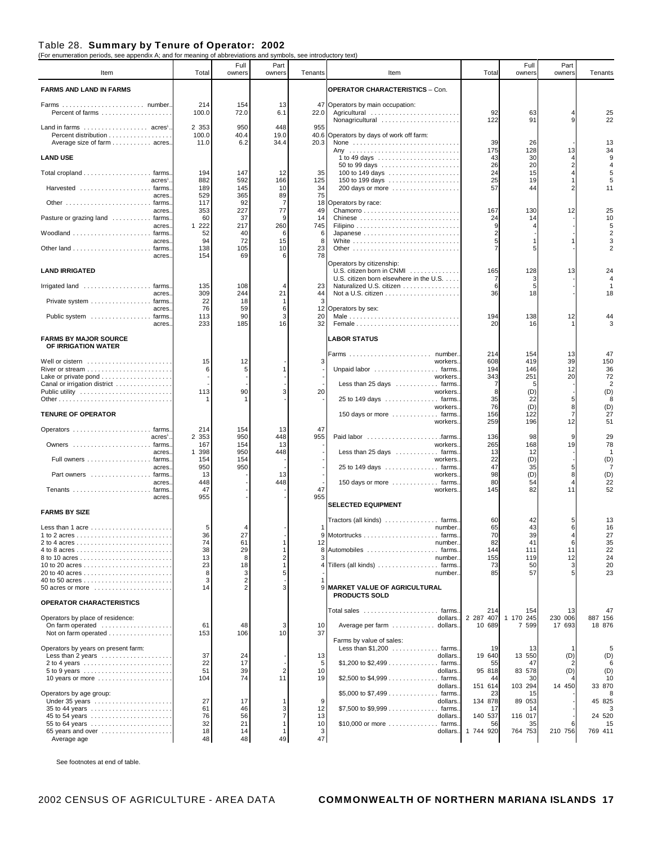#### Table 28. **Summary by Tenure of Operator: 2002**

(For enumeration periods, see appendix A; and for meaning of abbreviations and symbols, see introductory text)

| Item                                                                                                                       | Total                    | Full<br>owners                            | Part<br>owners       | Tenants             | Item                                                                                              | Total            | Full<br>owners    | Part<br>owners            | Tenants         |
|----------------------------------------------------------------------------------------------------------------------------|--------------------------|-------------------------------------------|----------------------|---------------------|---------------------------------------------------------------------------------------------------|------------------|-------------------|---------------------------|-----------------|
| <b>FARMS AND LAND IN FARMS</b>                                                                                             |                          |                                           |                      |                     | <b>OPERATOR CHARACTERISTICS - Con.</b>                                                            |                  |                   |                           |                 |
| Farms  number.<br>Percent of farms                                                                                         | 214<br>100.0             | 154<br>72.0                               | 13<br>6.1            | 22.0                | 47 Operators by main occupation:<br>Agricultural<br>Nonagricultural                               | 92<br>122        | 63<br>91          |                           | 25<br>22        |
| Land in farms $\dots\dots\dots\dots\dots\dots$ acres <sup>1</sup> .<br>Percent distribution<br>Average size of farm acres. | 2 3 5 3<br>100.0<br>11.0 | 950<br>40.4<br>6.2                        | 448<br>19.0<br>34.4  | 955<br>40.6<br>20.3 | Operators by days of work off farm:<br>None                                                       | 39               | 26                |                           | 13              |
| <b>LAND USE</b>                                                                                                            |                          |                                           |                      |                     | Any                                                                                               | 175<br>43        | 128<br>30         | 13                        | 34              |
| Total cropland farms.                                                                                                      | 194                      | 147                                       | 12                   | 35                  | 100 to 149 days                                                                                   | 26<br>24         | 20<br>15          |                           |                 |
| acres <sup>1</sup><br>Harvested  farms.                                                                                    | 882<br>189               | 592<br>145                                | 166<br>10            | 125<br>34           | 200 days or more                                                                                  | 25<br>57         | 19<br>44          |                           | 11              |
| acres.<br>Other  farms.                                                                                                    | 529<br>117               | 365<br>92                                 | 89<br>7              | 75                  | 18 Operators by race:                                                                             |                  |                   |                           |                 |
| acres.                                                                                                                     | 353                      | 227                                       | 77<br>9              | 49                  |                                                                                                   | 167<br>24        | 130               | 12                        | 25<br>10        |
| Pasture or grazing land  farms.<br>acres.                                                                                  | 60<br>222<br>1           | 37<br>217                                 | 260                  | 14<br>745           |                                                                                                   | g                | 14                |                           |                 |
| Woodland  farms.<br>acres.                                                                                                 | 52<br>94                 | 40<br>72                                  | 6<br>15              | 6<br>8              |                                                                                                   |                  |                   |                           |                 |
| acres.                                                                                                                     | 138<br>154               | 105<br>69                                 | 10<br>6              | 23<br>78            |                                                                                                   |                  |                   |                           |                 |
| <b>LAND IRRIGATED</b>                                                                                                      |                          |                                           |                      |                     | Operators by citizenship:<br>U.S. citizen born in CNMI<br>U.S. citizen born elsewhere in the U.S. | 165<br>7         | 128<br>3          | 13                        | 24              |
| Irrigated land  farms.<br>acres.                                                                                           | 135<br>309               | 108<br>244                                | 21                   | 23<br>44            | Naturalized U.S. citizen                                                                          | 6<br>36          | 5<br>18           |                           | 18              |
| Private system farms.                                                                                                      | 22                       | 18                                        | $\mathbf{1}$         | 3                   |                                                                                                   |                  |                   |                           |                 |
| acres.<br>Public system  farms.                                                                                            | 76<br>113                | 59<br>90                                  | 6<br>3               | 20                  | 12 Operators by sex:<br>Male                                                                      | 194              | 138               | 12                        |                 |
| acres.                                                                                                                     | 233                      | 185                                       | 16                   | 32                  |                                                                                                   | 20               | 16                |                           |                 |
| <b>FARMS BY MAJOR SOURCE</b><br>OF IRRIGATION WATER                                                                        |                          |                                           |                      |                     | <b>LABOR STATUS</b>                                                                               |                  |                   |                           |                 |
| Well or cistern                                                                                                            | 15                       | 12                                        |                      | З                   | Farms  number.<br>workers.                                                                        | 214<br>608       | 154<br>419        | 13<br>39                  | 47<br>150       |
|                                                                                                                            | 6                        | 5                                         |                      |                     | Unpaid labor farms.<br>workers.                                                                   | 194<br>343       | 146<br>251        | 12<br>20                  | 36<br>72        |
| Canal or irrigation district                                                                                               |                          |                                           |                      |                     | Less than 25 days  farms.                                                                         |                  | 5                 |                           | 2               |
|                                                                                                                            | 113                      | 90                                        |                      | 20                  | workers.<br>25 to 149 days farms.                                                                 | 8<br>35          | (D)<br>22         |                           | (D)             |
| <b>TENURE OF OPERATOR</b>                                                                                                  |                          |                                           |                      |                     | workers.<br>150 days or more  farms.                                                              | 76<br>156<br>259 | (D)<br>122<br>196 | 8<br>$\overline{7}$<br>12 | (D)<br>27<br>51 |
| Operators  farms.                                                                                                          | 214                      | 154                                       | 13                   | 47                  | workers.                                                                                          |                  |                   |                           |                 |
| acres <sup>1</sup><br>Owners  farms                                                                                        | 2 3 5 3<br>167           | 950<br>154                                | 448<br>13            | 955                 | workers.                                                                                          | 136<br>265       | 98<br>168         | 9<br>19                   | 29<br>78        |
| acres.<br>Full owners farms.                                                                                               | 1 398<br>154             | 950<br>154                                | 448                  |                     | Less than 25 days  farms.<br>workers.                                                             | 13<br>22         | 12<br>(D)         |                           | (D)             |
| acres.<br>Part owners  farms.                                                                                              | 950<br>13                | 950                                       | 13                   |                     | 25 to 149 days farms.<br>workers.                                                                 | 47<br>98         | 35<br>(D)         |                           | (D)             |
| acres.<br>Tenants  farms.                                                                                                  | 448<br>47                |                                           | 448                  | 47                  | 150 days or more  farms.<br>workers.                                                              | 80<br>145        | 54<br>82          | 11                        | 22<br>52        |
| acres.                                                                                                                     | 955                      |                                           |                      | 955                 | <b>SELECTED EQUIPMENT</b>                                                                         |                  |                   |                           |                 |
| <b>FARMS BY SIZE</b>                                                                                                       |                          |                                           |                      |                     |                                                                                                   |                  |                   |                           |                 |
| Less than 1 acre                                                                                                           | 5                        |                                           |                      |                     | Tractors (all kinds)  farms.<br>number.                                                           | 60<br>65         | 42<br>43          |                           | 13<br>16        |
| 1 to 2 acres                                                                                                               | 36<br>74                 | 27<br>61                                  |                      | 9<br>12             | Motortrucks $\ldots \ldots \ldots \ldots$<br>farms.<br>number.                                    | 70<br>82         | 39<br>41          | 6                         | 27<br>35        |
|                                                                                                                            | 38<br>13                 | 29<br>8                                   | 2                    | 8<br>3              | Automobiles  farms.<br>number.                                                                    | 144<br>155       | 111<br>119        | 11<br>12                  | 22<br>24        |
|                                                                                                                            | 23<br>8                  | 18<br>3                                   | 1<br>5               | 4                   | Tillers (all kinds) farms.<br>number.                                                             | 73<br>85         | 50<br>57          |                           | 20<br>23        |
| $50$ acres or more $\ldots \ldots \ldots \ldots \ldots$                                                                    | 3<br>14                  | $\overline{\mathbf{c}}$<br>$\overline{2}$ | 3                    | 9                   | <b>MARKET VALUE OF AGRICULTURAL</b>                                                               |                  |                   |                           |                 |
| <b>OPERATOR CHARACTERISTICS</b>                                                                                            |                          |                                           |                      |                     | <b>PRODUCTS SOLD</b>                                                                              |                  |                   |                           |                 |
| Operators by place of residence:                                                                                           |                          |                                           |                      |                     | Total sales  farms<br>dollars                                                                     | 214<br>2 287 407 | 154<br>1 170 245  | 13<br>230 006             | 47<br>887 156   |
| On farm operated<br>Not on farm operated                                                                                   | 61<br>153                | 48<br>106                                 | 3<br>10              | 10<br>37            | Average per farm  dollars.                                                                        | 10 689           | 7 599             | 17 693                    | 18 876          |
| Operators by years on present farm:                                                                                        |                          |                                           |                      |                     | Farms by value of sales:<br>Less than \$1,200 farms.                                              | 19               | 13                |                           | 5               |
| Less than 2 years                                                                                                          | 37<br>22                 | 24<br>17                                  |                      | 13<br>5             | dollars.<br>\$1,200 to \$2,499 farms.                                                             | 19 640<br>55     | 13 550<br>47      | (D)                       | (D)<br>6        |
| 10 years or more                                                                                                           | 51<br>104                | 39<br>74                                  | $\overline{c}$<br>11 | 10<br>19            | dollars.<br>\$2,500 to \$4,999 farms.                                                             | 95 818<br>44     | 83 578<br>30      | (D)                       | (D)<br>10       |
|                                                                                                                            |                          |                                           |                      |                     | dollars.                                                                                          | 151 614          | 103 294           | 14 450                    | 33 870          |
| Operators by age group:<br>Under 35 years                                                                                  | 27                       | 17                                        |                      | 9                   | \$5,000 to \$7,499 farms.<br>dollars.                                                             | 23<br>134 878    | 15<br>89 053      |                           | 8<br>45 825     |
| 35 to 44 years                                                                                                             | 61<br>76                 | 46<br>56                                  | 3<br>7               | 12<br>13            | \$7,500 to \$9,999 farms.<br>dollars.                                                             | 17<br>140 537    | 14<br>116 017     |                           | 3<br>24 520     |
| 65 years and over                                                                                                          | 32<br>18                 | 21<br>14                                  | 1<br>1               | 10<br>3             | \$10,000 or more $\dots\dots\dots\dots\dots$ farms.<br>dollars                                    | 56<br>1 744 920  | 35<br>764 753     | 210 756                   | 15<br>769 411   |
| Average age                                                                                                                | 48                       | 48                                        | 49                   | 47                  |                                                                                                   |                  |                   |                           |                 |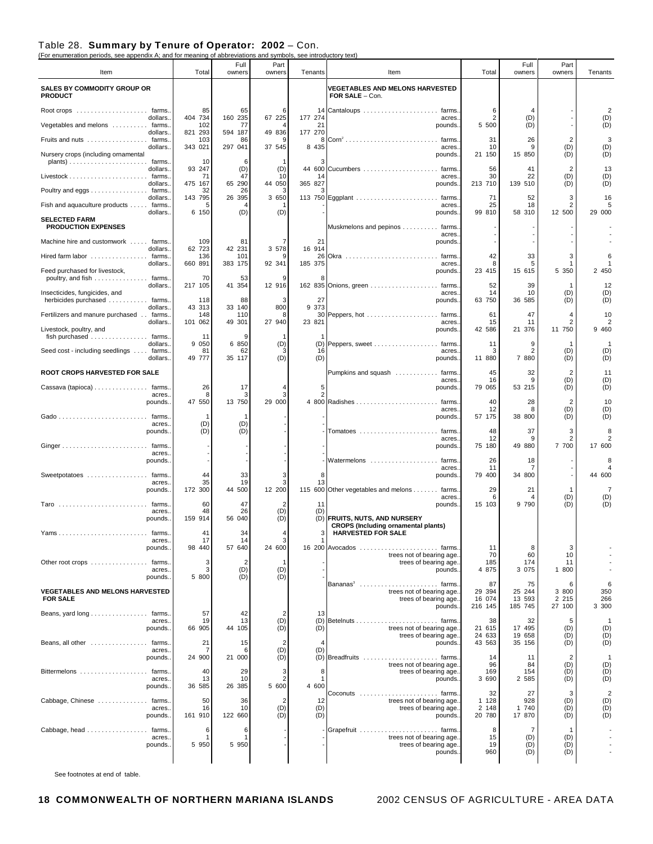| For enumeration periods, see appendix A, and for meaning or abbreviations and symbols, see introductory text), |                |                |                         |                       |                                                                                |                   |                   |                       |                                |
|----------------------------------------------------------------------------------------------------------------|----------------|----------------|-------------------------|-----------------------|--------------------------------------------------------------------------------|-------------------|-------------------|-----------------------|--------------------------------|
| Item                                                                                                           | Total          | Full<br>owners | Part<br>owners          | Tenants               | Item                                                                           | Total             | Full<br>owners    | Par<br>owners         | Tenants                        |
| SALES BY COMMODITY GROUP OR<br><b>PRODUCT</b>                                                                  |                |                |                         |                       | <b>VEGETABLES AND MELONS HARVESTED</b><br>FOR SALE - Con.                      |                   |                   |                       |                                |
|                                                                                                                | 85             | 65             |                         | 14                    |                                                                                | 6                 |                   |                       | $\overline{2}$                 |
| dollars.<br>Vegetables and melons  farms.                                                                      | 404 734<br>102 | 160 235<br>77  | 67 225                  | 177 274<br>21         | acres<br>pounds.                                                               | 2<br>5 500        | (D)<br>(D)        |                       | (D)<br>(D)                     |
| dollars.                                                                                                       | 821 293        | 594 187        | 49 836                  | 177 270               |                                                                                |                   |                   |                       |                                |
| Fruits and nuts  farms.<br>dollars.                                                                            | 103<br>343 021 | 86<br>297 041  | 37 545                  | 8 4 3 5               | 8 Corn <sup>2</sup> farms.<br>acres.                                           | 31<br>10          | 26<br>9           | $\overline{2}$<br>(D) | 3<br>(D)                       |
| Nursery crops (including ornamental                                                                            |                |                |                         |                       | pounds.                                                                        | 21 150            | 15 850            | (D)                   | (D)                            |
| dollars.                                                                                                       | 10<br>93 247   | 6<br>(D)       | (D)                     |                       | 44 600 Cucumbers  farms.                                                       | 56                | 41                | $\overline{2}$        | 13                             |
|                                                                                                                | 71             | 47<br>65 290   | 10                      |                       | acres.                                                                         | 30                | 22                | (D)                   | (D)                            |
| dollars.<br>Poultry and eggs farms.                                                                            | 475 167<br>32  | 26             | 44 050                  | 365 827               | pounds.                                                                        | 213 710           | 139 510           | (D)                   | (D)                            |
| dollars.<br>Fish and aquaculture products  farms.                                                              | 143 795<br>5   | 26 395         | 3 650                   |                       | acres.                                                                         | 71<br>25          | 52<br>18          | 3                     | 16<br>5                        |
| dollars.                                                                                                       | 6 150          | (D)            | (D)                     |                       | pounds.                                                                        | 99 810            | 58 310            | 12 500                | 29 000                         |
| <b>SELECTED FARM</b><br><b>PRODUCTION EXPENSES</b>                                                             |                |                |                         |                       | Muskmelons and pepinos  farms.                                                 |                   |                   |                       |                                |
|                                                                                                                |                |                |                         |                       | acres.                                                                         |                   |                   |                       |                                |
| Machine hire and customwork  farms.<br>dollars.                                                                | 109<br>62 723  | 81<br>42 231   | 3 578                   | 21<br>16 914          | pounds.                                                                        |                   |                   |                       |                                |
| Hired farm labor  farms.                                                                                       | 136            | 101<br>383 175 | 92 341                  | 26                    |                                                                                | 42<br>8           | 33                | 3                     |                                |
| dollars.<br>Feed purchased for livestock,                                                                      | 660 891        |                |                         | 185 375               | acres<br>pounds.                                                               | 23 415            | 5<br>15 615       | 5 350                 | 2 450                          |
| poultry, and fish  farms.<br>dollars.                                                                          | 70<br>217 105  | 53<br>41 354   | 12 916                  |                       | 162 835 Onions, green farms.                                                   | 52                | 39                |                       | 12                             |
| Insecticides, fungicides, and                                                                                  |                |                |                         |                       | acres.                                                                         | 14                | 10                | (D)                   | (D)                            |
| herbicides purchased  farms.<br>dollars.                                                                       | 118<br>43 313  | 88<br>33 140   | 3<br>800                | 27<br>9 373           | pounds.                                                                        | 63 750            | 36 585            | (D)                   | (D)                            |
| Fertilizers and manure purchased farms.                                                                        | 148            | 110            | 8                       | 30                    | Peppers, hot  farms.                                                           | 61                | 47                | 4                     | 10                             |
| dollars.<br>Livestock, poultry, and                                                                            | 101 062        | 49 301         | 27 940                  | 23 821                | acres.<br>pounds.                                                              | 15<br>42 586      | 11<br>21 376      | 11 750                | 9 4 6 0                        |
| fish purchased  farms.                                                                                         | 11             | 9              |                         |                       |                                                                                |                   |                   |                       |                                |
| dollars.<br>Seed cost - including seedlings  farms.                                                            | 9 0 5 0<br>81  | 6 850<br>62    | (D)<br>3                | (D)<br>16             | Peppers, sweet farms.<br>acres.                                                | 11<br>3           | 9<br>2            | (D)                   | (D)                            |
| dollars.                                                                                                       | 49 777         | 35 117         | (D)                     | (D)                   | pounds.                                                                        | 11 880            | 7 880             | (D)                   | (D)                            |
| ROOT CROPS HARVESTED FOR SALE                                                                                  |                |                |                         |                       | Pumpkins and squash  farms.                                                    | 45                | 32                | $\overline{2}$        | 11                             |
| Cassava (tapioca) farms.                                                                                       | 26             | 17             |                         | 5                     | acres.<br>pounds.                                                              | 16<br>79 065      | 9<br>53 215       | (D)<br>(D)            | (D)<br>(D)                     |
| acres.                                                                                                         | 8              | 3              | 3                       |                       |                                                                                |                   |                   |                       |                                |
| pounds.                                                                                                        | 47 550         | 13 750         | 29 000                  |                       | acres.                                                                         | 40<br>12          | 28<br>8           | $\overline{2}$<br>(D) | 10<br>(D)                      |
|                                                                                                                | -1             |                |                         |                       | pounds.                                                                        | 57 175            | 38 800            | (D)                   | (D)                            |
| acres.<br>pounds.                                                                                              | (D)<br>(D)     | (D)<br>(D)     |                         |                       | farms.                                                                         | 48                | 37                | 3                     |                                |
|                                                                                                                |                |                |                         |                       | acres.<br>pounds.                                                              | 12<br>75 180      | g<br>49 880       | 7 700                 | 17 600                         |
| acres.                                                                                                         |                |                |                         |                       |                                                                                |                   |                   |                       |                                |
| pounds.                                                                                                        |                |                |                         |                       | Watermelons  farms.<br>acres.                                                  | 26<br>11          | 18<br>7           |                       |                                |
| Sweetpotatoes  farms.                                                                                          | 44             | 33             |                         |                       | pounds.                                                                        | 79 400            | 34 800            |                       | 44 600                         |
| acres.<br>pounds.                                                                                              | 35<br>172 300  | 19<br>44 500   | 3<br>12 200             | 13                    | 115 600 Other vegetables and melons farms.                                     | 29                | 21                | -1                    |                                |
|                                                                                                                | 60             | 47             |                         |                       | acres.                                                                         | 6                 | Δ<br>9 7 9 0      | (D)<br>(D)            | (D)<br>(D)                     |
| acres.                                                                                                         | 48             | 26             | 2<br>(D)                | 11<br>(D)             | pounds.                                                                        | 15 103            |                   |                       |                                |
| pounds.                                                                                                        | 159 914        | 56 040         | (D)                     | (D)                   | <b>FRUITS, NUTS, AND NURSERY</b><br><b>CROPS (Including ornamental plants)</b> |                   |                   |                       |                                |
| farms.                                                                                                         | 41             | 34             |                         |                       | <b>HARVESTED FOR SALE</b>                                                      |                   |                   |                       |                                |
| acres.<br>pounds.                                                                                              | 17<br>98 440   | 14<br>57 640   | 3<br>24 600             |                       | 16 200 Avocados  farms.                                                        | 11                | 8                 | 3                     |                                |
|                                                                                                                |                |                |                         |                       | trees not of bearing age.                                                      | 70                | 60                | 10                    |                                |
| Other root crops  farms.<br>acres.                                                                             | 3<br>3         | 2<br>(D)       | 1<br>(D)                |                       | trees of bearing age.<br>pounds.                                               | 185<br>4 875      | 174<br>3 0 7 5    | 11<br>1 800           |                                |
| pounds.                                                                                                        | 5 800          | (D)            | (D)                     |                       |                                                                                | 87                |                   | 6                     |                                |
| <b>VEGETABLES AND MELONS HARVESTED</b>                                                                         |                |                |                         |                       | Bananas <sup>3</sup> farms<br>trees not of bearing age.                        | 29 394            | 75<br>25 244      | 3 800                 | 6<br>350                       |
| <b>FOR SALE</b>                                                                                                |                |                |                         |                       | trees of bearing age.<br>pounds.                                               | 16 074<br>216 145 | 13 593<br>185 745 | 2 2 1 5<br>27 100     | 266<br>3 300                   |
| Beans, yard long farms.                                                                                        | 57             | 42             | 2                       | 13                    |                                                                                |                   |                   |                       |                                |
| acres.<br>pounds.                                                                                              | 19<br>66 905   | 13<br>44 105   | (D)<br>(D)              | (D)<br>(D)            | trees not of bearing age.                                                      | 38<br>21 615      | 32<br>17 495      | 5<br>(D)              | $\overline{\mathbf{1}}$<br>(D) |
|                                                                                                                |                |                |                         |                       | trees of bearing age.                                                          | 24 633            | 19 658            | (D)                   | (D)                            |
| Beans, all other  farms.<br>acres.                                                                             | 21<br>7        | 15<br>6        | $\overline{2}$<br>(D)   | (D)                   | pounds.                                                                        | 43 563            | 35 156            | (D)                   | (D)                            |
| pounds.                                                                                                        | 24 900         | 21 000         | (D)                     |                       | (D) Breadfruits  farms.<br>trees not of bearing age.                           | 14<br>96          | 11<br>84          | $\overline{2}$<br>(D) | $\overline{1}$<br>(D)          |
| Bittermelons  farms.                                                                                           | 40             | 29             | 3                       | 8                     | trees of bearing age.                                                          | 169               | 154               | (D)                   | (D)                            |
| acres.<br>pounds.                                                                                              | 13<br>36 585   | 10<br>26 385   | $\overline{2}$<br>5 600 | $\mathbf{1}$<br>4 600 | pounds.                                                                        | 3 6 9 0           | 2 585             | (D)                   | (D)                            |
|                                                                                                                |                |                |                         |                       | Coconuts  farms.                                                               | 32                | 27                | 3                     | $\overline{\mathbf{c}}$        |
| Cabbage, Chinese  farms.<br>acres.                                                                             | 50<br>16       | 36<br>10       | 2<br>(D)                | 12<br>(D)             | trees not of bearing age.<br>trees of bearing age.                             | 1 1 28<br>2 148   | 928<br>1 740      | (D)<br>(D)            | $(D)$<br>$(D)$                 |
| pounds.                                                                                                        | 161 910        | 122 660        | (D)                     | (D)                   | pounds.                                                                        | 20 780            | 17 870            | (D)                   | (D)                            |
| Cabbage, head farms.                                                                                           | 6              | 6              |                         |                       |                                                                                | 8                 | 7                 | $\overline{1}$        |                                |
| acres.<br>pounds                                                                                               | 1<br>5 9 5 0   | -1<br>5 9 5 0  |                         |                       | trees not of bearing age.<br>trees of bearing age.                             | 15<br>19          | (D)<br>(D)        | (D)<br>(D)            |                                |
|                                                                                                                |                |                |                         |                       | pounds.                                                                        | 960               | (D)               | (D)                   |                                |
|                                                                                                                |                |                |                         |                       |                                                                                |                   |                   |                       |                                |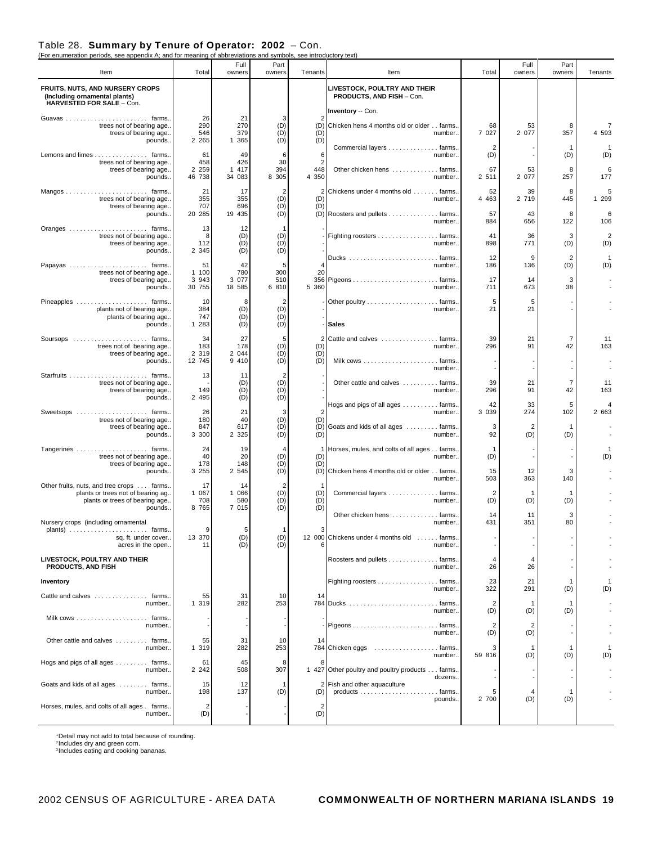#### Table 28. **Summary by Tenure of Operator: 2002** – Con.

| (For enumeration periods, see appendix A; and for meaning of abbreviations and symbols, see introductory text)<br>Item | Total                            | Full<br>owners                  | Part<br>owners                      | Tenants                    | Item                                                                                                 | Total                        | Full<br>owners        | Part<br>owners                              | Tenants                      |
|------------------------------------------------------------------------------------------------------------------------|----------------------------------|---------------------------------|-------------------------------------|----------------------------|------------------------------------------------------------------------------------------------------|------------------------------|-----------------------|---------------------------------------------|------------------------------|
| FRUITS, NUTS, AND NURSERY CROPS<br>(Including ornamental plants)<br><b>HARVESTED FOR SALE - Con.</b>                   |                                  |                                 |                                     |                            | LIVESTOCK, POULTRY AND THEIR<br>PRODUCTS, AND FISH - Con.                                            |                              |                       |                                             |                              |
| trees not of bearing age.<br>trees of bearing age.<br>pounds.                                                          | 26<br>290<br>546<br>2 2 6 5      | 21<br>270<br>379<br>1 365       | 3<br>(D)<br>(D)<br>(D)              | (D)<br>(D)<br>(D)          | <b>Inventory -- Con.</b><br>Chicken hens 4 months old or older farms.<br>number                      | 68<br>7 027                  | 53<br>2 077           | 8<br>357                                    | 4 5 9 3                      |
| Lemons and limes farms.<br>trees not of bearing age.<br>trees of bearing age.                                          | 61<br>458<br>2 2 5 9             | 49<br>426<br>1 417              | 6<br>30<br>394                      | 6<br>$\overline{2}$<br>448 | Commercial layers farms.<br>number<br>Other chicken hens  farms.                                     | $\overline{2}$<br>(D)<br>67  | 53                    | -1<br>(D)<br>8                              | -1<br>(D)<br>6               |
| pounds.                                                                                                                | 46 738<br>21                     | 34 083<br>17                    | 8 3 0 5<br>$\overline{c}$           | 4 350                      | number<br>2 Chickens under 4 months old  farms.                                                      | 2 511<br>52                  | 2 077<br>39           | 257<br>8                                    | 177<br>5                     |
| trees not of bearing age.<br>trees of bearing age.<br>pounds.                                                          | 355<br>707<br>20 285             | 355<br>696<br>19 435            | (D)<br>(D)<br>(D)                   | (D)<br>(D)                 | number<br>(D) Roosters and pullets farms.                                                            | 4 4 6 3<br>57                | 2 719<br>43           | 445<br>8                                    | 1 2 9 9<br>6                 |
| trees not of bearing age.<br>trees of bearing age.<br>pounds.                                                          | 13<br>8<br>112<br>2 3 4 5        | 12<br>(D)<br>(D)<br>(D)         | $\mathbf{1}$<br>(D)<br>(D)<br>(D)   |                            | number<br>Fighting roosters farms.<br>number                                                         | 884<br>41<br>898             | 656<br>36<br>771      | 122<br>3<br>(D)                             | 106<br>$\overline{2}$<br>(D) |
| Papayas  farms.<br>trees not of bearing age.<br>trees of bearing age.<br>pounds.                                       | 51<br>1 100<br>3 9 4 3<br>30 755 | 42<br>780<br>3 0 7 7<br>18 585  | $\sqrt{5}$<br>300<br>510<br>6 810   | 20<br>5 360                | number<br>number                                                                                     | 12<br>186<br>17<br>711       | 9<br>136<br>14<br>673 | $\overline{2}$<br>(D)<br>$\mathbf{3}$<br>38 | -1<br>(D)                    |
| Pineapples  farms.<br>plants not of bearing age.<br>plants of bearing age.<br>pounds.                                  | 10<br>384<br>747<br>1 283        | 8<br>(D)<br>(D)<br>(D)          | $\overline{c}$<br>(D)<br>(D)<br>(D) |                            | number<br><b>Sales</b>                                                                               | 5<br>21                      | 5<br>21               |                                             |                              |
| Soursops  farms.<br>trees not of bearing age.<br>trees of bearing age.                                                 | 34<br>183<br>2 3 1 9<br>12 745   | 27<br>178<br>2 0 4 4<br>9 4 1 0 | 5<br>(D)<br>(D)<br>(D)              | (D)<br>(D)<br>(D)          | 2 Cattle and calves  farms.<br>number                                                                | 39<br>296                    | 21<br>91              | $\overline{7}$<br>42                        | 11<br>163                    |
| pounds.<br>trees not of bearing age.<br>trees of bearing age.                                                          | 13<br>149                        | 11<br>(D)<br>(D)                | $\overline{2}$<br>(D)<br>(D)        |                            | number<br>Other cattle and calves  farms.<br>number                                                  | 39<br>296                    | 21<br>91              | $\overline{7}$<br>42                        | 11<br>163                    |
| pounds.<br>Sweetsops  farms.<br>trees not of bearing age.                                                              | 2 4 9 5<br>26<br>180             | (D)<br>21<br>40                 | (D)<br>3<br>(D)                     | 2<br>(D)                   | Hogs and pigs of all ages farms.<br>number                                                           | 42<br>3 0 3 9                | 33<br>274             | $\,$ 5<br>102                               | $\overline{4}$<br>2 663      |
| trees of bearing age.<br>pounds.                                                                                       | 847<br>3 300                     | 617<br>2 3 2 5                  | (D)<br>(D)                          | (D)                        | (D) Goats and kids of all ages  farms.<br>number                                                     | 3<br>92                      | 2<br>(D)              | $\mathbf{1}$<br>(D)                         |                              |
| Tangerines  farms.<br>trees not of bearing age.<br>trees of bearing age.<br>pounds.                                    | 24<br>40<br>178<br>3 2 5 5       | 19<br>20<br>148<br>2 5 4 5      | $\overline{4}$<br>(D)<br>(D)<br>(D) | (D)<br>(D)<br>(D)          | 1 Horses, mules, and colts of all ages farms.<br>number<br>Chicken hens 4 months old or older farms. | $\mathbf{1}$<br>(D)<br>15    | 12                    | 3                                           | -1<br>(D)                    |
| Other fruits, nuts, and tree crops farms.<br>plants or trees not of bearing ag.<br>plants or trees of bearing age.     | 17<br>1 0 6 7<br>708             | 14<br>1 0 6 6<br>580            | $\overline{2}$<br>(D)<br>(D)        | (D)<br>(D)                 | number<br>Commercial layers farms.<br>number                                                         | 503<br>$\overline{2}$<br>(D) | 363<br>1<br>(D)       | 140<br>$\mathbf{1}$<br>(D)                  |                              |
| pounds.<br>Nursery crops (including ornamental                                                                         | 8 7 6 5                          | 7 015                           | (D)                                 | (D)                        | Other chicken hens  farms.<br>number                                                                 | 14<br>431                    | 11<br>351             | 3<br>80                                     |                              |
| plants)  farms.<br>sq. ft. under cover.<br>acres in the open.                                                          | 9<br>13 370<br>11                | 5<br>(D)<br>(D)                 | (D)<br>(D)                          | 3                          | 12 000 Chickens under 4 months old  farms.<br>number                                                 |                              |                       |                                             |                              |
| LIVESTOCK, POULTRY AND THEIR<br><b>PRODUCTS, AND FISH</b>                                                              |                                  |                                 |                                     |                            | Roosters and pullets farms.<br>number                                                                | 4<br>26                      | $\overline{4}$<br>26  |                                             |                              |
| Inventory                                                                                                              |                                  |                                 |                                     |                            | Fighting roosters farms.<br>number                                                                   | 23<br>322                    | 21<br>291             | -1<br>(D)                                   | $\mathbf{1}$<br>(D)          |
| Cattle and calves  farms.<br>number.                                                                                   | 55<br>1 319                      | 31<br>282                       | 10<br>253                           | 14                         | number                                                                                               | $\overline{2}$<br>(D)        | -1<br>(D)             | (D)                                         |                              |
| number.                                                                                                                |                                  |                                 |                                     |                            | number                                                                                               | 2<br>(D)                     | $\overline{2}$<br>(D) |                                             |                              |
| Other cattle and calves  farms.<br>number.                                                                             | 55<br>1 319                      | 31<br>282                       | 10<br>253                           |                            | 784 Chicken eggs farms.<br>number                                                                    | з<br>59 816                  | -1<br>(D)             | 1<br>(D)                                    | $\mathbf{1}$<br>(D)          |
| Hogs and pigs of all ages farms.<br>number.                                                                            | 61<br>2 2 4 2                    | 45<br>508                       | 8<br>307                            |                            | 1 427 Other poultry and poultry products farms.<br>dozens.                                           |                              |                       |                                             |                              |
| Goats and kids of all ages  farms.<br>number                                                                           | 15<br>198                        | 12<br>137                       | -1<br>(D)                           | (D)                        | 2 Fish and other aquaculture                                                                         | 5<br>2 700                   | 4<br>(D)              | 1                                           |                              |
| Horses, mules, and colts of all ages. farms.<br>number.                                                                | $\overline{2}$<br>(D)            |                                 |                                     | 2<br>(D)                   | pounds.                                                                                              |                              |                       | (D)                                         |                              |

<sup>1</sup>Detail may not add to total because of rounding.<br><sup>2</sup>Includes dry and green corn.<br><sup>3</sup>Includes eating and cooking bananas.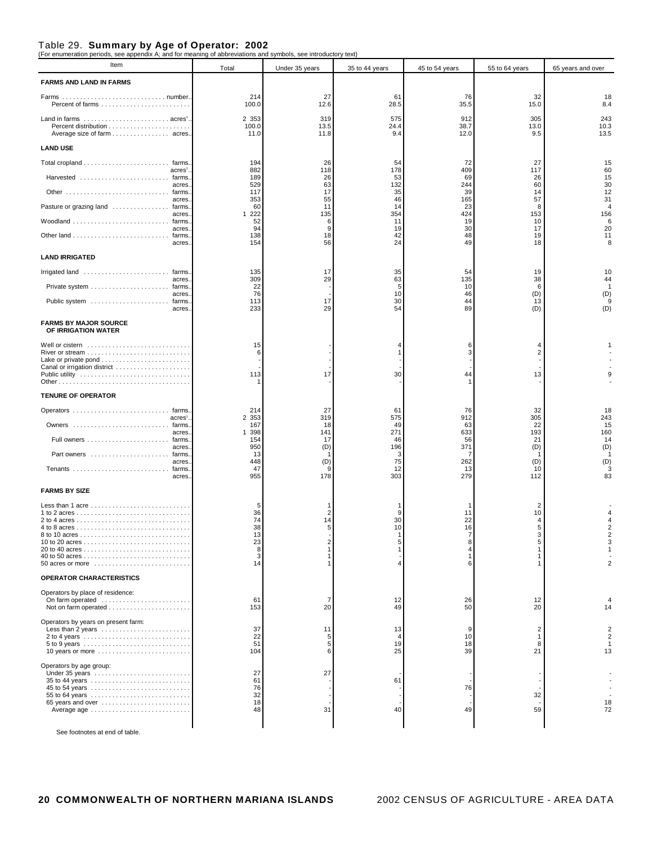| roi enumeration penous, see appenuix A, and for meaning or abbreviations and symbols, see introductory text,<br>Item | Total                                     | Under 35 years              | 35 to 44 years                   | 45 to 54 years               | 55 to 64 years                      | 65 years and over                |
|----------------------------------------------------------------------------------------------------------------------|-------------------------------------------|-----------------------------|----------------------------------|------------------------------|-------------------------------------|----------------------------------|
| <b>FARMS AND LAND IN FARMS</b>                                                                                       |                                           |                             |                                  |                              |                                     |                                  |
|                                                                                                                      | 214<br>100.0                              | 27<br>12.6                  | 61<br>28.5                       | 76<br>35.5                   | 32<br>15.0                          | 18<br>8.4                        |
| Average size of farm acres.                                                                                          | 2 3 5 3<br>100.0<br>11.0                  | 319<br>13.5<br>11.8         | 575<br>24.4<br>9.4               | 912<br>38.7<br>12.0          | 305<br>13.0<br>9.5                  | 243<br>10.3<br>13.5              |
| <b>LAND USE</b>                                                                                                      |                                           |                             |                                  |                              |                                     |                                  |
| acres <sup>1</sup><br>Harvested  farms.<br>acres.<br>Other  farms.                                                   | 194<br>882<br>189<br>529<br>117           | 26<br>118<br>26<br>63<br>17 | 54<br>178<br>53<br>132<br>35     | 72<br>409<br>69<br>244<br>39 | 27<br>117<br>26<br>60<br>14         | 15<br>60<br>15<br>30<br>12       |
| acres.<br>Pasture or grazing land  farms.<br>acres.<br>Woodland  farms.                                              | 353<br>60<br>222<br>1<br>52               | 55<br>11<br>135<br>6        | 46<br>14<br>354<br>11            | 165<br>23<br>424<br>19       | 57<br>8<br>153<br>10                | 31<br>$\overline{4}$<br>156<br>6 |
| acres.<br>farms.<br>acres.                                                                                           | 94<br>138<br>154                          | 9<br>18<br>56               | 19<br>42<br>24                   | 30<br>48<br>49               | 17<br>19<br>18                      | 20<br>11<br>8                    |
| <b>LAND IRRIGATED</b>                                                                                                |                                           |                             |                                  |                              |                                     |                                  |
| Irrigated land  farms.                                                                                               | 135                                       | 17                          | 35                               | 54                           | 19                                  | 10                               |
| acres.<br>acres.                                                                                                     | 309<br>22<br>76                           | 29                          | 63<br>5<br>10                    | 135<br>10<br>46              | 38<br>6<br>(D)                      | 44<br>-1<br>(D)                  |
| Public system  farms.<br>acres.                                                                                      | 113<br>233                                | 17<br>29                    | 30<br>54                         | 44<br>89                     | 13<br>(D)                           | 9<br>(D)                         |
| <b>FARMS BY MAJOR SOURCE</b><br>OF IRRIGATION WATER                                                                  |                                           |                             |                                  |                              |                                     |                                  |
| Well or cistern<br>Canal or irrigation district                                                                      | 15<br>6<br>113                            | 17                          | 30                               | 6<br>3<br>44                 | 4<br>$\overline{2}$<br>13           |                                  |
| <b>TENURE OF OPERATOR</b>                                                                                            |                                           |                             |                                  |                              |                                     |                                  |
| Operators  farms.<br>acres <sup>1</sup>                                                                              | 214<br>2 3 5 3                            | 27<br>319                   | 61<br>575                        | 76<br>912                    | 32<br>305                           | 18<br>243                        |
| Owners  farms.<br>acres.                                                                                             | 167<br>1 3 9 8                            | 18<br>141                   | 49<br>271                        | 63<br>633                    | 22<br>193                           | 15<br>160                        |
| Full owners  farms.<br>acres.                                                                                        | 154<br>950                                | 17<br>(D)                   | 46<br>196                        | 56<br>371                    | 21<br>(D)                           | 14<br>(D)                        |
| Part owners  farms.<br>acres.<br>Tenants<br>farms.<br>acres.                                                         | 13<br>448<br>47<br>955                    | (D)<br>178                  | 3<br>75<br>12<br>303             | 7<br>262<br>13<br>279        | -1<br>(D)<br>10<br>112              | (D)<br>3<br>83                   |
| <b>FARMS BY SIZE</b>                                                                                                 |                                           |                             |                                  |                              |                                     |                                  |
| 50 acres or more                                                                                                     | 5<br>36<br>74<br>38<br>23<br>8<br>3<br>14 | 14<br>5                     | 9<br>30<br>10                    | 11<br>22<br>16<br>6          | 2<br>10<br>$\overline{4}$<br>5<br>5 |                                  |
| <b>OPERATOR CHARACTERISTICS</b>                                                                                      |                                           |                             |                                  |                              |                                     |                                  |
| Operators by place of residence:<br>On farm operated                                                                 | 61<br>153                                 | 20                          | 12<br>49                         | 26<br>50                     | 12<br>20                            |                                  |
| Operators by years on present farm:<br>Less than 2 years<br>10 years or more                                         | 37<br>22<br>51<br>104                     | 11<br>5<br>5<br>6           | 13<br>$\overline{4}$<br>19<br>25 | 9<br>10<br>18<br>39          | 2<br>$\mathbf{1}$<br>8<br>21        | 2<br>13                          |
| Operators by age group:<br>Under 35 years<br>65 years and over<br>Average age                                        | 27<br>61<br>76<br>32<br>18<br>48          | 27<br>31                    | 61<br>40                         | 76<br>49                     | 32<br>59                            | 18<br>72                         |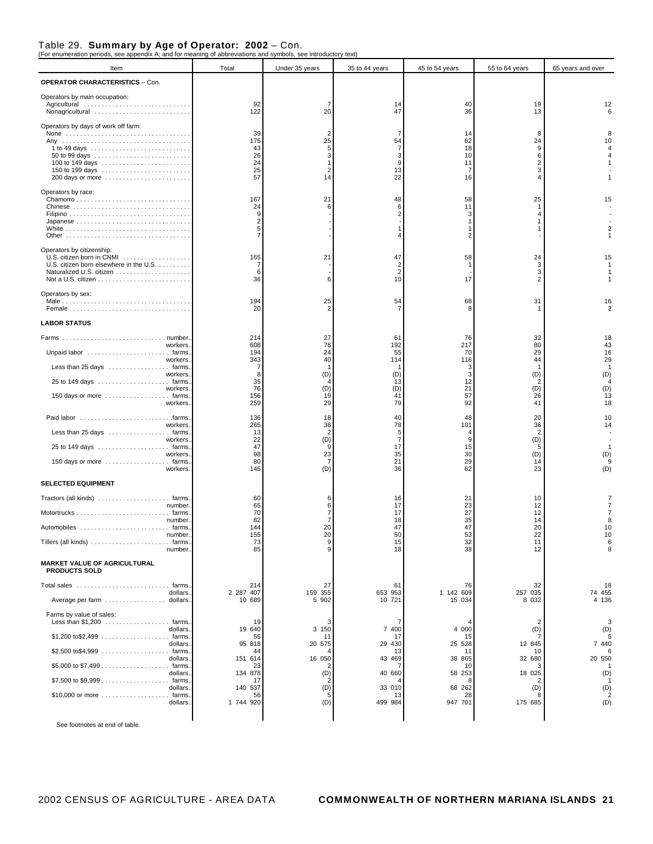| FUI Briunieration penous, see appenuix A, and for meaning or appreviations and symbols, see introductory text)   |                            |                      |                         |                         |                |                              |
|------------------------------------------------------------------------------------------------------------------|----------------------------|----------------------|-------------------------|-------------------------|----------------|------------------------------|
| Item                                                                                                             | Total                      | Under 35 years       | 35 to 44 years          | 45 to 54 years          | 55 to 64 years | 65 years and over            |
| <b>OPERATOR CHARACTERISTICS - Con.</b>                                                                           |                            |                      |                         |                         |                |                              |
| Operators by main occupation:<br>Agricultural<br>Nonagricultural                                                 | 92<br>122                  | 7<br>20              | 14<br>47                | 40<br>36                | 19<br>13       | 12<br>6                      |
| Operators by days of work off farm:                                                                              | 39                         | $\overline{2}$       | 7                       | 14                      | 8              | 8                            |
|                                                                                                                  | 175<br>43                  | 25<br>5              | 54<br>-7                | 62<br>18                | 24<br>9        | 10<br>4                      |
|                                                                                                                  | 26<br>24                   | 3                    | 3<br>9                  | 10                      | 6              |                              |
| 100 to 149 days $\dots\dots\dots\dots\dots\dots\dots\dots\dots\dots\dots$<br>150 to 199 days<br>200 days or more | 25<br>57                   | $\overline{2}$<br>14 | 13<br>22                | 11<br>7<br>16           | 2<br>3<br>4    |                              |
| Operators by race:                                                                                               | 167                        | 21                   | 48                      | 58                      | 25             | 15                           |
|                                                                                                                  | 24                         | 6                    | 6                       | 11                      |                |                              |
|                                                                                                                  | 9<br>2                     |                      | 2                       |                         | 4              |                              |
|                                                                                                                  | 5<br>$\overline{7}$        |                      |                         |                         |                | 2                            |
| Operators by citizenship:<br>U.S. citizen born in CNMI                                                           | 165                        | 21                   | 47                      | 58                      | 24             | 15                           |
| U.S. citizen born elsewhere in the U.S.                                                                          | 7                          |                      | 2                       |                         | 3              | $\mathbf{1}$                 |
|                                                                                                                  | 6<br>36                    | 6                    | $\overline{2}$<br>10    | 17                      | 3<br>2         | -1                           |
| Operators by sex:                                                                                                |                            |                      |                         |                         |                |                              |
|                                                                                                                  | 194<br>20                  | 25                   | 54<br>7                 | 68                      | 31             | 16<br>2                      |
| <b>LABOR STATUS</b>                                                                                              |                            |                      |                         |                         |                |                              |
| workers.                                                                                                         | 214<br>608                 | 27<br>76             | 61<br>192               | 76<br>217               | 32<br>80       | 18<br>43                     |
| Unpaid labor  farms.<br>workers.                                                                                 | 194<br>343                 | 24<br>40             | 55<br>114               | 70<br>116               | 29<br>44       | 16<br>29                     |
| Less than 25 days  farms.<br>workers.                                                                            | 7<br>8                     | (D)                  | (D)                     | 3<br>3                  | (D)            | $\overline{1}$<br>(D)        |
| workers.                                                                                                         | 35<br>76                   | (D)                  | 13<br>(D)               | 12<br>21                | 2<br>(D)       | $\overline{4}$<br>(D)        |
| 150 days or more  farms.<br>workers.                                                                             | 156<br>259                 | 19<br>29             | 41<br>79                | 57<br>92                | 26<br>41       | 13<br>18                     |
|                                                                                                                  | 136                        | 18                   | 40                      | 48                      | 20             | 10                           |
| workers.<br>Less than 25 days  farms.                                                                            | 265<br>13                  | 36<br>$\overline{2}$ | 78<br>5                 | 101                     | 36<br>2        | 14                           |
| workers.                                                                                                         | 22<br>47                   | (D)<br>g             | $\overline{7}$<br>17    | 9<br>15                 | (D)<br>5       | $\mathbf{1}$                 |
| workers.<br>150 days or more  farms.                                                                             | 98<br>80                   | 23<br>-7             | 35<br>21                | 30<br>29                | (D)<br>14      | (D)<br>9                     |
| workers.<br><b>SELECTED EQUIPMENT</b>                                                                            | 145                        | (D)                  | 36                      | 62                      | 23             | (D)                          |
|                                                                                                                  | 60                         | 6                    | 16                      | 21                      | 10             |                              |
| number.                                                                                                          | 65<br>70                   | 6<br>$\overline{7}$  | 17<br>17                | 23<br>27                | 12<br>12       | 7<br>7                       |
| number.<br>Automobiles  farms.                                                                                   | 82<br>144                  | $\overline{7}$<br>20 | 18<br>47                | 35<br>47                | 14<br>20       | 8<br>10                      |
| number<br>farms.<br>number.                                                                                      | 155<br>73<br>85            | 9<br>9               | 50<br>15<br>18          | 53<br>32<br>38          | 22<br>11<br>12 | 10<br>6<br>8                 |
| MARKET VALUE OF AGRICULTURAL<br><b>PRODUCTS SOLD</b>                                                             |                            |                      |                         |                         |                |                              |
| farms.<br>dollars.                                                                                               | 214<br>2 287 407           | 27<br>159 355        | 61<br>653 953           | 76<br>1 142 609         | 32<br>257 035  | 18<br>74 455                 |
| Average per farm<br>dollars.                                                                                     | 10 689                     | 5 902                | 10 721                  | 15 034                  | 8 0 3 2        | 4 136                        |
| Farms by value of sales:<br>Less than $$1,200$ farms.                                                            | 19                         |                      | -7                      |                         | 2              | 3                            |
| dollars.<br>$$1,200$ to $$2,499$<br>. farms.                                                                     | 19 640<br>55               | 3 150<br>11          | 7 400<br>17             | 4 000<br>15             | (D)            | (D)<br>5                     |
| dollars.                                                                                                         | 95 818<br>44               | 20 575               | 29 430<br>13            | 25 528<br>11            | 12 845<br>10   | 7 440<br>6                   |
| dollars.                                                                                                         | 151 614<br>23              | 16 050               | 43 469                  | 38 865<br>10            | 32 680         | 20 550<br>-1                 |
| dollars.<br>. farms.                                                                                             | 134 878<br>17              | (D)                  | 40 660                  | 58 253                  | 18 025         | (D)<br>-1                    |
| dollars.<br>. farms.<br>\$10,000 or more $\dots\dots\dots\dots\dots\dots\dots$<br>dollars.                       | 140 537<br>56<br>1 744 920 | (D)<br>(D)           | 33 010<br>13<br>499 984 | 68 262<br>28<br>947 701 | (D)<br>175 685 | (D)<br>$\overline{2}$<br>(D) |
|                                                                                                                  |                            |                      |                         |                         |                |                              |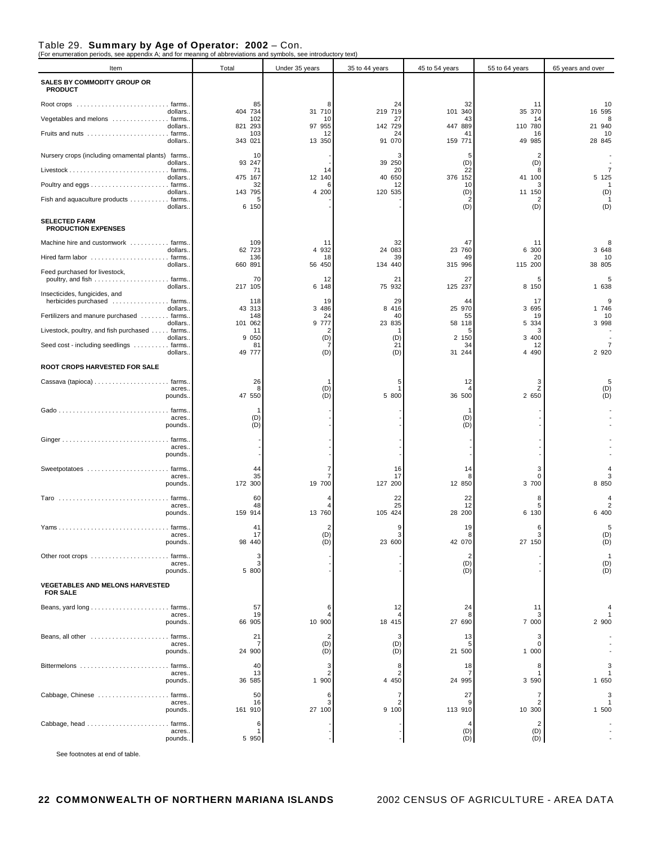| Item                                                           | Total                   | Under 35 years   | 35 to 44 years      | 45 to 54 years        | 55 to 64 years                  | 65 years and over            |
|----------------------------------------------------------------|-------------------------|------------------|---------------------|-----------------------|---------------------------------|------------------------------|
| SALES BY COMMODITY GROUP OR<br><b>PRODUCT</b>                  |                         |                  |                     |                       |                                 |                              |
| dollars.                                                       | 85<br>404 734           | 31 710           | 24<br>219 719       | 32<br>101 340         | 11<br>35 370                    | 10<br>16 595                 |
| Vegetables and melons  farms.<br>dollars.                      | 102<br>293<br>821       | 10<br>97<br>955  | 27<br>142 729       | 43<br>447 889         | 14<br>110 780                   | 8<br>21 940                  |
| Fruits and nuts  farms.<br>dollars.                            | 103<br>343 021          | 12<br>13 350     | 24<br>91 070        | 41<br>159 771         | 16<br>49 985                    | 10<br>28 845                 |
| Nursery crops (including ornamental plants) farms.             | 10<br>93 247            |                  | 39 250              | 5<br>(D)              | $\overline{2}$                  |                              |
| dollars.                                                       | 71                      | 14               | 20                  | 22                    | (D)<br>8                        | 7                            |
| dollars.                                                       | 475 167<br>-32          | 12 140           | 40 650<br>12        | 376 152<br>10         | 41 100<br>3                     | 5 125                        |
| dollars.<br>Fish and aquaculture products farms.<br>dollars    | 143 795<br>6 150        | 4 200            | 120 535             | (D)<br>2<br>(D)       | 11 150<br>$\overline{2}$<br>(D) | (D)<br>(D)                   |
| <b>SELECTED FARM</b><br><b>PRODUCTION EXPENSES</b>             |                         |                  |                     |                       |                                 |                              |
| Machine hire and customwork  farms.                            | 109                     | 11               | 32                  | 47                    | 11                              | Я                            |
| dollars.<br>Hired farm labor  farms.                           | 62 723<br>136           | 4 9 3 2<br>18    | 24 083<br>39        | 23 760<br>49          | 6 300<br>20                     | 3 648<br>10                  |
| dollars.<br>Feed purchased for livestock,                      | 660 891                 | 56 450           | 134 440             | 315 996               | 115 200                         | 38 805                       |
| dollars.                                                       | 70<br>217 105           | 12<br>6 148      | 21<br>75 932        | 27<br>125 237         | 5<br>8 150                      | 5<br>1 638                   |
| Insecticides, fungicides, and<br>herbicides purchased  farms.  | 118                     | 19               | 29                  | 44                    | 17                              | o                            |
| dollars.<br>Fertilizers and manure purchased  farms.           | 43 313<br>148           | 3 486<br>24      | 8 4 1 6<br>40       | 25 970<br>55          | 3 6 9 5<br>19                   | 1 746<br>10                  |
| dollars.<br>Livestock, poultry, and fish purchased  farms.     | 101 062<br>11           | 9 7 7 7          | 23 835              | 58 118<br>5           | 5 3 3 4<br>3                    | 3 9 9 8                      |
| dollars.<br>Seed cost - including seedlings  farms.<br>dollars | 9 0 5 0<br>81<br>49 777 | (D)<br>(D)       | (D)<br>21<br>(D)    | 2 150<br>34<br>31 244 | 3 400<br>12<br>4 4 9 0          | 2 9 2 0                      |
| ROOT CROPS HARVESTED FOR SALE                                  |                         |                  |                     |                       |                                 |                              |
|                                                                | 26                      |                  | 5                   | 12                    | 3                               | 5                            |
| acres.<br>pounds                                               | 8<br>47 550             | (D)<br>(D)       | 5 800               | 4<br>36 500           | Z<br>2 650                      | (D)<br>(D)                   |
| acres.<br>pounds.                                              | -1<br>(D)<br>(D)        |                  |                     | 1<br>(D)<br>(D)       |                                 |                              |
| acres.<br>pounds                                               |                         |                  |                     |                       |                                 |                              |
| Sweetpotatoes  farms.<br>acres.<br>pounds.                     | 44<br>35<br>172 300     | 19 700           | 16<br>17<br>127 200 | 14<br>8<br>12 850     | 3<br>$\Omega$<br>3 700          | 8 8 5 0                      |
| Taro  farms.<br>acres.<br>pounds.                              | 60<br>48<br>159 914     | 13 760           | 22<br>25<br>105 424 | 22<br>12<br>28 200    | 8<br>5<br>6 130                 | 6 400                        |
| acres<br>pounds.                                               | 41<br>17<br>98 440      | 2<br>(D)<br>(D)  | 9<br>23 600         | 19<br>я<br>42 070     | 6<br>27 150                     | 5<br>(D)<br>(D)              |
| . farms.<br>acres.<br>pounds                                   | З<br>3<br>5 800         |                  |                     | 2<br>(D)<br>(D)       |                                 | $\overline{1}$<br>(D)<br>(D) |
| <b>VEGETABLES AND MELONS HARVESTED</b><br><b>FOR SALE</b>      |                         |                  |                     |                       |                                 |                              |
| acres.<br>pounds.                                              | 57<br>19<br>66 905      | 10 900           | 12<br>18 415        | 24<br>8<br>27 690     | 11<br>3<br>7 000                | 4<br>2 900                   |
| Beans, all other  farms.<br>acres.<br>pounds                   | 21<br>7<br>24 900       | 2<br>(D)<br>(D)  | 3<br>(D)<br>(D)     | 13<br>5<br>21 500     | 3<br>0<br>1 000                 |                              |
| Bittermelons  farms.<br>acres.<br>pounds                       | 40<br>13<br>36 585      | 3<br>1 900       | 8<br>2<br>4 4 5 0   | 18<br>7<br>24 995     | 8<br>3 5 9 0                    | 3<br>-1<br>1 650             |
| Cabbage, Chinese  farms.<br>acres.<br>pounds.                  | 50<br>16<br>161 910     | 6<br>з<br>27 100 | 7<br>2<br>9 100     | 27<br>9<br>113 910    | 7<br>2<br>10 300                | 3<br>-1<br>1 500             |
| Cabbage, head<br>. farms.<br>acres.<br>pounds                  | 6<br>5 9 5 0            |                  |                     | 4<br>(D)<br>(D)       | $\overline{2}$<br>(D)<br>(D)    |                              |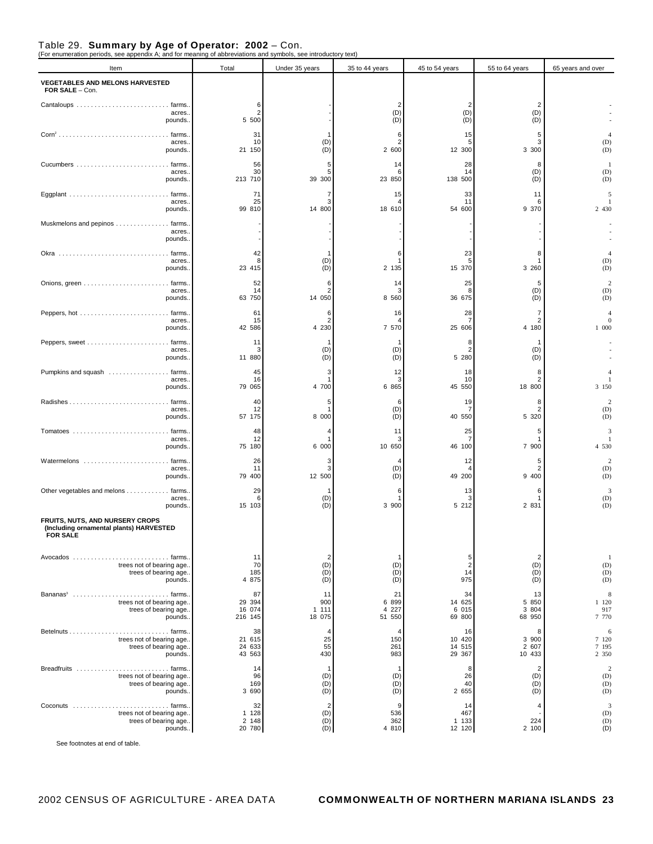| Item                                                                                          | Total                             | Under 35 years                          | 35 to 44 years                     | 45 to 54 years                                     | 55 to 64 years                      | 65 years and over                         |
|-----------------------------------------------------------------------------------------------|-----------------------------------|-----------------------------------------|------------------------------------|----------------------------------------------------|-------------------------------------|-------------------------------------------|
| <b>VEGETABLES AND MELONS HARVESTED</b><br>FOR SALE - Con.                                     |                                   |                                         |                                    |                                                    |                                     |                                           |
| Cantaloups  farms.<br>acres.<br>pounds                                                        | 6<br>2<br>5 500                   |                                         | 2<br>(D)<br>(D)                    | $\overline{2}$<br>(D)<br>(D)                       | $\overline{c}$<br>(D)<br>(D)        |                                           |
| acres.<br>pounds.                                                                             | 31<br>10<br>21 150                | (D)<br>(D)                              | 6<br>2<br>2 600                    | 15<br>5<br>12 300                                  | 5<br>3<br>3 300                     | (D)<br>(D)                                |
| Cucumbers  farms.<br>acres.<br>pounds.                                                        | 56<br>30<br>213 710               | 39 300                                  | 14<br>6<br>23 850                  | 28<br>14<br>138 500                                | 8<br>(D)<br>(D)                     | $\overline{1}$<br>(D)<br>(D)              |
| Eggplant  farms.<br>acres.<br>pounds.                                                         | 71<br>25<br>99 810                | 7<br>14 800                             | 15<br>18 610                       | 33<br>11<br>54 600                                 | 11<br>6<br>9 370                    | 5<br>2 4 3 0                              |
| Muskmelons and pepinos  farms.<br>acres.<br>pounds                                            |                                   |                                         |                                    |                                                    |                                     |                                           |
| Okra<br>acres.<br>pounds.                                                                     | 42<br>8<br>23 415                 | (D)<br>(D)                              | 6<br>2 1 3 5                       | 23<br>5<br>15 370                                  | 8<br>-1<br>3 2 6 0                  | $\overline{4}$<br>(D)<br>(D)              |
| acres.<br>pounds.                                                                             | 52<br>14<br>63 750                | 6<br>14 050                             | 14<br>8 5 6 0                      | 25<br>8<br>36 675                                  | 5<br>(D)<br>(D)                     | $\overline{2}$<br>(D)<br>(D)              |
| acres.<br>pounds                                                                              | 61<br>15<br>42 586                | 6<br>2<br>4 2 3 0                       | 16<br>7 570                        | 28<br>7<br>25 606                                  | 7<br>$\overline{2}$<br>4 180        | $\Omega$<br>1 000                         |
| acres.<br>pounds.                                                                             | 11<br>11 880                      | -1<br>(D)<br>(D)                        | 1<br>(D)<br>(D)                    | 8<br>2<br>5 280                                    | 1<br>(D)<br>(D)                     |                                           |
| Pumpkins and squash  farms.<br>acres.<br>pounds.                                              | 45<br>16<br>79 065                | 3<br>4 700                              | 12<br>3<br>6 8 6 5                 | 18<br>10<br>45 550                                 | 8<br>$\overline{2}$<br>18 800       | 3 150                                     |
| acres.<br>pounds.                                                                             | 40<br>12<br>57 175                | 5<br>8 000                              | 6<br>(D)<br>(D)                    | 19<br>7<br>40 550                                  | 8<br>$\overline{2}$<br>5 3 2 0      | $\overline{\mathbf{c}}$<br>(D)<br>(D)     |
| Tomatoes  farms.<br>acres.<br>pounds.                                                         | 48<br>12<br>75 180                | 6 000                                   | 11<br>3<br>10 650                  | 25<br>7<br>46 100                                  | 5<br>7 900                          | 3<br>4 530                                |
| Watermelons farms.<br>acres.<br>pounds.                                                       | 26<br>11<br>79 400                | 3<br>12 500                             | 4<br>(D)<br>(D)                    | 12<br>49 200                                       | 5<br>$\overline{2}$<br>9 400        | 2<br>(D)<br>(D)                           |
| Other vegetables and melons farms.<br>acres.<br>pounds.                                       | 29<br>6<br>15 103                 | (D)<br>(D)                              | 6<br>1<br>3 900                    | 13<br>3<br>5 212                                   | 6<br>-1<br>2 831                    | 3<br>(D)<br>(D)                           |
| FRUITS, NUTS, AND NURSERY CROPS<br>(Including ornamental plants) HARVESTED<br><b>FOR SALE</b> |                                   |                                         |                                    |                                                    |                                     |                                           |
| Avocados  farms.<br>trees not of bearing age.<br>trees of bearing age.<br>pounds.             | 11<br>70<br>185<br>4 875          | $\overline{2}$<br>(D)<br>(D)<br>(D)     | 1<br>(D)<br>(D)<br>(D)             | $\begin{array}{c} 5 \\ 2 \end{array}$<br>14<br>975 | $\overline{2}$<br>(D)<br>(D)<br>(D) | $\mathbf{1}$<br>(D)<br>(D)<br>(D)         |
| Bananas <sup>3</sup> farms.<br>trees not of bearing age.<br>trees of bearing age<br>pounds.   | 87<br>29 394<br>16 074<br>216 145 | 11<br>900<br>1 1 1 1<br>18 075          | 21<br>6 8 9 9<br>4 2 2 7<br>51 550 | 34<br>14 625<br>6 0 1 5<br>69 800                  | 13<br>5 8 5 0<br>3 804<br>68 950    | $\,$ 8 $\,$<br>1 1 2 0<br>917<br>7 7 7 0  |
| trees not of bearing age<br>trees of bearing age.<br>pounds.                                  | 38<br>21 615<br>24 633<br>43 563  | 4<br>25<br>55<br>430                    | 4<br>150<br>261<br>983             | 16<br>10 420<br>14 515<br>29 367                   | 8<br>3 900<br>2 607<br>10 433       | $\sqrt{6}$<br>7 1 2 0<br>7 195<br>2 3 5 0 |
| Breadfruits  farms.<br>trees not of bearing age.<br>trees of bearing age.<br>pounds.          | 14<br>96<br>169<br>3 6 9 0        | $\overline{1}$<br>(D)<br>(D)<br>(D)     | $\mathbf{1}$<br>(D)<br>(D)<br>(D)  | 8<br>26<br>40<br>2 655                             | $\overline{2}$<br>(D)<br>(D)<br>(D) | $\sqrt{2}$<br>(D)<br>(D)<br>(D)           |
| Coconuts  farms.<br>trees not of bearing age<br>trees of bearing age<br>pounds                | 32<br>1 1 2 8<br>2 148<br>20 780  | $\overline{2}$<br>(D)<br>$(D)$<br>$(D)$ | 9<br>536<br>362<br>4 8 1 0         | 14<br>467<br>1 1 3 3<br>12 120                     | 4<br>224<br>2 100                   | $\overline{3}$<br>(D)<br>$(D)$<br>$(D)$   |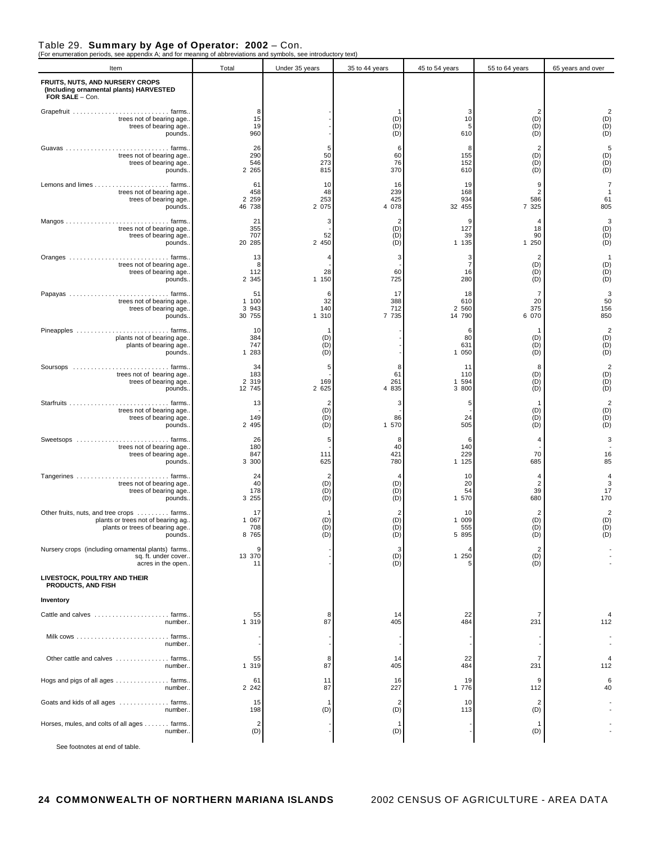| (For enumeration periods, see appendix A; and for meaning of abbreviations and symbols, see introductory text)<br>Item       | Total                            | Under 35 years                      | 35 to 44 years              | 45 to 54 years                   | 55 to 64 years                      | 65 years and over                                                   |
|------------------------------------------------------------------------------------------------------------------------------|----------------------------------|-------------------------------------|-----------------------------|----------------------------------|-------------------------------------|---------------------------------------------------------------------|
| FRUITS, NUTS, AND NURSERY CROPS<br>(Including ornamental plants) HARVESTED<br>FOR SALE - Con.                                |                                  |                                     |                             |                                  |                                     |                                                                     |
| Grapefruit  farms.<br>trees not of bearing age.<br>trees of bearing age.<br>pounds.                                          | 8<br>15<br>19<br>960             |                                     | (D)<br>(D)<br>(D)           | 3<br>10<br>5<br>610              | $\overline{2}$<br>(D)<br>(D)<br>(D) | $2$<br>(D)<br>(D)<br>(D)                                            |
| trees not of bearing age.<br>trees of bearing age.<br>pounds.                                                                | 26<br>290<br>546<br>2 2 6 5      | 5<br>50<br>273<br>815               | 6<br>60<br>76<br>370        | 8<br>155<br>152<br>610           | $\overline{2}$<br>(D)<br>(D)<br>(D) | $5$<br>(D)<br>(D)<br>(D)                                            |
| trees not of bearing age.<br>trees of bearing age.<br>pounds.                                                                | 61<br>458<br>2 2 5 9<br>46 738   | 10<br>48<br>253<br>2 0 7 5          | 16<br>239<br>425<br>4 0 78  | 19<br>168<br>934<br>32 455       | 9<br>$\overline{2}$<br>586<br>7 325 | $\overline{7}$<br>$\overline{1}$<br>61<br>805                       |
| trees not of bearing age.<br>trees of bearing age<br>pounds.                                                                 | 21<br>355<br>707<br>20 285       | 3<br>52<br>2 450                    | 2<br>(D)<br>(D)<br>(D)      | 9<br>127<br>39<br>1 1 3 5        | 4<br>18<br>90<br>1 250              | $\begin{array}{c} 3 \\ (D) \\ (D) \end{array}$<br>(D)               |
| trees not of bearing age.<br>trees of bearing age.<br>pounds.                                                                | 13<br>8<br>112<br>2 3 4 5        | 4<br>28<br>1 150                    | 3<br>60<br>725              | 3<br>$\overline{7}$<br>16<br>280 | $\overline{2}$<br>(D)<br>(D)<br>(D) | $\mathbf{1}$<br>(D)<br>$(D)$<br>$(D)$                               |
| trees not of bearing age.<br>trees of bearing age.<br>pounds.                                                                | 51<br>1 100<br>3 9 4 3<br>30 755 | 6<br>32<br>140<br>1 310             | 17<br>388<br>712<br>7 7 3 5 | 18<br>610<br>2 5 6 0<br>14 790   | 7<br>20<br>375<br>6 0 7 0           | $\overline{\mathbf{3}}$<br>50<br>156<br>850                         |
| Pineapples  farms.<br>plants not of bearing age.<br>plants of bearing age.<br>pounds.                                        | 10<br>384<br>747<br>1 283        | 1<br>(D)<br>(D)<br>(D)              |                             | 6<br>80<br>631<br>1 0 5 0        | (D)<br>(D)<br>(D)                   | $2$<br>(D)<br>(D)<br>(D)                                            |
| Soursops  farms.<br>trees not of bearing age.<br>trees of bearing age.<br>pounds.                                            | 34<br>183<br>2 3 1 9<br>12 745   | 5<br>169<br>2 6 2 5                 | 8<br>61<br>261<br>4 8 3 5   | 11<br>110<br>1 5 9 4<br>3 800    | 8<br>(D)<br>(D)<br>(D)              | $\begin{array}{c} 2 \\ \text{(D)} \\ \text{(D)} \end{array}$<br>(D) |
| trees not of bearing age.<br>trees of bearing age.<br>pounds.                                                                | 13<br>149<br>2 4 9 5             | $\overline{2}$<br>(D)<br>(D)<br>(D) | 3<br>86<br>1 570            | 5<br>24<br>505                   | (D)<br>(D)<br>(D)                   | $\begin{array}{c} 2 \\ \text{(D)} \\ \text{(D)} \end{array}$<br>(D) |
| trees not of bearing age.<br>trees of bearing age.<br>pounds.                                                                | 26<br>180<br>847<br>3 3 0 0      | 5<br>111<br>625                     | 8<br>40<br>421<br>780       | 6<br>140<br>229<br>1 1 2 5       | 4<br>70<br>685                      | 3<br>$\begin{array}{c} 16 \\ 85 \end{array}$                        |
| Tangerines farms.<br>trees not of bearing age.<br>trees of bearing age.<br>pounds                                            | 24<br>40<br>178<br>3 2 5 5       | $\overline{2}$<br>(D)<br>(D)<br>(D) | 4<br>(D)<br>(D)<br>(D)      | 10<br>20<br>54<br>1 570          | 4<br>$\overline{c}$<br>39<br>680    | 4<br>$\begin{array}{c} 3 \\ 17 \end{array}$<br>170                  |
| Other fruits, nuts, and tree crops farms.<br>plants or trees not of bearing ag.<br>plants or trees of bearing age<br>pounds. | 17<br>1 0 6 7<br>708<br>8765     | (D)<br>(D)<br>(D)                   | 2<br>(D)<br>(D)<br>(D)      | 10<br>1 009<br>555<br>5 895      | $\overline{2}$<br>(D)<br>(D)<br>(D) | $\sqrt{2}$<br>$(D)$<br>$(D)$<br>(D)                                 |
| Nursery crops (including ornamental plants) farms.<br>sq. ft. under cover<br>acres in the open                               | 9<br>13 370<br>11                |                                     | 3<br>(D)<br>(D)             | 1 250                            | $\overline{c}$<br>(D)<br>(D)        |                                                                     |
| LIVESTOCK, POULTRY AND THEIR<br>PRODUCTS, AND FISH                                                                           |                                  |                                     |                             |                                  |                                     |                                                                     |
| Inventory                                                                                                                    |                                  |                                     |                             |                                  |                                     |                                                                     |
| Cattle and calves  farms.<br>number.                                                                                         | 55<br>1 319                      | 8<br>87                             | 14<br>405                   | 22<br>484                        | 7<br>231                            | $\overline{4}$<br>112                                               |
| Milk cows $\dots \dots \dots \dots \dots \dots \dots \dots$ farms.<br>number.<br>Other cattle and calves  farms.             | 55                               | 8                                   | 14                          | 22                               | 7                                   | $\overline{4}$                                                      |
| number.<br>Hogs and pigs of all ages farms.                                                                                  | 1 3 1 9<br>61                    | 87<br>11                            | 405<br>16                   | 484<br>19                        | 231<br>9                            | 112<br>6                                                            |
| number.<br>Goats and kids of all ages  farms.                                                                                | 2 2 4 2<br>15                    | 87                                  | 227<br>$\overline{2}$       | 1 776<br>10                      | 112<br>2                            | 40                                                                  |
| number.<br>Horses, mules, and colts of all ages<br>farms.<br>number                                                          | 198<br>$\overline{2}$<br>(D)     | (D)                                 | (D)<br>(D)                  | 113                              | (D)<br>(D)                          |                                                                     |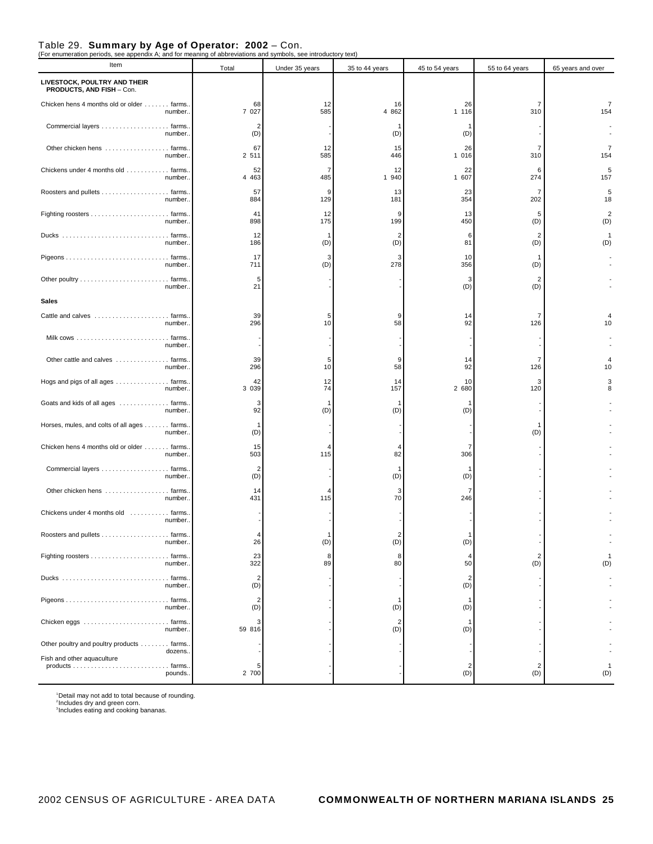| Item                                                      | Total                 | Under 35 years | 35 to 44 years        | 45 to 54 years        | 55 to 64 years                 | 65 years and over     |
|-----------------------------------------------------------|-----------------------|----------------|-----------------------|-----------------------|--------------------------------|-----------------------|
| LIVESTOCK, POULTRY AND THEIR<br>PRODUCTS, AND FISH - Con. |                       |                |                       |                       |                                |                       |
| Chicken hens 4 months old or older farms.<br>number.      | 68<br>7 0 2 7         | 12<br>585      | 16<br>4 8 6 2         | 26<br>1 1 1 6         | 7<br>310                       | 7<br>154              |
| Commercial layers farms.<br>number                        | 2<br>(D)              |                | 1<br>(D)              | (D)                   |                                |                       |
| Other chicken hens farms.<br>number                       | 67<br>2 5 1 1         | 12<br>585      | 15<br>446             | 26<br>1 0 1 6         | $\overline{7}$<br>310          | 7<br>154              |
| Chickens under 4 months old  farms.<br>number             | 52<br>4 4 6 3         | 7<br>485       | 12<br>1 940           | 22<br>1 607           | 6<br>274                       | 5<br>157              |
| Roosters and pullets farms.<br>number.                    | 57<br>884             | 9<br>129       | 13<br>181             | 23<br>354             | 7<br>202                       | 5<br>18               |
| number                                                    | 41<br>898             | 12<br>175      | 9<br>199              | 13<br>450             | 5<br>(D)                       | $\overline{2}$<br>(D) |
| number                                                    | 12<br>186             | (D)            | 2<br>(D)              | 6<br>81               | $\overline{2}$<br>(D)          | 1<br>(D)              |
| number.                                                   | 17<br>711             | з<br>(D)       | 3<br>278              | 10<br>356             | 1<br>(D)                       |                       |
| number                                                    | 5<br>21               |                |                       | 3<br>(D)              | $\overline{2}$<br>(D)          |                       |
| <b>Sales</b>                                              |                       |                |                       |                       |                                |                       |
| Cattle and calves  farms.<br>number                       | 39<br>296             | 5<br>10        | 9<br>58               | 14<br>92              | 7<br>126                       | 10                    |
| number.                                                   |                       |                |                       |                       |                                |                       |
| Other cattle and calves  farms.<br>number.                | 39<br>296             | 5<br>10        | 9<br>58               | 14<br>92              | $\overline{7}$<br>126          | 10                    |
| Hogs and pigs of all ages farms.<br>number                | 42<br>3 0 3 9         | 12<br>74       | 14<br>157             | 10<br>2 680           | 3<br>120                       |                       |
| Goats and kids of all ages  farms.<br>number              | 3<br>92               | (D)            | 1<br>(D)              | -1<br>(D)             |                                |                       |
| Horses, mules, and colts of all ages farms.<br>number.    | -1<br>(D)             |                |                       |                       | 1<br>(D)                       |                       |
| Chicken hens 4 months old or older farms.<br>number.      | 15<br>503             | 115            | 4<br>82               | 7<br>306              |                                |                       |
| Commercial layers farms.<br>number                        | $\overline{2}$<br>(D) |                | 1<br>(D)              | -1<br>(D)             |                                |                       |
| Other chicken hens  farms.<br>number.                     | 14<br>431             | 115            | 3<br>70               | 7<br>246              |                                |                       |
| Chickens under 4 months old  farms.<br>number.            |                       |                |                       |                       |                                |                       |
| Roosters and pullets<br>farms<br>number                   | 26                    | (D)            | (D)                   | (D)                   |                                |                       |
| number                                                    | 23<br>322             | 8<br>89        | 8<br>80               | 4<br>50               | $\overline{c}$<br>(D)          | (D)                   |
| Ducks  farms<br>number                                    | $\overline{2}$<br>(D) |                |                       | $\overline{2}$<br>(D) |                                |                       |
| number                                                    | 2<br>(D)              |                | 1<br>(D)              | -1<br>(D)             |                                |                       |
| number                                                    | 59 816                |                | $\overline{2}$<br>(D) | -1<br>(D)             |                                |                       |
| Other poultry and poultry products  farms.                |                       |                |                       |                       |                                |                       |
| dozens<br>Fish and other aquaculture<br>pounds.           | 5<br>2 700            |                |                       | $\overline{c}$<br>(D) | $\overline{\mathbf{c}}$<br>(D) | (D)                   |

<sup>1</sup>Detail may not add to total because of rounding.<br><sup>2</sup>Includes dry and green corn.<br><sup>3</sup>Includes eating and cooking bananas.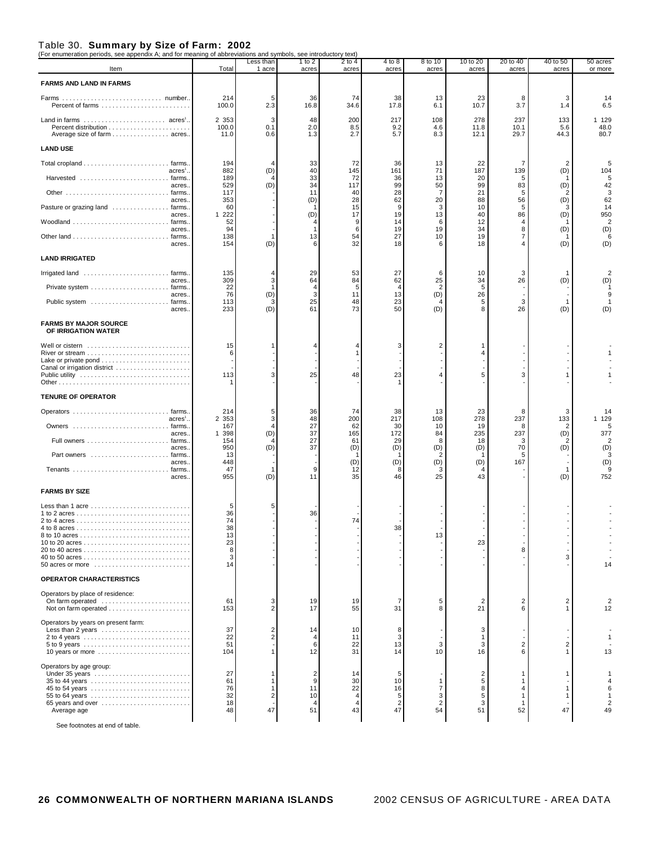#### Table 30. **Summary by Size of Farm: 2002**

| (For enumeration periods, see appendix A; and for meaning of abbreviations and symbols, see introductory text) |                          | Less than           | 1 to 2           | 2 to 4            | 4 to 8               | 8 to 10               | 10 to 20                 | 20 to 40            | 40 to 50                     | 50 acres                      |
|----------------------------------------------------------------------------------------------------------------|--------------------------|---------------------|------------------|-------------------|----------------------|-----------------------|--------------------------|---------------------|------------------------------|-------------------------------|
| Item                                                                                                           | Total                    | 1 acre              | acres            | acres             | acres                | acres                 | acres                    | acres               | acres                        | or more                       |
| <b>FARMS AND LAND IN FARMS</b>                                                                                 |                          |                     |                  |                   |                      |                       |                          |                     |                              |                               |
|                                                                                                                | 214<br>100.0             | 2.3                 | 36<br>16.8       | 74<br>34.6        | 38<br>17.8           | 13<br>6.1             | 23<br>10.7               | 8<br>3.7            | 3<br>1.4                     | 14<br>6.5                     |
| Average size of farm acres.                                                                                    | 2 3 5 3<br>100.0<br>11.0 | 3<br>0.1<br>0.6     | 48<br>2.0<br>1.3 | 200<br>8.5<br>2.7 | 217<br>9.2<br>5.7    | 108<br>4.6<br>8.3     | 278<br>11.8<br>12.1      | 237<br>10.1<br>29.7 | 133<br>5.6<br>44.3           | 1 129<br>48.0<br>80.7         |
| <b>LAND USE</b>                                                                                                |                          |                     |                  |                   |                      |                       |                          |                     |                              |                               |
|                                                                                                                | 194                      |                     | 33               | 72                | 36                   | 13                    | 22                       |                     | $\overline{2}$               | 5                             |
| $acres1$ .<br>Harvested  farms.<br>acres.                                                                      | 882<br>189<br>529        | (D)<br>(D)          | 40<br>33<br>34   | 145<br>72<br>117  | 161<br>36<br>99      | 71<br>13<br>50        | 187<br>20<br>99          | 139<br>5<br>83      | (D)<br>(D)                   | 104<br>5<br>42                |
| acres.                                                                                                         | 117<br>353               |                     | 11<br>(D)        | 40<br>28          | 28<br>62             | 7<br>20               | 21<br>88                 | 5<br>56             | 2<br>(D)                     | 3<br>62                       |
| Pasture or grazing land  farms.<br>acres.                                                                      | 60<br>1 2 2 2            |                     | (D)              | 15<br>17          | 9<br>19              | 3<br>13               | 10<br>40                 | 5<br>86             | 3<br>(D)                     | 14<br>950                     |
| acres.                                                                                                         | 52<br>94                 |                     |                  | 9<br>6            | 14<br>19             | 6<br>19               | 12<br>34                 | 4<br>8              | (D)                          | $\overline{2}$<br>(D)         |
| acres.                                                                                                         | 138<br>154               | (D)                 | 13               | 54<br>32          | 27<br>18             | 10<br>6               | 19<br>18                 | 7                   | (D)                          | 6<br>(D)                      |
| <b>LAND IRRIGATED</b>                                                                                          |                          |                     |                  |                   |                      |                       |                          |                     |                              |                               |
| Irrigated land  farms.<br>acres.                                                                               | 135<br>309               | 3                   | 29<br>64         | 53<br>84          | 27<br>62             | 6<br>25               | 10<br>34                 | 3<br>26             | -1<br>(D)                    | $\overline{2}$<br>(D)         |
| acres.                                                                                                         | 22<br>76                 | (D)                 |                  | 5<br>11           | 4<br>13              | $\overline{2}$<br>(D) | 5<br>26                  |                     |                              | 9                             |
| Public system  farms.<br>acres.                                                                                | 113<br>233               | 3<br>(D)            | 25<br>61         | 48<br>73          | 23<br>50             | (D)                   | 5<br>8                   | 3<br>26             | -1<br>(D)                    | (D)                           |
| <b>FARMS BY MAJOR SOURCE</b><br>OF IRRIGATION WATER                                                            |                          |                     |                  |                   |                      |                       |                          |                     |                              |                               |
| Well or cistern                                                                                                | 15<br>6                  |                     |                  |                   |                      | $\overline{2}$        |                          |                     |                              |                               |
| Canal or irrigation district                                                                                   |                          |                     |                  |                   |                      |                       |                          |                     |                              |                               |
|                                                                                                                | 113<br>1                 |                     | 25               | 48                | 23                   |                       | 5                        | 3                   |                              |                               |
| <b>TENURE OF OPERATOR</b>                                                                                      |                          |                     |                  |                   |                      |                       |                          |                     |                              |                               |
| Operators  farms.                                                                                              | 214                      |                     | 36               | 74                | 38                   | 13                    | 23                       | 8                   | 3                            | 14                            |
| $acres1$ .<br>Owners  farms.                                                                                   | 2 3 5 3<br>167           | 3                   | 48<br>27         | 200<br>62         | 217<br>30            | 108<br>10             | 278<br>19                | 237<br>8            | 133<br>2                     | 1 1 2 9<br>5                  |
| acres.                                                                                                         | 1 398<br>154             | (D)                 | 37<br>27         | 165<br>61         | 172<br>29            | 84<br>8               | 235<br>18                | 237<br>3            | (D)                          | 377<br>$\overline{2}$         |
| acres.                                                                                                         | 950<br>13                | (D)                 | 37               | (D)               | (D)                  | (D)<br>2              | (D)                      | 70<br>5             | (D)                          | (D)<br>3                      |
| acres.<br>Tenants  farms.<br>acres.                                                                            | 448<br>47<br>955         | 1<br>(D)            | g<br>11          | (D)<br>12<br>35   | (D)<br>46            | (D)<br>3<br>25        | (D)<br>43                | 167                 | 1<br>(D)                     | (D)<br>9<br>752               |
| <b>FARMS BY SIZE</b>                                                                                           |                          |                     |                  |                   |                      |                       |                          |                     |                              |                               |
| Less than 1 acre $\ldots \ldots \ldots \ldots \ldots \ldots \ldots$                                            | 5                        |                     |                  |                   |                      |                       |                          |                     |                              |                               |
|                                                                                                                | 36<br>74                 |                     | 36               | 74                |                      |                       |                          |                     |                              |                               |
|                                                                                                                | 38<br>13                 |                     |                  |                   | 38                   | 13                    |                          |                     |                              |                               |
|                                                                                                                | 23<br>8                  |                     |                  |                   |                      |                       | 23                       | 8                   |                              |                               |
| 50 acres or more                                                                                               | 3<br>14                  |                     |                  |                   |                      |                       |                          |                     | 3                            | 14                            |
| <b>OPERATOR CHARACTERISTICS</b>                                                                                |                          |                     |                  |                   |                      |                       |                          |                     |                              |                               |
| Operators by place of residence:                                                                               |                          |                     |                  |                   |                      |                       |                          |                     |                              |                               |
| On farm operated                                                                                               | 61<br>153                | 3<br>$\overline{2}$ | 19<br>17         | 19<br>55          | 7<br>31              | 5<br>8                | 2<br>21                  | 2<br>6              | $\overline{\mathbf{c}}$<br>1 | 2<br>12                       |
| Operators by years on present farm:                                                                            | 37                       | 2                   | 14               | 10                | 8                    |                       | 3                        |                     |                              |                               |
| Less than 2 years                                                                                              | 22                       | $\overline{2}$      |                  | 11                | 3                    |                       | -1                       |                     |                              | 1                             |
| 10 years or more                                                                                               | 51<br>104                | 1                   | 6<br>12          | 22<br>31          | 13<br>14             | 3<br>10               | 3<br>16                  | $\overline{2}$<br>6 | $\overline{c}$<br>1          | 13                            |
| Operators by age group:                                                                                        |                          |                     |                  | 14                |                      |                       |                          |                     | 1                            |                               |
| Under 35 years                                                                                                 | 27<br>61<br>76           |                     | 2<br>9<br>11     | 30<br>22          | 5<br>10              | 7                     | $\overline{2}$<br>5<br>8 | 4                   | 1                            | $\overline{4}$<br>6           |
| 55 to 64 years                                                                                                 | 32                       | 2                   | 10               | 4                 | 16<br>5              | 3                     | 5                        |                     | 1                            | $\mathbf{1}$                  |
| 65 years and over<br>Average age                                                                               | 18<br>48                 | 47                  | 51               | 43                | $\overline{c}$<br>47 | $\overline{2}$<br>54  | 3<br>51                  | -1<br>52            | 47                           | $\overline{\mathbf{c}}$<br>49 |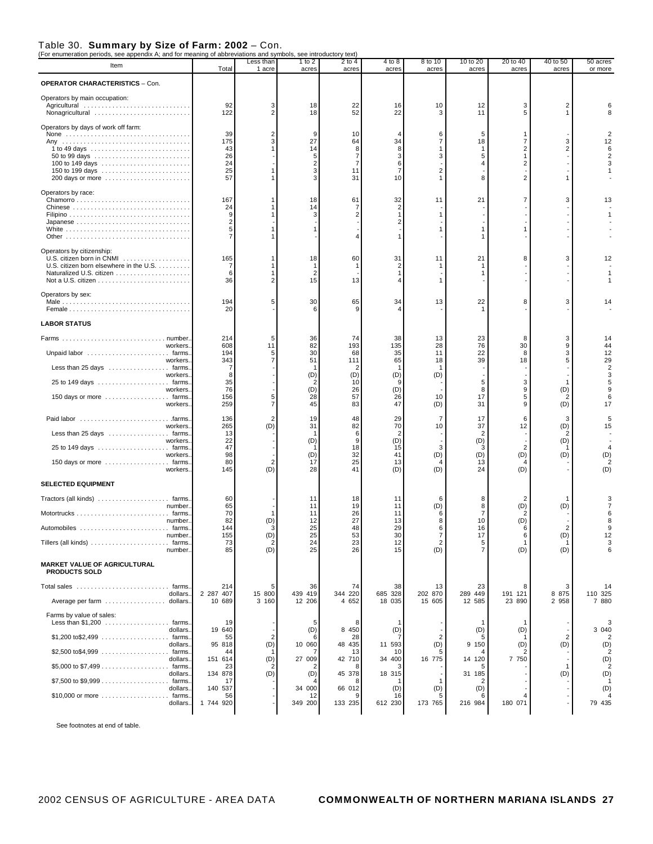| For enumeration periods, see appendix A; and for meaning or abbreviations and symbols, see introductory text) |                              |                     |                      |                  |                   |                      |                      |                         |                       |                       |
|---------------------------------------------------------------------------------------------------------------|------------------------------|---------------------|----------------------|------------------|-------------------|----------------------|----------------------|-------------------------|-----------------------|-----------------------|
| Item                                                                                                          | Total                        | Less than<br>1 acre | 1 to 2<br>acres      | 2 to 4<br>acres  | 4 to 8<br>acres   | 8 to 10<br>acres     | 10 to 20<br>acres    | 20 to 40<br>acres       | 40 to 50<br>acres     | 50 acres<br>or more   |
| <b>OPERATOR CHARACTERISTICS - Con.</b>                                                                        |                              |                     |                      |                  |                   |                      |                      |                         |                       |                       |
| Operators by main occupation:                                                                                 |                              |                     |                      |                  |                   |                      |                      |                         |                       |                       |
| Agricultural<br>Nonagricultural                                                                               | 92<br>122                    |                     | 18<br>18             | 22<br>52         | 16<br>22          | 10<br>3              | 12<br>11             | 3<br>5                  | 2<br>1                |                       |
|                                                                                                               |                              |                     |                      |                  |                   |                      |                      |                         |                       |                       |
| Operators by days of work off farm:                                                                           | 39                           |                     | g                    | 10               |                   | 6                    | 5                    | 1                       |                       | 2                     |
|                                                                                                               | 175<br>43                    |                     | 27                   | 64<br>8          | 34<br>8           | $\overline{7}$<br>1  | 18<br>-1             | 7<br>$\overline{2}$     | 3<br>$\overline{2}$   | 12<br>6               |
|                                                                                                               | 26                           |                     | 14<br>5              | $\overline{7}$   | 3                 | 3                    | 5                    | $\mathbf{1}$            |                       |                       |
|                                                                                                               | 24<br>25                     |                     |                      | 7<br>11          | 6<br>7            | $\overline{c}$       | $\overline{4}$       | $\overline{\mathbf{c}}$ |                       | 3                     |
| 200 days or more                                                                                              | 57                           |                     |                      | 31               | 10                |                      | 8                    | $\overline{2}$          |                       |                       |
| Operators by race:                                                                                            |                              |                     |                      |                  |                   |                      |                      |                         |                       |                       |
|                                                                                                               | 167<br>24                    |                     | 18<br>14             | 61               | 32<br>2           | 11                   | 21                   | $\overline{7}$          | 3                     | 13                    |
|                                                                                                               | 9                            |                     |                      |                  |                   | $\mathbf{1}$         |                      |                         |                       |                       |
|                                                                                                               | $\overline{\mathbf{c}}$<br>5 |                     |                      |                  | 2                 |                      |                      |                         |                       |                       |
|                                                                                                               |                              |                     |                      |                  |                   |                      |                      |                         |                       |                       |
| Operators by citizenship:                                                                                     |                              |                     |                      | 60               | 31                |                      | 21                   | 8                       | 3                     |                       |
| U.S. citizen born in CNMI<br>U.S. citizen born elsewhere in the U.S.                                          | 165<br>7                     |                     | 18                   |                  | $\overline{2}$    | 11<br>$\mathbf{1}$   | -1                   |                         |                       | 12                    |
|                                                                                                               | 6<br>36                      |                     | $\overline{2}$<br>15 | 13               |                   |                      | -1                   |                         |                       |                       |
|                                                                                                               |                              |                     |                      |                  |                   |                      |                      |                         |                       |                       |
| Operators by sex:                                                                                             | 194                          |                     | 30                   | 65               | 34                | 13                   | 22                   | 8                       | 3                     | 14                    |
|                                                                                                               | 20                           |                     |                      | 9                |                   |                      |                      |                         |                       |                       |
| <b>LABOR STATUS</b>                                                                                           |                              |                     |                      |                  |                   |                      |                      |                         |                       |                       |
| Farms  number.                                                                                                | 214                          | 5                   | 36                   | 74               | 38                | 13                   | 23                   | 8                       | 3                     | 14                    |
| workers.                                                                                                      | 608<br>194                   | 11                  | 82<br>30             | 193<br>68        | 135<br>35         | 28<br>11             | 76<br>22             | 30<br>8                 | 9<br>3                | 44<br>12              |
| workers.                                                                                                      | 343                          |                     | 51                   | 111              | 65                | 18                   | 39                   | 18                      | 5                     | 29                    |
| Less than 25 days  farms.<br>workers.                                                                         | 7<br>8                       |                     | (D)                  | 2<br>(D)         | r.<br>(D)         | -1<br>(D)            |                      |                         |                       | $\overline{2}$<br>3   |
|                                                                                                               | 35<br>76                     |                     | (D)                  | 10<br>26         |                   |                      | 5<br>8               | 3<br>9                  | 1                     | 5<br>9                |
| workers.<br>150 days or more  farms.                                                                          | 156                          |                     | 28                   | 57               | (D)<br>26         | 10                   | 17                   | 5                       | (D)<br>2              | 6                     |
| workers.                                                                                                      | 259                          |                     | 45                   | 83               | 47                | (D)                  | 31                   | 9                       | (D)                   | 17                    |
|                                                                                                               | 136                          | 2<br>(D)            | 19                   | 48               | 29                | $\overline{7}$<br>10 | 17                   | 6                       | 3                     | 5                     |
| workers.<br>Less than 25 days  farms.                                                                         | 265<br>13                    |                     | 31                   | 82<br>6          | 70<br>2           |                      | 37<br>$\overline{2}$ | 12                      | (D)<br>2              | 15                    |
| workers.                                                                                                      | 22<br>47                     |                     | (D)                  | 9<br>18          | (D)<br>15         | 3                    | (D)<br>3             | $\overline{2}$          | (D)                   | $\overline{4}$        |
| workers.                                                                                                      | 98                           |                     | (D)                  | 32               | 41                | (D)                  | (D)                  | (D)                     | (D)                   | (D)                   |
| 150 days or more  farms.<br>workers.                                                                          | 80<br>145                    | (D)                 | 17<br>28             | 25<br>41         | 13<br>(D)         | (D)                  | 13<br>24             | 4<br>(D)                |                       | $\overline{2}$<br>(D) |
| <b>SELECTED EQUIPMENT</b>                                                                                     |                              |                     |                      |                  |                   |                      |                      |                         |                       |                       |
|                                                                                                               | 60                           |                     | 11                   | 18               | 11                | 6                    | 8                    | $\overline{2}$          | -1                    |                       |
| number.                                                                                                       | 65                           |                     | 11                   | 19               | 11                | (D)                  | 8                    | (D)                     | (D)                   |                       |
| number.                                                                                                       | 70<br>82                     | (D)                 | 11<br>12             | 26<br>27         | 11<br>13          | 6<br>8               | $\overline{7}$<br>10 | $\overline{2}$<br>(D)   |                       | 8                     |
| number.                                                                                                       | 144<br>155                   | (D)                 | 25<br>25             | 48<br>53         | 29<br>30          | 6                    | 16<br>17             | 6<br>6                  | $\overline{2}$<br>(D) | a<br>12               |
| Tillers (all kinds)  farms.                                                                                   | 73                           | $\overline{2}$      | 24                   | 23               | 12                | $\overline{2}$       | 5                    | $\mathbf{1}$            | -1                    | 3                     |
| number.                                                                                                       | 85                           | (D)                 | 25                   | 26               | 15                | (D)                  | $\overline{7}$       | (D)                     | (D)                   | 6                     |
| MARKET VALUE OF AGRICULTURAL<br>PRODUCTS SOLD                                                                 |                              |                     |                      |                  |                   |                      |                      |                         |                       |                       |
| Total sales  farms.                                                                                           | 214                          |                     | 36                   | 74               | 38                | 13                   | 23                   | 8                       | 3                     | 14                    |
| dollars.<br>Average per farm  dollars.                                                                        | 2 287 407<br>10 689          | 15 800<br>3 160     | 439 419<br>12 206    | 344 220<br>4 652 | 685 328<br>18 035 | 202 870<br>15 605    | 289 449<br>12 585    | 191 121<br>23 890       | 8 8 7 5<br>2 9 5 8    | 110 325<br>7 880      |
|                                                                                                               |                              |                     |                      |                  |                   |                      |                      |                         |                       |                       |
| Farms by value of sales:<br>Less than \$1,200<br>. farms.                                                     | 19                           |                     |                      |                  |                   |                      |                      |                         |                       | 3                     |
| dollars.                                                                                                      | 19 640<br>55                 | 2                   | (D)                  | 8 4 5 0<br>28    | (D)               | $\overline{2}$       | (D)                  | (D)                     | 2                     | 3 040<br>2            |
| dollars.                                                                                                      | 95 818                       | (D)                 | 10 060               | 48 435           | 11 593            | (D)                  | 9 150                | (D)                     | (D)                   | (D)                   |
| dollars.                                                                                                      | 44<br>151 614                | (D)                 | 27 009               | 13<br>42 710     | 10<br>34 400      | 16 775               | 14 120               | 7 750                   |                       | $\overline{2}$<br>(D) |
|                                                                                                               | 23                           |                     |                      |                  |                   |                      |                      |                         | 1                     | $\overline{2}$        |
| dollars.<br>. farms.                                                                                          | 134 878<br>17                | (D)                 | (D)                  | 45 378           | 18 315            | -1                   | 31 185<br>2          |                         | (D)                   | (D)                   |
| dollars.<br>\$10,000 or more  farms.                                                                          | 140 537<br>56                |                     | 34 000               | 66 012           | (D)<br>16         | (D)                  | (D)<br>6             | 4                       |                       | (D)                   |
| dollars.                                                                                                      | 1 744 920                    |                     | 349 200              | 133 235          | 612 230           | 173 765              | 216 984              | 180 071                 |                       | 79 435                |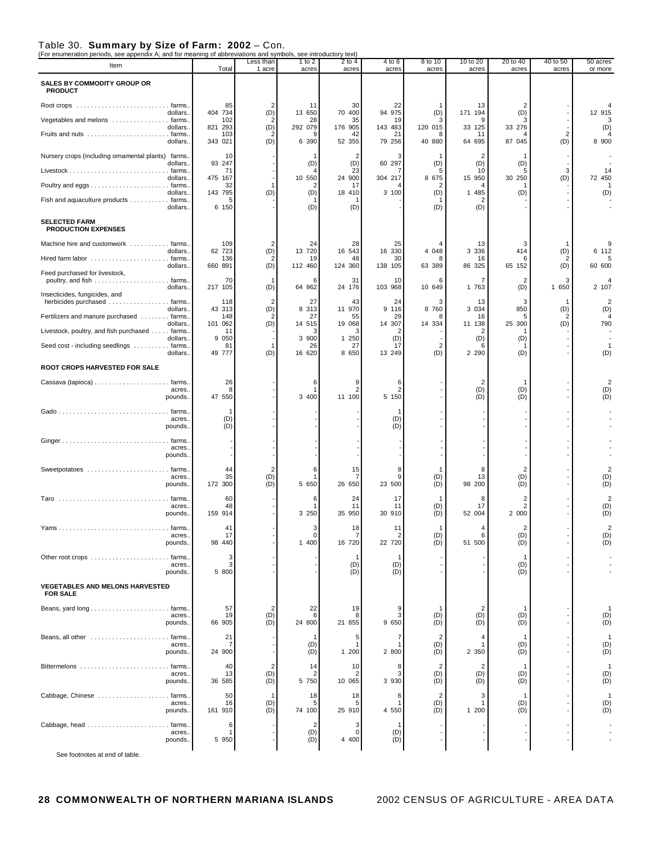| For enumeration periods,<br>see appendix A; and for meaning of abbreviations and symbols, see introductory text)<br>Item | Total          | Less than<br>1 acre | 1 to 2<br>acres | $2$ to $4$<br>acres | $4$ to $8$<br>acres | 8 to 10<br>acres    | 10 to 20<br>acres     | 20 to 40<br>acres     | 40 to 50<br>acres | 50 acres<br>or more     |
|--------------------------------------------------------------------------------------------------------------------------|----------------|---------------------|-----------------|---------------------|---------------------|---------------------|-----------------------|-----------------------|-------------------|-------------------------|
| SALES BY COMMODITY GROUP OR                                                                                              |                |                     |                 |                     |                     |                     |                       |                       |                   |                         |
| <b>PRODUCT</b>                                                                                                           |                |                     |                 |                     |                     |                     |                       |                       |                   |                         |
|                                                                                                                          | 85             |                     | 11              | 30                  | 22                  |                     | 13                    | 2                     |                   |                         |
| dollars.<br>Vegetables and melons  farms.                                                                                | 404 734<br>102 | (D)                 | 13 650<br>28    | 70 400<br>35        | 94 975<br>19        | (D)                 | 171 194<br>9          | (D)                   |                   | 12 915                  |
| dollars.<br>Fruits and nuts  farms.                                                                                      | 821 293<br>103 | (D)                 | 292 079         | 176 905<br>42       | 143 483<br>21       | 120 015<br>8        | 33 125<br>11          | 33 276                | $\overline{2}$    | (D)                     |
| dollars.                                                                                                                 | 343 021        | (D)                 | 6 390           | 52 355              | 79 256              | 40 880              | 64 695                | 87 045                | (D)               | 8 900                   |
| Nursery crops (including ornamental plants) farms.<br>dollars.                                                           | 10<br>93 247   |                     | (D)             | (D)                 | 60 297              | (D)                 | $\overline{2}$<br>(D) | (D)                   |                   |                         |
| dollars.                                                                                                                 | 71<br>475 167  |                     | 10 550          | 23<br>24 900        | 304 217             | 5<br>8 675          | 10<br>15 950          | 30 250                | 3<br>(D)          | 14<br>72 450            |
| dollars.                                                                                                                 | 32<br>143 795  | (D)                 | (D)             | 17<br>18 410        | 3 100               | 2<br>(D)            | 4<br>1 485            | (D)                   |                   | (D)                     |
| Fish and aquaculture products farms.<br>dollars.                                                                         | 6 150          |                     | (D)             | (D)                 |                     | (D)                 | $\overline{2}$<br>(D) |                       |                   |                         |
| <b>SELECTED FARM</b>                                                                                                     |                |                     |                 |                     |                     |                     |                       |                       |                   |                         |
| <b>PRODUCTION EXPENSES</b>                                                                                               |                |                     |                 |                     |                     |                     |                       |                       |                   |                         |
| Machine hire and customwork  farms.<br>dollars.                                                                          | 109<br>62 723  | 2<br>(D)            | 24<br>13 720    | 28<br>16 543        | 25<br>16 330        | 4 0 4 8             | 13<br>3 3 3 6         | 3<br>414              | 1<br>(D)          | 6 112                   |
| Hired farm labor  farms.<br>dollars.                                                                                     | 136<br>660 891 | 2<br>(D)            | 19<br>112 460   | 48<br>124 360       | 30<br>138 105       | 8<br>63 389         | 16<br>86 325          | Բ<br>65 152           | 2<br>(D)          | 5<br>60 600             |
| Feed purchased for livestock,                                                                                            |                |                     |                 |                     |                     | 6                   |                       |                       |                   |                         |
| dollars.                                                                                                                 | 70<br>217 105  | (D)                 | 64 962          | 31<br>24 176        | 10<br>103 968       | 10 649              | 1 763                 | $\overline{2}$<br>(D) | З<br>1 650        | 2 107                   |
| Insecticides, fungicides, and<br>herbicides purchased  farms.                                                            | 118            | 2                   | 27              | 43                  | 24                  |                     | 13                    | 3                     | 1                 | $\overline{2}$          |
| dollars.<br>Fertilizers and manure purchased  farms.                                                                     | 43 313<br>148  | (D)                 | 8 3 1 3<br>27   | 11 970<br>55        | 9 116<br>29         | 8 760<br>8          | 3 0 3 4<br>16         | 850<br>5              | (D)               | (D)                     |
| dollars.<br>Livestock, poultry, and fish purchased  farms.                                                               | 101 062<br>11  | (D)                 | 14 515          | 19 068              | 14 307              | 14 334              | 11 138<br>2           | 25 300                | (D)               | 790                     |
| dollars.<br>Seed cost - including seedlings  farms.                                                                      | 9 0 5 0<br>81  |                     | 3 900<br>26     | 1 250<br>27         | (D)<br>17           | 2                   | (D)<br>6              | (D)                   |                   |                         |
| dollars.                                                                                                                 | 49 777         | (D)                 | 16 620          | 8 6 5 0             | 13 249              | (D)                 | 2 2 9 0               | (D)                   |                   | (D)                     |
| ROOT CROPS HARVESTED FOR SALE                                                                                            |                |                     |                 |                     |                     |                     |                       |                       |                   |                         |
| acres.                                                                                                                   | 26             |                     |                 |                     | 6                   |                     | $\overline{2}$<br>(D) | -1<br>(D)             |                   | (D)                     |
| pounds.                                                                                                                  | 47 550         |                     | 3 400           | 11 100              | 5 150               |                     | (D)                   | (D)                   |                   | (D)                     |
| acres.                                                                                                                   | (D)            |                     |                 |                     | (D)                 |                     |                       |                       |                   |                         |
| pounds.                                                                                                                  | (D)            |                     |                 |                     | (D)                 |                     |                       |                       |                   |                         |
| acres.                                                                                                                   |                |                     |                 |                     |                     |                     |                       |                       |                   |                         |
| pounds.                                                                                                                  |                |                     |                 |                     |                     |                     |                       |                       |                   |                         |
| acres.                                                                                                                   | 44<br>35       | (D)                 |                 | 15                  |                     | (D)                 | 8<br>13               | $\overline{2}$<br>(D) |                   | (D)                     |
| pounds.                                                                                                                  | 172 300        | (D)                 | 5 650           | 26 650              | 23 500              | (D)                 | 98<br>200             | (D)                   |                   | (D)                     |
| acres.                                                                                                                   | 60<br>48       |                     |                 | 24<br>11            | 17<br>11            | (D)                 | 8<br>17               | 2<br>2                |                   | $\overline{2}$<br>(D)   |
| pounds.                                                                                                                  | 159 914        |                     | 3 250           | 35 950              | 30 910              | (D)                 | 52 004                | 2 000                 |                   | (D)                     |
|                                                                                                                          | 41             |                     | 3               | 18                  | 11                  | $\mathbf{1}$<br>(D) | $\overline{4}$        | 2<br>(D)              |                   | (D)                     |
| acres.<br>pounds.                                                                                                        | 17<br>98 440   |                     | 1 400           | 16 720              | 22 720              | (D)                 | 51 500                | (D)                   |                   | (D)                     |
|                                                                                                                          | з              |                     |                 |                     |                     |                     |                       | -1                    |                   |                         |
| acres.<br>pounds.                                                                                                        | 5 800          |                     |                 | (D)<br>(D)          | (D)<br>(D)          |                     |                       | (D)<br>(D)            |                   |                         |
| <b>VEGETABLES AND MELONS HARVESTED</b><br><b>FOR SALE</b>                                                                |                |                     |                 |                     |                     |                     |                       |                       |                   |                         |
|                                                                                                                          | 57<br>19       | 2<br>(D)            | 22              | 19                  | 9<br>З              | -1<br>(D)           | $\overline{2}$        | -1<br>(D)             |                   | -1                      |
| acres.<br>pounds                                                                                                         | 66 905         | (D)                 | 24 800          | 21 855              | 9 650               | (D)                 | (D)<br>(D)            | (D)                   |                   | (D)<br>(D)              |
| Beans, all other  farms.                                                                                                 | 21             |                     |                 | 5                   | 7                   | $\overline{2}$      | 4                     | -1                    |                   | $\mathbf{1}$            |
| acres.<br>pounds.                                                                                                        | 24 900         |                     | (D)<br>(D)      | 1 200               | 2 800               | (D)<br>(D)          | 2 3 5 0               | (D)<br>(D)            |                   | (D)<br>(D)              |
| Bittermelons  farms.                                                                                                     | 40             | 2                   | 14              | 10                  | 8                   | $\overline{2}$      | $\overline{2}$        |                       |                   | $\overline{1}$          |
| acres.<br>pounds.                                                                                                        | 13<br>36 585   | (D)<br>(D)          | 5 750           | 10 065              | 3 9 3 0             | (D)<br>(D)          | (D)<br>(D)            | (D)<br>(D)            |                   | (D)<br>(D)              |
| Cabbage, Chinese  farms                                                                                                  | 50             |                     | 18              | 18                  | 6                   | $\overline{2}$      | 3                     | -1                    |                   | $\overline{\mathbf{1}}$ |
| acres.<br>pounds                                                                                                         | 16<br>161 910  | (D)<br>(D)          | 5<br>74 100     | 25 910              | 4 5 5 0             | (D)<br>(D)          | -1<br>1 200           | (D)<br>(D)            |                   | (D)<br>(D)              |
|                                                                                                                          | 6              |                     | 2               | 3                   | 1                   |                     |                       |                       |                   |                         |
| acres.<br>pounds.                                                                                                        | 5 9 5 0        |                     | (D)<br>(D)      | 0<br>4 4 0 0        | (D)<br>(D)          |                     |                       |                       |                   |                         |
| Son footpoton at and of table                                                                                            |                |                     |                 |                     |                     |                     |                       |                       |                   |                         |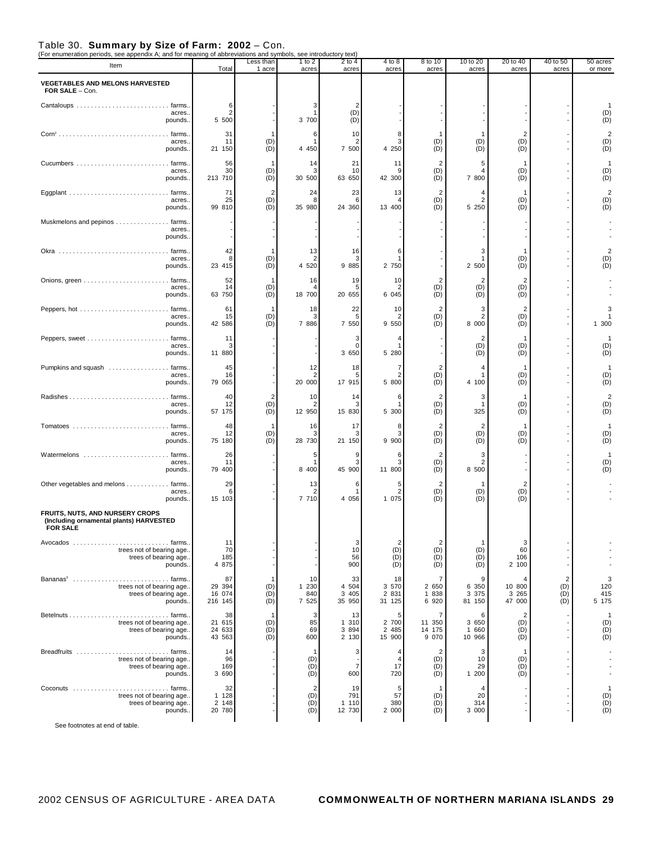| For enumeration periods, see appendix A; and for meaning of abbreviations and symbols, see introductory text), |                                   | Less than                                                                        | 1 to 2                        | 2 to 4                           | 4 to 8                           | 8 to 10                            | 10 to 20                        | 20 to 40                         | 40 to 50                 | 50 acres                                         |
|----------------------------------------------------------------------------------------------------------------|-----------------------------------|----------------------------------------------------------------------------------|-------------------------------|----------------------------------|----------------------------------|------------------------------------|---------------------------------|----------------------------------|--------------------------|--------------------------------------------------|
| Item                                                                                                           | Total                             | 1 acre                                                                           | acres                         | acres                            | acres                            | acres                              | acres                           | acres                            | acres                    | or more                                          |
| <b>VEGETABLES AND MELONS HARVESTED</b><br>FOR SALE - Con.                                                      |                                   |                                                                                  |                               |                                  |                                  |                                    |                                 |                                  |                          |                                                  |
| acres<br>pounds.                                                                                               | 6<br>$\overline{2}$<br>5 500      |                                                                                  | 3<br>3 700                    | (D)<br>(D)                       |                                  |                                    |                                 |                                  |                          | (D)<br>(D)                                       |
| acres.<br>pounds.                                                                                              | 31<br>11<br>21 150                | (D)<br>(D)                                                                       | 6<br>4 4 5 0                  | 10<br>7 500                      | 8<br>4 250                       | 1<br>(D)<br>(D)                    | -1<br>(D)<br>(D)                | $\overline{2}$<br>(D)<br>(D)     |                          | $\overline{2}$<br>(D)<br>(D)                     |
| Cucumbers  farms.<br>acres.<br>pounds.                                                                         | 56<br>30<br>213 710               | (D)<br>(D)                                                                       | 14<br>30 500                  | 21<br>10<br>63 650               | 11<br>42 300                     | $\overline{2}$<br>(D)<br>(D)       | 5<br>4<br>7 800                 | 1<br>(D)<br>(D)                  |                          | $\mathbf{1}$<br>(D)<br>(D)                       |
| Eggplant  farms.<br>acres.<br>pounds.                                                                          | 71<br>25<br>99 810                | 2<br>(D)<br>(D)                                                                  | 24<br>8<br>35 980             | 23<br>24 360                     | 13<br>13 400                     | $\overline{2}$<br>(D)<br>(D)       | 4<br>$\overline{2}$<br>5 2 5 0  | 1<br>(D)<br>(D)                  |                          | $\overline{c}$<br>(D)<br>(D)                     |
| Muskmelons and pepinos farms.<br>acres.<br>pounds.                                                             |                                   |                                                                                  |                               |                                  |                                  |                                    |                                 |                                  |                          |                                                  |
| acres.<br>pounds.                                                                                              | 42<br>8<br>23 415                 | (D)<br>(D)                                                                       | 13<br>4 520                   | 16<br>9 885                      | 6<br>2 750                       |                                    | 3<br>1<br>2 500                 | 1<br>(D)<br>(D)                  |                          | $\overline{\mathbf{c}}$<br>(D)<br>(D)            |
| acres.<br>pounds.                                                                                              | 52<br>14<br>63 750                | (D)<br>(D)                                                                       | 16<br>18 700                  | 19<br>5<br>20 655                | 10<br>6 0 4 5                    | $\overline{2}$<br>(D)<br>(D)       | $\overline{2}$<br>(D)<br>(D)    | $\overline{2}$<br>(D)<br>(D)     |                          |                                                  |
| acres.<br>pounds.                                                                                              | 61<br>15<br>42 586                | (D)<br>(D)                                                                       | 18<br>з<br>7 886              | 22<br>5<br>7 550                 | 10<br>9 5 5 0                    | $\overline{2}$<br>(D)<br>(D)       | 3<br>$\overline{2}$<br>8 000    | $\overline{2}$<br>(D)<br>(D)     |                          | 1 300                                            |
| acres.<br>pounds.                                                                                              | 11<br>11 880                      |                                                                                  |                               | 3<br>$\Omega$<br>3 650           | 4<br>5 280                       |                                    | 2<br>(D)<br>(D)                 | 1<br>(D)<br>(D)                  |                          | -1<br>(D)<br>(D)                                 |
| Pumpkins and squash  farms.<br>acres.<br>pounds.                                                               | 45<br>16<br>79 065                |                                                                                  | 12<br>20 000                  | 18<br>17 915                     | 7<br>5 800                       | $\overline{2}$<br>(D)<br>(D)       | 4<br>4 100                      | $\mathbf{1}$<br>(D)<br>(D)       |                          | -1<br>(D)<br>(D)                                 |
| acres<br>pounds.                                                                                               | 40<br>12<br>57 175                | (D)<br>(D)                                                                       | 10<br>2<br>12 950             | 14<br>15 830                     | 6<br>5 300                       | $\overline{2}$<br>(D)<br>(D)       | 3<br>1<br>325                   | 1<br>(D)<br>(D)                  |                          | $\overline{2}$<br>(D)<br>(D)                     |
| Tomatoes  farms.<br>acres.<br>pounds.                                                                          | 48<br>12<br>75 180                | (D)<br>(D)                                                                       | 16<br>28 730                  | 17<br>21 150                     | 8<br>9 900                       | $\overline{2}$<br>(D)<br>(D)       | $\overline{2}$<br>(D)<br>(D)    | 1<br>(D)<br>(D)                  |                          | -1<br>(D)<br>(D)                                 |
| acres.<br>pounds.                                                                                              | 26<br>11<br>79 400                |                                                                                  | 5<br>8 400                    | 9<br>45 900                      | 6<br>11 800                      | $\overline{2}$<br>(D)<br>(D)       | 3<br>$\overline{2}$<br>8 500    |                                  |                          | $\overline{1}$<br>(D)<br>(D)                     |
| Other vegetables and melons farms<br>acres.<br>pounds.                                                         | 29<br>6<br>15 103                 |                                                                                  | 13<br>7 710                   | 6<br>4 0 5 6                     | 5<br>1 075                       | $\overline{2}$<br>(D)<br>(D)       | 1<br>(D)<br>(D)                 | $\overline{2}$<br>(D)<br>(D)     |                          |                                                  |
| <b>FRUITS, NUTS, AND NURSERY CROPS</b><br>(Including ornamental plants) HARVESTED<br><b>FOR SALE</b>           |                                   |                                                                                  |                               |                                  |                                  |                                    |                                 |                                  |                          |                                                  |
| trees not of bearing age.<br>trees of bearing age.<br>pounds.                                                  | 11<br>70<br>185<br>4 875          |                                                                                  |                               | 3<br>10<br>56<br>900             | 2<br>(D)<br>(D)<br>(D)           | 2<br>(D)<br>(D)<br>(D)             | (D)<br>(D)<br>(D)               | 3<br>60<br>106<br>2 100          |                          |                                                  |
| Bananas <sup>3</sup> farms.<br>trees not of bearing age.<br>trees of bearing age.<br>pounds.                   | 87<br>29 394<br>16 074<br>216 145 | 1<br>$\begin{array}{c} \textrm{(D)} \\ \textrm{(D)} \\ \textrm{(D)} \end{array}$ | 10<br>1 2 3 0<br>840<br>7 525 | 33<br>4 504<br>3 4 0 5<br>35 950 | 18<br>3 570<br>2 8 3 1<br>31 125 | 7<br>2 650<br>1 838<br>6 9 2 0     | 9<br>6 350<br>3 3 7 5<br>81 150 | 4<br>10 800<br>3 2 6 5<br>47 000 | $2$<br>(D)<br>(D)<br>(D) | $\begin{array}{c}3\\120\\415\\5\ 175\end{array}$ |
| trees not of bearing age.<br>trees of bearing age.                                                             | 38<br>21 615<br>24 633            | (D)<br>(D)                                                                       | 3<br>85<br>69                 | 13<br>1 310<br>3 8 9 4           | 5<br>2 700<br>2 485              | $\overline{7}$<br>11 350<br>14 175 | 6<br>3 6 5 0<br>1 660           | $\overline{2}$<br>(D)<br>(D)     |                          | $1$<br>(D)<br>(D)<br>(D)                         |
| pounds.<br>Breadfruits  farms.<br>trees not of bearing age.                                                    | 43 563<br>14<br>96                | (D)                                                                              | 600<br>$\overline{1}$<br>(D)  | 2 130<br>3                       | 15 900<br>$\overline{4}$         | 9 0 7 0<br>$\overline{c}$<br>(D)   | 10 966<br>3<br>10               | (D)<br>$\mathbf{1}$<br>(D)       |                          |                                                  |
| trees of bearing age.<br>pounds.                                                                               | 169<br>3 690<br>32                |                                                                                  | (D)<br>(D)<br>$\overline{2}$  | $\overline{7}$<br>600<br>19      | 17<br>720<br>5                   | (D)<br>(D)<br>$\mathbf{1}$         | 29<br>1 200<br>4                | $(D)$<br>$(D)$                   |                          |                                                  |
| trees not of bearing age.<br>trees of bearing age.<br>pounds.                                                  | 1 1 28<br>2 148<br>20 780         |                                                                                  | $(D)$<br>$(D)$<br>(D)         | 791<br>1 110<br>12 730           | 57<br>380<br>2 000               | $(D)$<br>$(D)$<br>(D)              | 20<br>314<br>3 000              |                                  | $\overline{\phantom{a}}$ | $1$<br>(D)<br>(D)<br>(D)                         |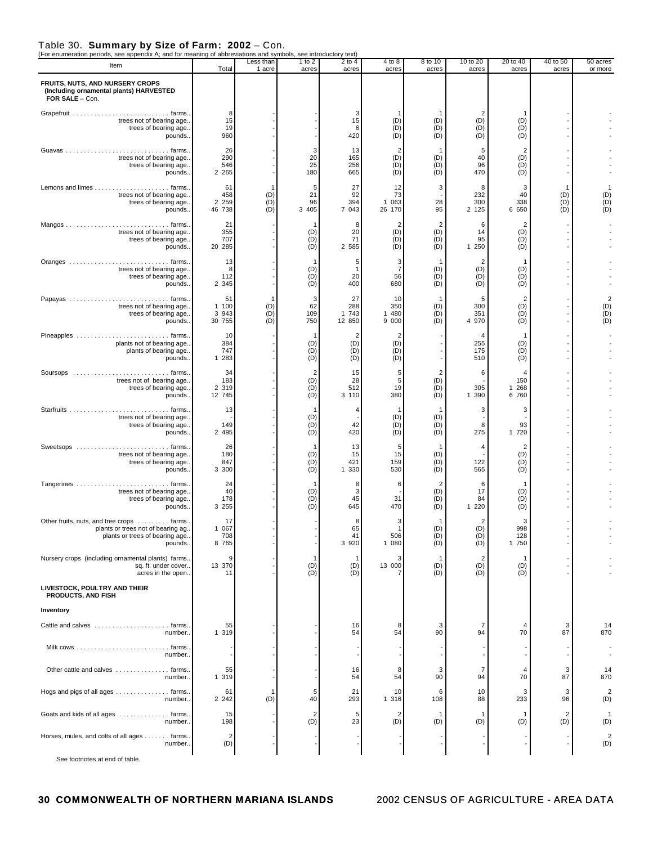| (For enumeration periods, see appendix A; and for meaning or abbreviations and symbols, see introductory text)                |                                  |                       |                                     |                                |                                     |                                     |                                              |                                         |                                   |                          |
|-------------------------------------------------------------------------------------------------------------------------------|----------------------------------|-----------------------|-------------------------------------|--------------------------------|-------------------------------------|-------------------------------------|----------------------------------------------|-----------------------------------------|-----------------------------------|--------------------------|
| Item                                                                                                                          | Total                            | Less than<br>1 acre   | 1 to 2<br>acres                     | $2$ to 4<br>acres              | $4$ to $8$<br>acres                 | 8 to 10<br>acres                    | 10 to 20<br>acres                            | 20 to 40<br>acres                       | 40 to 50<br>acres                 | 50 acres<br>or more      |
| FRUITS, NUTS, AND NURSERY CROPS<br>(Including ornamental plants) HARVESTED<br>FOR SALE - Con.                                 |                                  |                       |                                     |                                |                                     |                                     |                                              |                                         |                                   |                          |
| trees not of bearing age.<br>trees of bearing age.<br>pounds.                                                                 | 8<br>15<br>19<br>960             |                       |                                     | 3<br>15<br>6<br>420            | -1<br>(D)<br>(D)<br>(D)             | -1<br>(D)<br>(D)<br>(D)             | $\overline{c}$<br>(D)<br>(D)<br>(D)          | $\mathbf{1}$<br>(D)<br>(D)<br>(D)       |                                   |                          |
| trees not of bearing age.<br>trees of bearing age.<br>pounds.                                                                 | 26<br>290<br>546<br>2 2 6 5      |                       | 3<br>20<br>25<br>180                | 13<br>165<br>256<br>665        | $\overline{2}$<br>(D)<br>(D)<br>(D) | $\mathbf{1}$<br>(D)<br>(D)<br>(D)   | $\sqrt{5}$<br>40<br>96<br>470                | $\sqrt{2}$<br>(D)<br>(D)<br>(D)         |                                   |                          |
| trees not of bearing age.<br>trees of bearing age.<br>pounds.                                                                 | 61<br>458<br>2 2 5 9<br>46 738   | (D)<br>(D)<br>(D)     | 5<br>21<br>96<br>3 4 0 5            | 27<br>92<br>394<br>7 043       | 12<br>73<br>1 0 6 3<br>26 170       | 3<br>28<br>95                       | 8<br>232<br>300<br>2 1 2 5                   | 3<br>40<br>338<br>6 650                 | $\mathbf{1}$<br>(D)<br>(D)<br>(D) | $(D)$<br>$(D)$<br>(D)    |
| trees not of bearing age.<br>trees of bearing age.<br>pounds.                                                                 | 21<br>355<br>707<br>20 285       |                       | $\mathbf{1}$<br>(D)<br>(D)<br>(D)   | 8<br>20<br>71<br>2 585         | 2<br>(D)<br>(D)<br>(D)              | $\overline{2}$<br>(D)<br>(D)<br>(D) | 6<br>14<br>95<br>1 250                       | $\sqrt{2}$<br>(D)<br>(D)<br>(D)         |                                   |                          |
| trees not of bearing age.<br>trees of bearing age.<br>pounds.                                                                 | 13<br>8<br>112<br>2 3 4 5        |                       | -1<br>(D)<br>(D)<br>(D)             | 5<br>$\mathbf{1}$<br>20<br>400 | 3<br>7<br>56<br>680                 | $\mathbf{1}$<br>(D)<br>(D)<br>(D)   | $\overline{2}$<br>(D)<br>(D)<br>(D)          | $\mathbf{1}$<br>(D)<br>(D)<br>(D)       |                                   |                          |
| Papayas  farms.<br>trees not of bearing age.<br>trees of bearing age.<br>pounds.                                              | 51<br>1 100<br>3 9 4 3<br>30 755 | $(D)$<br>$(D)$<br>(D) | 3<br>62<br>109<br>750               | 27<br>288<br>1 743<br>12 850   | 10<br>350<br>1 480<br>9 000         | $\overline{1}$<br>(D)<br>(D)<br>(D) | 5<br>300<br>351<br>4 970                     | $\overline{c}$<br>(D)<br>(D)<br>(D)     |                                   | $2$<br>(D)<br>(D)<br>(D) |
| Pineapples  farms.<br>plants not of bearing age.<br>plants of bearing age.<br>pounds.                                         | 10<br>384<br>747<br>1 283        |                       | -1<br>(D)<br>(D)<br>(D)             | 2<br>(D)<br>(D)<br>(D)         | 2<br>(D)<br>(D)<br>(D)              |                                     | 4<br>255<br>175<br>510                       | 1<br>(D)<br>(D)<br>(D)                  |                                   |                          |
| trees not of bearing age.<br>trees of bearing age.<br>pounds.                                                                 | 34<br>183<br>2 3 1 9<br>12 745   |                       | $\overline{2}$<br>(D)<br>(D)<br>(D) | 15<br>28<br>512<br>3 110       | 5<br>5<br>19<br>380                 | $\overline{c}$<br>(D)<br>(D)<br>(D) | 6<br>305<br>1 390                            | $\overline{4}$<br>150<br>1 268<br>6 760 |                                   |                          |
| trees not of bearing age.<br>trees of bearing age.<br>pounds.                                                                 | 13<br>149<br>2 4 9 5             |                       | -1<br>(D)<br>(D)<br>(D)             | 4<br>42<br>420                 | (D)<br>(D)<br>(D)                   | $\mathbf{1}$<br>(D)<br>(D)<br>(D)   | 3<br>8<br>275                                | 3<br>93<br>1 720                        |                                   |                          |
| Sweetsops  farms.<br>trees not of bearing age.<br>trees of bearing age.<br>pounds.                                            | 26<br>180<br>847<br>3 300        |                       | $\overline{1}$<br>(D)<br>(D)<br>(D) | 13<br>15<br>421<br>1 330       | 5<br>15<br>159<br>530               | $\mathbf{1}$<br>(D)<br>(D)<br>(D)   | 4<br>122<br>565                              | $\overline{2}$<br>(D)<br>(D)<br>(D)     |                                   |                          |
| Tangerines farms.<br>trees not of bearing age.<br>trees of bearing age.<br>pounds.                                            | 24<br>40<br>178<br>3 2 5 5       |                       | -1<br>$(D)$<br>$(D)$<br>(D)         | 8<br>3<br>45<br>645            | 6<br>31<br>470                      | $\overline{2}$<br>(D)<br>(D)<br>(D) | 6<br>17<br>84<br>1 2 2 0                     | 1<br>(D)<br>(D)<br>(D)                  |                                   |                          |
| Other fruits, nuts, and tree crops  farms.<br>plants or trees not of bearing ag.<br>plants or trees of bearing age<br>pounds. | 17<br>1 0 6 7<br>708<br>8 765    |                       |                                     | 8<br>65<br>41<br>3 9 2 0       | 3<br>506<br>1 080                   | $\mathbf{1}$<br>(D)<br>(D)<br>(D)   | $\overline{\mathbf{c}}$<br>(D)<br>(D)<br>(D) | 3<br>998<br>128<br>1 750                |                                   |                          |
| Nursery crops (including ornamental plants) farms.<br>sq. ft. under cover<br>acres in the open                                | 9<br>13 370<br>11                |                       | 1<br>(D)<br>(D)                     | (D)<br>(D)                     | 13 000                              | -1<br>(D)<br>(D)                    | $\overline{2}$<br>(D)<br>(D)                 | 1<br>(D)<br>(D)                         |                                   |                          |
| LIVESTOCK, POULTRY AND THEIR<br>PRODUCTS, AND FISH                                                                            |                                  |                       |                                     |                                |                                     |                                     |                                              |                                         |                                   |                          |
| Inventory                                                                                                                     |                                  |                       |                                     |                                |                                     |                                     |                                              |                                         |                                   |                          |
| Cattle and calves  farms.<br>number                                                                                           | 55<br>1 319                      |                       |                                     | 16<br>54                       | 8<br>54                             | 3<br>90                             | 7<br>94                                      | 4<br>70                                 | 3<br>87                           | 14<br>870                |
| number.<br>Other cattle and calves  farms.                                                                                    | 55                               |                       |                                     | 16                             | 8                                   | 3                                   | 7                                            | $\overline{4}$                          | 3                                 | 14                       |
| number.                                                                                                                       | 1 319                            |                       |                                     | 54                             | 54                                  | 90                                  | 94                                           | 70                                      | 87                                | 870                      |
| Hogs and pigs of all ages farms.<br>number                                                                                    | 61<br>2 2 4 2                    | 1<br>(D)              | 5<br>40                             | 21<br>293                      | 10<br>1 316                         | 6<br>108                            | 10<br>88                                     | 3<br>233                                | 3<br>96                           | $\overline{2}$<br>(D)    |
| Goats and kids of all ages  farms.<br>number                                                                                  | 15<br>198                        |                       | 2<br>(D)                            | 5<br>23                        | 2<br>(D)                            | $\overline{1}$<br>(D)               | -1<br>(D)                                    | 1<br>(D)                                | 2<br>(D)                          | -1<br>(D)                |
| Horses, mules, and colts of all ages farms.<br>number                                                                         | $\overline{2}$<br>(D)            |                       |                                     |                                |                                     |                                     |                                              |                                         |                                   | $\overline{2}$<br>(D)    |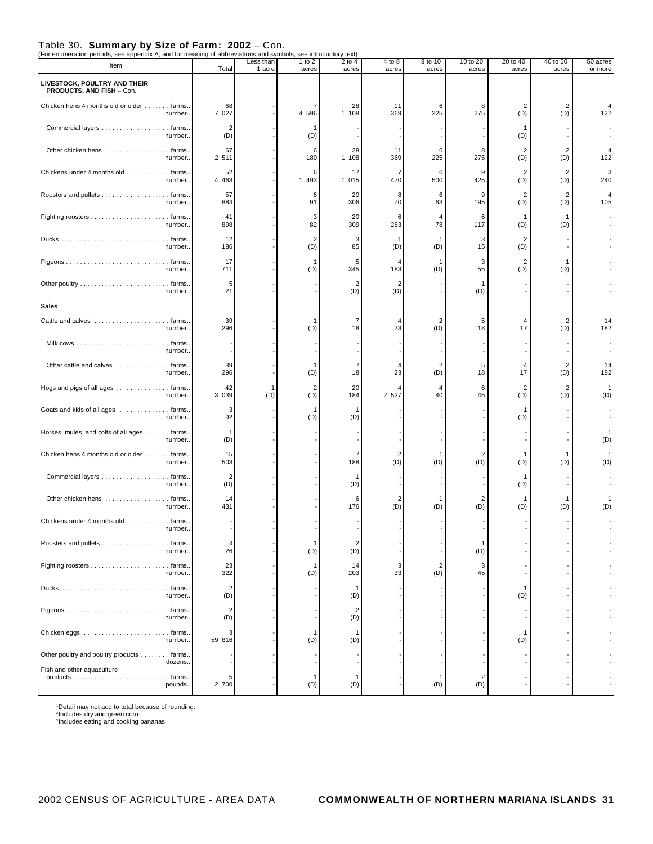| For enumeration periods, see appendix A; and for meaning of abbreviations and symbols, see introductory text)<br>Item |               | Less than | 1 to 2       | 2 to 4                | $4$ to $8$            | 8 to 10               | 10 to 20                       | 20 to 40              | 40 to 50              | 50 acres  |
|-----------------------------------------------------------------------------------------------------------------------|---------------|-----------|--------------|-----------------------|-----------------------|-----------------------|--------------------------------|-----------------------|-----------------------|-----------|
| LIVESTOCK, POULTRY AND THEIR<br>PRODUCTS, AND FISH - Con.                                                             | Total         | 1 acre    | acres        | acres                 | acres                 | acres                 | acres                          | acres                 | acres                 | or more   |
| Chicken hens 4 months old or older farms.<br>number.                                                                  | 68<br>7 0 2 7 |           | 4 5 9 6      | 28<br>1 108           | 11<br>369             | 6<br>225              | 8<br>275                       | 2<br>(D)              | $\overline{2}$<br>(D) | 122       |
| Commercial layers farms.<br>number.                                                                                   | 2<br>(D)      |           | (D)          |                       |                       |                       |                                | 1<br>(D)              |                       |           |
| Other chicken hens  farms.<br>number.                                                                                 | 67<br>2 511   |           | 6<br>180     | 28<br>1 108           | 11<br>369             | 6<br>225              | 8<br>275                       | $\overline{2}$<br>(D) | 2<br>(D)              | 122       |
| Chickens under 4 months old  farms.<br>number                                                                         | 52<br>4 4 6 3 |           | 6<br>1 4 9 3 | 17<br>1 015           | 7<br>470              | 6<br>500              | 9<br>425                       | $\overline{2}$<br>(D) | $\overline{2}$<br>(D) | 3<br>240  |
| Roosters and pullets farms.<br>number.                                                                                | 57<br>884     |           | 6<br>91      | 20<br>306             | 8<br>70               | 6<br>63               | 9<br>195                       | 2<br>(D)              | $\overline{2}$<br>(D) | 4<br>105  |
| number.                                                                                                               | 41<br>898     |           | 3<br>82      | 20<br>309             | 6<br>283              | $\overline{4}$<br>78  | 6<br>117                       | -1<br>(D)             | -1<br>(D)             |           |
| number.                                                                                                               | 12<br>186     |           | 2<br>(D)     | 3<br>85               | -1<br>(D)             | -1<br>(D)             | 3<br>15                        | 2<br>(D)              |                       |           |
| number.                                                                                                               | 17<br>711     |           | (D)          | 5<br>345              | 4<br>183              | -1<br>(D)             | 3<br>55                        | $\overline{2}$<br>(D) | -1<br>(D)             |           |
| number.                                                                                                               | 5<br>21       |           |              | $\overline{2}$<br>(D) | $\overline{2}$<br>(D) |                       | $\mathbf{1}$<br>(D)            |                       |                       |           |
| <b>Sales</b>                                                                                                          |               |           |              |                       |                       |                       |                                |                       |                       |           |
| Cattle and calves  farms.<br>number.                                                                                  | 39<br>296     |           | (D)          | 7<br>18               | 4<br>23               | $\overline{2}$<br>(D) | 5<br>18                        | 4<br>17               | $\overline{2}$<br>(D) | 14<br>182 |
| number.                                                                                                               |               |           |              |                       |                       |                       |                                |                       |                       |           |
| Other cattle and calves  farms.<br>number.                                                                            | 39<br>296     |           | (D)          | 18                    | 23                    | $\overline{2}$<br>(D) | 5<br>18                        | 4<br>17               | 2<br>(D)              | 14<br>182 |
| Hogs and pigs of all ages farms.<br>number.                                                                           | 42<br>3 0 3 9 | -1<br>(D) | 2<br>(D)     | 20<br>184             | 2 5 2 7               | $\overline{4}$<br>40  | 6<br>45                        | $\overline{2}$<br>(D) | $\overline{2}$<br>(D) | -1<br>(D) |
| Goats and kids of all ages  farms.<br>number.                                                                         | 3<br>92       |           | (D)          | -1<br>(D)             |                       |                       |                                | -1<br>(D)             |                       |           |
| Horses, mules, and colts of all ages farms.<br>number.                                                                | 1<br>(D)      |           |              |                       |                       |                       |                                |                       |                       | (D)       |
| Chicken hens 4 months old or older farms.<br>number.                                                                  | 15<br>503     |           |              | 7<br>188              | 2<br>(D)              | $\mathbf{1}$<br>(D)   | $\overline{2}$<br>(D)          | -1<br>(D)             | 1<br>(D)              | -1<br>(D) |
| Commercial layers  farms.<br>number.                                                                                  | 2<br>(D)      |           |              | -1<br>(D)             |                       |                       |                                | (D)                   |                       |           |
| Other chicken hens  farms.<br>number.                                                                                 | 14<br>431     |           |              | 6<br>176              | 2<br>(D)              | -1<br>(D)             | $\overline{2}$<br>(D)          | 1<br>(D)              | -1<br>(D)             | (D)       |
| Chickens under 4 months old  farms.<br>number.                                                                        |               |           |              |                       |                       |                       |                                |                       |                       |           |
| Roosters and pullets farms.<br>number.                                                                                | 4<br>26       |           | (D)          | 2<br>(D)              |                       |                       | (D)                            |                       |                       |           |
| number                                                                                                                | 23<br>322     |           | (D)          | 14<br>203             | 3<br>33               | $\overline{c}$<br>(D) | 3<br>45                        |                       |                       |           |
| number                                                                                                                | 2<br>(D)      |           |              | -1<br>(D)             |                       |                       |                                | -1<br>(D)             |                       |           |
| number.                                                                                                               | 2<br>(D)      |           |              | 2<br>(D)              |                       |                       |                                |                       |                       |           |
| number                                                                                                                | 59 816        |           | (D)          | -1<br>(D)             |                       |                       |                                | 1<br>(D)              |                       |           |
| Other poultry and poultry products farms<br>dozens.                                                                   |               |           |              |                       |                       |                       |                                |                       |                       |           |
| Fish and other aquaculture<br>pounds.                                                                                 | 5<br>2 700    |           | (D)          | (D)                   |                       | $\mathbf{1}$<br>(D)   | $\overline{\mathbf{c}}$<br>(D) |                       |                       |           |

<sup>≀</sup>Detail may not add to total because of rounding.<br><sup>2</sup>Includes dry and green corn.<br><sup>3</sup>Includes eating and cooking bananas.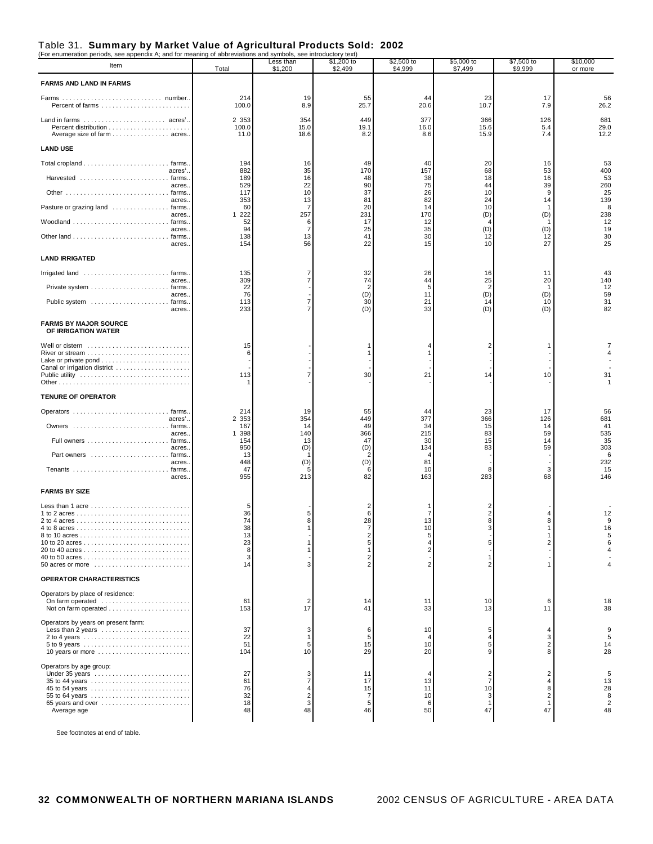# Table 31. **Summary by Market Value of Agricultural Products Sold: 2002**  (For enumeration periods, see appendix A; and for meaning of abbreviations and symbols, see introductory text)

| roi enumeration penous, see appenuix A, and for meaning or abbreviations and symbols, see introductory text,<br>Item | Total             | Less than<br>\$1,200        | \$1,200 to<br>\$2,499 | $$2,500$ to<br>\$4,999 | \$5,000 to<br>\$7,499 | \$7,500 to<br>\$9,999 | \$10,000<br>or more |
|----------------------------------------------------------------------------------------------------------------------|-------------------|-----------------------------|-----------------------|------------------------|-----------------------|-----------------------|---------------------|
| <b>FARMS AND LAND IN FARMS</b>                                                                                       |                   |                             |                       |                        |                       |                       |                     |
| Farms<br>number.<br>Percent of farms                                                                                 | 214<br>100.0      | 19<br>8.9                   | 55<br>25.7            | 44<br>20.6             | 23<br>10.7            | 17<br>7.9             | 56<br>26.2          |
| Land in farms $\dots\dots\dots\dots\dots\dots\dots$ acres <sup>1</sup>                                               | 2 3 5 3           | 354                         | 449                   | 377                    | 366                   | 126                   | 681                 |
| Average size of farm acres                                                                                           | 100.0<br>11.0     | 15.0<br>18.6                | 19.1<br>8.2           | 16.0<br>8.6            | 15.6<br>15.9          | 5.4<br>7.4            | 29.0<br>12.2        |
| <b>LAND USE</b>                                                                                                      |                   |                             |                       |                        |                       |                       |                     |
|                                                                                                                      | 194               | 16<br>35                    | 49                    | 40                     | 20                    | 16                    | 53<br>400           |
| acres <sup>1</sup><br>Harvested  farms.                                                                              | 882<br>189        | 16                          | 170<br>48             | 157<br>38              | 68<br>18              | 53<br>16              | 53                  |
| acres.                                                                                                               | 529<br>117<br>353 | 22<br>10                    | 90<br>37<br>81        | 75<br>26<br>82         | 44<br>10<br>24        | 39<br>9<br>14         | 260<br>25<br>139    |
| acres.<br>Pasture or grazing land  farms.<br>acres.                                                                  | 60<br>222<br>1    | 13<br>$\overline{7}$<br>257 | 20<br>231             | 14<br>170              | 10<br>(D)             | -1<br>(D)             | 8<br>238            |
| Woodland  farms.<br>acres.                                                                                           | 52<br>94          | 6<br>$\overline{7}$         | 17<br>25              | 12<br>35               | (D)                   | (D)                   | 12<br>19            |
| acres.                                                                                                               | 138<br>154        | 13<br>56                    | 41<br>22              | 30<br>15               | 12<br>10              | 12<br>27              | 30<br>25            |
| <b>LAND IRRIGATED</b>                                                                                                |                   |                             |                       |                        |                       |                       |                     |
| Irrigated land  farms.                                                                                               | 135               | 7                           | 32                    | 26                     | 16                    | 11                    | 43                  |
| acres.                                                                                                               | 309<br>22         | $\overline{7}$              | 74<br>$\overline{2}$  | 44<br>5                | 25                    | 20<br>-1              | 140<br>12           |
| acres.<br>Public system  farms.<br>acres.                                                                            | 76<br>113<br>233  | $\overline{7}$              | (D)<br>30<br>(D)      | 11<br>21<br>33         | (D)<br>14<br>(D)      | (D)<br>10<br>(D)      | 59<br>31<br>82      |
| <b>FARMS BY MAJOR SOURCE</b><br>OF IRRIGATION WATER                                                                  |                   |                             |                       |                        |                       |                       |                     |
| Well or cistern                                                                                                      | 15                |                             |                       |                        |                       |                       |                     |
|                                                                                                                      | 6                 |                             |                       |                        |                       |                       |                     |
| Canal or irrigation district                                                                                         | 113               |                             | 30                    | 21                     | 14                    | 10                    | 31                  |
|                                                                                                                      |                   |                             |                       |                        |                       |                       |                     |
| <b>TENURE OF OPERATOR</b>                                                                                            |                   |                             |                       |                        |                       |                       |                     |
| acres <sup>1</sup>                                                                                                   | 214<br>2 3 5 3    | 19<br>354                   | 55<br>449             | 44<br>377              | 23<br>366             | 17<br>126             | 56<br>681           |
| Owners  farms.<br>acres.                                                                                             | 167<br>398<br>1   | 14<br>140                   | 49<br>366<br>47       | 34<br>215<br>30        | 15<br>83<br>15        | 14<br>59<br>14        | 41<br>535           |
| acres.<br>Part owners  farms.                                                                                        | 154<br>950<br>13  | 13<br>(D)                   | (D)                   | 134                    | 83                    | 59                    | 35<br>303<br>6      |
| acres.<br>Tenants<br>farms.                                                                                          | 448<br>47         | (D)                         | (D)<br>6              | 81<br>10               | 8                     | 3                     | 232<br>15           |
| acres.                                                                                                               | 955               | 213                         | 82                    | 163                    | 283                   | 68                    | 146                 |
| <b>FARMS BY SIZE</b>                                                                                                 |                   |                             |                       |                        |                       |                       |                     |
|                                                                                                                      | 5<br>36           |                             | 2<br>6                |                        | $\overline{2}$        |                       | 12                  |
|                                                                                                                      | 74<br>38          |                             | 28<br>7               | 13<br>10               | ε<br>Э                | 8                     | 9<br>16             |
|                                                                                                                      | 23                |                             | 5                     |                        |                       | $\overline{2}$        |                     |
|                                                                                                                      | 8<br>3            |                             | 1<br>$\overline{2}$   |                        | 1                     |                       |                     |
| 50 acres or more<br><b>OPERATOR CHARACTERISTICS</b>                                                                  | 14                |                             | $\overline{2}$        |                        | $\overline{2}$        | $\mathbf{1}$          |                     |
| Operators by place of residence:                                                                                     |                   |                             |                       |                        |                       |                       |                     |
| On farm operated                                                                                                     | 61<br>153         | 2<br>17                     | 14<br>41              | 11<br>33               | 10<br>13              | 6<br>11               | 18<br>38            |
| Operators by years on present farm:<br>Less than 2 years                                                             | 37                | 3                           | 6                     | 10                     | 5                     | $\boldsymbol{\Delta}$ | 9                   |
| 5 to 9 years                                                                                                         | 22<br>51          | $\mathbf{1}$<br>5           | 5<br>15               | 10                     | 5                     | 3<br>2                | 5<br>14             |
| 10 years or more                                                                                                     | 104               | 10                          | 29                    | 20                     | c                     | 8                     | 28                  |
| Operators by age group:<br>Under 35 years                                                                            | 27                | 3                           | 11                    |                        | 2                     | 2                     | 5                   |
| 45 to 54 years                                                                                                       | 61<br>76          | 7                           | 17<br>15              | 13<br>11               | $\overline{7}$<br>10  | 4<br>8                | 13<br>28            |
| 65 years and over                                                                                                    | 32<br>18          | $\overline{2}$<br>3         | 7<br>5                | 10<br>6                | 3<br>-1               | 2<br>1                | 8<br>$\overline{2}$ |
| Average age                                                                                                          | 48                | 48                          | 46                    | 50                     | 47                    | 47                    | 48                  |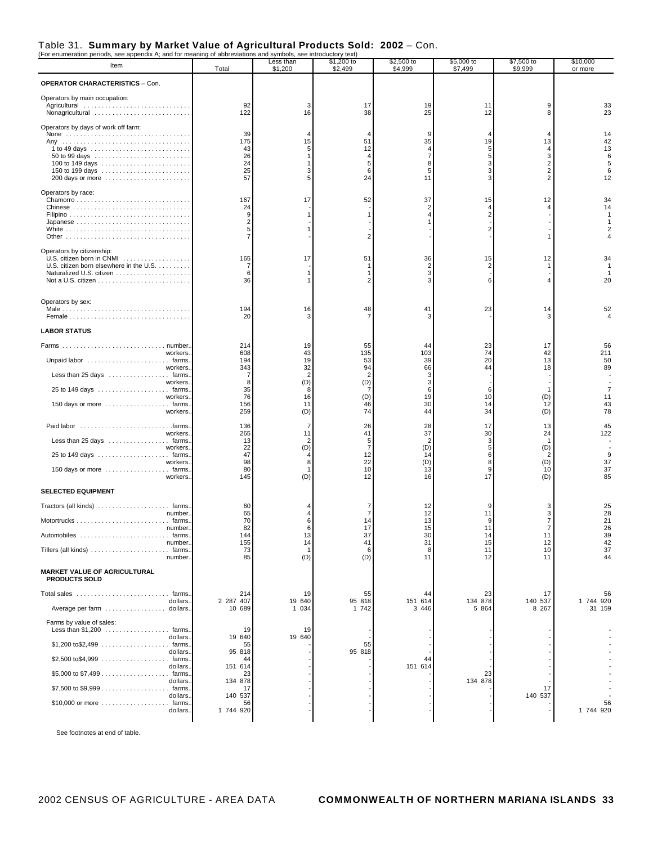#### Table 31. **Summary by Market Value of Agricultural Products Sold: 2002** – Con.

| (For enumeration periods, see appendix A; and for meaning of abbreviations and symbols, see introductory text)<br>Item | Total               | Less than<br>\$1,200  | \$1,200 to<br>\$2,499 | \$2,500 to<br>\$4,999 | $$5,000$ to<br>\$7,499 | \$7,500 to<br>\$9,999 | \$10,000<br>or more |
|------------------------------------------------------------------------------------------------------------------------|---------------------|-----------------------|-----------------------|-----------------------|------------------------|-----------------------|---------------------|
| <b>OPERATOR CHARACTERISTICS - Con.</b>                                                                                 |                     |                       |                       |                       |                        |                       |                     |
| Operators by main occupation:                                                                                          | 92                  | 3                     | 17                    | 19                    | 11                     | 9                     | 33                  |
| Nonagricultural                                                                                                        | 122                 | 16                    | 38                    | 25                    | 12                     | 8                     | 23                  |
| Operators by days of work off farm:<br>None                                                                            | 39                  | 4                     |                       | g                     |                        | $\overline{4}$        | 14                  |
| 1 to 49 days $\ldots \ldots \ldots \ldots \ldots \ldots \ldots \ldots$                                                 | 175<br>43           | 15<br>5               | 51<br>12              | 35                    | 19<br>5                | 13<br>4               | 42<br>13            |
|                                                                                                                        | 26                  |                       | 4                     | 7                     | 5                      | 3                     | 6                   |
| 150 to 199 days                                                                                                        | 24<br>25            | Э                     | 5<br>6                | 8<br>5                | Э<br>Э                 | 2<br>2                | 5<br>6              |
| 200 days or more                                                                                                       | 57                  | 5                     | 24                    | 11                    | 3                      | $\overline{2}$        | 12                  |
| Operators by race:                                                                                                     | 167                 | 17                    | 52                    | 37                    | 15                     | 12                    | 34                  |
|                                                                                                                        | 24<br>9             |                       |                       |                       |                        | 4                     | 14                  |
| Japanese                                                                                                               | $\overline{2}$      |                       |                       |                       |                        |                       |                     |
|                                                                                                                        | 5                   |                       | $\overline{2}$        |                       |                        |                       |                     |
| Operators by citizenship:                                                                                              |                     |                       |                       |                       |                        |                       |                     |
| U.S. citizen born in CNMI<br>U.S. citizen born elsewhere in the U.S.                                                   | 165<br>7            | 17                    | 51                    | 36                    | 15                     | 12                    | 34                  |
|                                                                                                                        | 6<br>36             |                       | 1<br>$\overline{2}$   | 3                     |                        |                       | 20                  |
|                                                                                                                        |                     |                       |                       |                       |                        |                       |                     |
| Operators by sex:                                                                                                      | 194                 | 16                    | 48                    | 41                    | 23                     | 14                    | 52                  |
|                                                                                                                        | 20                  |                       | 7                     |                       |                        | 3                     |                     |
| <b>LABOR STATUS</b>                                                                                                    |                     |                       |                       |                       |                        |                       |                     |
| Farms  number.                                                                                                         | 214                 | 19                    | 55                    | 44                    | 23                     | 17                    | 56                  |
| workers.                                                                                                               | 608<br>194          | 43<br>19              | 135<br>53             | 103<br>39             | 74<br>20               | 42<br>13              | 211<br>50           |
| workers.<br>Less than 25 days  farms.                                                                                  | 343<br>7            | 32<br>$\overline{2}$  | 94<br>2               | 66<br>3               | 44                     | 18                    | 89                  |
| workers.                                                                                                               | 8<br>35             | (D)<br>8              | (D)<br>7              | 3<br>6                | 6                      | 1                     | $\overline{7}$      |
| workers.<br>150 days or more  farms.                                                                                   | 76<br>156           | 16<br>11              | (D)<br>46             | 19<br>30              | 10<br>14               | (D)<br>12             | 11<br>43            |
| workers.                                                                                                               | 259                 | (D)                   | 74                    | 44                    | 34                     | (D)                   | 78                  |
| workers.                                                                                                               | 136<br>265          | 7<br>11               | 26<br>41              | 28<br>37              | 17<br>30               | 13<br>24              | 45<br>122           |
| Less than 25 days  farms.                                                                                              | 13                  | $\overline{2}$        | 5                     |                       | 3                      | -1                    |                     |
| workers.                                                                                                               | 22<br>47            | (D)<br>$\overline{4}$ | 7<br>12               | (D)<br>14             | 5<br>6                 | (D)<br>2              | 9                   |
| workers.<br>150 days or more  farms.                                                                                   | 98<br>80            | 8<br>-1               | 22<br>10              | (D)<br>13             | 8<br>9                 | (D)<br>10             | 37<br>37            |
| workers.                                                                                                               | 145                 | (D)                   | 12                    | 16                    | 17                     | (D)                   | 85                  |
| <b>SELECTED EQUIPMENT</b>                                                                                              |                     |                       |                       |                       |                        |                       |                     |
| Tractors (all kinds)  farms.<br>number.                                                                                | 60<br>65            |                       | 7                     | 12<br>12              | c<br>11                | 3<br>3                | 25<br>28            |
| number.                                                                                                                | 70<br>82            |                       | 14<br>17              | 13<br>15              | c                      | $\overline{7}$        | 21<br>26            |
| Automobiles  farms.                                                                                                    | 144                 | 13                    | 37                    | 30                    | 14                     | 11                    | 39                  |
| number.<br>Tillers (all kinds)  farms.                                                                                 | 155<br>73<br>85     | 14<br>-1              | 41<br>6               | 31<br>8               | 15<br>11               | 12<br>10              | 42<br>37<br>44      |
| number.<br><b>MARKET VALUE OF AGRICULTURAL</b><br><b>PRODUCTS SOLD</b>                                                 |                     | (D)                   | (D)                   | 11                    | 12                     | 11                    |                     |
| Total sales<br>farms.                                                                                                  | 214                 | 19                    | 55                    | 44                    | 23                     | 17                    | 56                  |
| dollars.<br>Average per farm  dollars.                                                                                 | 2 287 407<br>10 689 | 19 640<br>1 0 3 4     | 95 818<br>1 742       | 151 614<br>3 4 4 6    | 134 878<br>5 8 6 4     | 140 537<br>8 2 6 7    | 1 744 920<br>31 159 |
| Farms by value of sales:                                                                                               |                     |                       |                       |                       |                        |                       |                     |
| Less than \$1,200 farms.<br>dollars.                                                                                   | 19<br>19 640        | 19<br>19 640          |                       |                       |                        |                       |                     |
| dollars.                                                                                                               | 55<br>95 818        |                       | 55<br>95 818          |                       |                        |                       |                     |
| dollars.                                                                                                               | 44<br>151 614       |                       |                       | 44<br>151 614         |                        |                       |                     |
| dollars.                                                                                                               | 23<br>134 878       |                       |                       |                       | 23<br>134 878          |                       |                     |
| dollars.                                                                                                               | 17<br>140 537       |                       |                       |                       |                        | 17<br>140 537         |                     |
| \$10,000 or more $\dots\dots\dots\dots\dots\dots$<br>. farms.                                                          | 56<br>1 744 920     |                       |                       |                       |                        |                       | 56<br>1 744 920     |
| dollars.                                                                                                               |                     |                       |                       |                       |                        |                       |                     |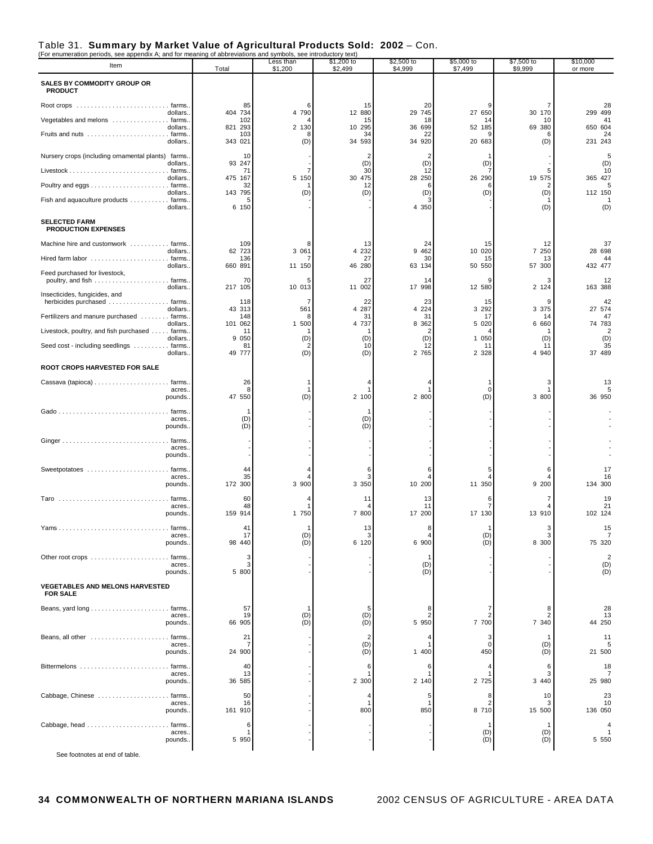#### Table 31. **Summary by Market Value of Agricultural Products Sold: 2002** – Con.

| (For enumeration periods, see appendix A; and for meaning of abbreviations and symbols, see introductory text)<br>Item |                | Less than  | \$1,200 to   | \$2,500 to    | \$5,000 to     | \$7,500 to              | \$10,000                |
|------------------------------------------------------------------------------------------------------------------------|----------------|------------|--------------|---------------|----------------|-------------------------|-------------------------|
|                                                                                                                        | Total          | \$1,200    | \$2,499      | \$4,999       | \$7,499        | \$9,999                 | or more                 |
| SALES BY COMMODITY GROUP OR<br><b>PRODUCT</b>                                                                          |                |            |              |               |                |                         |                         |
| dollars.                                                                                                               | 85<br>404 734  | 4 790      | 15<br>12 880 | 20<br>29 745  | 27 650         | 30 170                  | 28<br>299 499           |
| Vegetables and melons  farms.                                                                                          | 102            |            | 15           | 18            | 14             | 10                      | 41                      |
| dollars.<br>Fruits and nuts  farms.                                                                                    | 821 293<br>103 | 2 130<br>8 | 10 295<br>34 | 36 699<br>22  | 52 185         | 69 380<br>6             | 650 604<br>24           |
| dollars.                                                                                                               | 343 021        | (D)        | 34 593       | 34 920        | 20 683         | (D)                     | 231 243                 |
| Nursery crops (including ornamental plants) farms.                                                                     | 10             |            | 2            | 2             |                |                         | 5                       |
| dollars.                                                                                                               | 93 247<br>71   | 7          | (D)<br>30    | (D)<br>12     | (D)            | 5                       | (D)<br>10               |
| dollars.                                                                                                               | 475 167        | 5 150      | 30 475       | 28 250        | 26 290         | 19 575                  | 365 427                 |
| dollars.                                                                                                               | 32<br>143 795  | (D)        | 12<br>(D)    | (D)           | 6<br>(D)       | (D)                     | 5<br>112 150            |
| Fish and aquaculture products farms.<br>dollars.                                                                       | 6 150          |            |              | 4 3 5 0       |                | (D)                     | (D)                     |
| <b>SELECTED FARM</b><br><b>PRODUCTION EXPENSES</b>                                                                     |                |            |              |               |                |                         |                         |
| Machine hire and customwork  farms.                                                                                    | 109            |            | 13           | 24            | 15             | 12                      | 37                      |
| dollars.                                                                                                               | 62 723         | 3 061      | 4 2 3 2      | 9 4 6 2       | 10 020         | 7 250                   | 28 698                  |
| Hired farm labor  farms.<br>dollars.                                                                                   | 136<br>660 891 | 11 150     | 27<br>46 280 | 30<br>63 134  | 15<br>50 550   | 13<br>57 300            | 44<br>432 477           |
| Feed purchased for livestock,                                                                                          | 70             |            | 27           | 14            |                | 3                       | 12                      |
| dollars.                                                                                                               | 217 105        | 10 013     | 11 002       | 17 998        | 12 580         | 2 1 2 4                 | 163 388                 |
| Insecticides, fungicides, and<br>herbicides purchased  farms.                                                          | 118            |            | 22           | 23            | 15             |                         | 42                      |
| dollars.<br>Fertilizers and manure purchased  farms.                                                                   | 43 313<br>148  | 561        | 4 287<br>31  | 4 2 2 4<br>31 | 3 2 9 2<br>17  | 3 3 7 5<br>14           | 27 574<br>47            |
| dollars.                                                                                                               | 101 062        | 1 500      | 4 7 3 7      | 8 3 6 2       | 5 0 2 0        | 6 660                   | 74 783                  |
| Livestock, poultry, and fish purchased farms.<br>dollars.                                                              | 11<br>9 0 5 0  | (D)        | (D)          | (D)           | 1 050          | (D)                     | $\overline{2}$<br>(D)   |
| Seed cost - including seedlings  farms.<br>dollars.                                                                    | 81<br>49 777   | (D)        | 10<br>(D)    | 12<br>2 765   | -11<br>2 3 2 8 | 11<br>4 940             | 35<br>37 489            |
| ROOT CROPS HARVESTED FOR SALE                                                                                          |                |            |              |               |                |                         |                         |
|                                                                                                                        | 26             |            |              |               |                | 3                       | 13                      |
| acres.<br>pounds                                                                                                       | 47 550         | -1<br>(D)  | 2 100        | 2 800         | 0<br>(D)       | -1<br>3 800             | 5<br>36 950             |
|                                                                                                                        |                |            |              |               |                |                         |                         |
| acres.<br>pounds                                                                                                       | (D)<br>(D)     |            | (D)<br>(D)   |               |                |                         |                         |
| acres.                                                                                                                 |                |            |              |               |                |                         |                         |
| pounds.                                                                                                                |                |            |              |               |                |                         |                         |
| Sweetpotatoes  farms.                                                                                                  | 44             |            | 6            |               |                | 6                       | 17                      |
| acres.                                                                                                                 | 35<br>172 300  | 3 900      | 3<br>3 3 5 0 | 10 200        | 11 350         | 9 200                   | 16<br>134 300           |
| pounds.                                                                                                                |                |            |              |               |                |                         |                         |
| acres.                                                                                                                 | 60<br>48       |            | 11           | 13<br>11      | 6              | 7                       | 19<br>21                |
| pounds.                                                                                                                | 159 914        | 1 750      | 7 800        | 17 200        | 17 130         | 13 910                  | 102 124                 |
| Yams.<br>farms.                                                                                                        | 41             |            | 13           | 8             |                | 3                       | 15                      |
| acres.<br>pounds.                                                                                                      | 17<br>98 440   | (D)<br>(D) | 6 120        | 6 900         | (D)<br>(D)     | 3<br>8 300              | 7<br>75 320             |
|                                                                                                                        |                |            |              |               |                |                         | $\overline{\mathbf{c}}$ |
| acres.<br>pounds                                                                                                       | 5 800          |            |              | (D)<br>(D)    |                |                         | (D)<br>(D)              |
| <b>VEGETABLES AND MELONS HARVESTED</b><br><b>FOR SALE</b>                                                              |                |            |              |               |                |                         |                         |
|                                                                                                                        | 57             |            | 5            |               | 7              | 8                       | 28                      |
| acres.<br>pounds                                                                                                       | 19<br>66 905   | (D)<br>(D) | (D)<br>(D)   | 5 9 5 0       | 7 700          | $\overline{2}$<br>7 340 | 13<br>44 250            |
|                                                                                                                        |                |            |              |               |                |                         |                         |
| Beans, all other  farms.<br>acres.                                                                                     | 21             |            | 2<br>(D)     |               | 3<br>0         | (D)                     | 11<br>5                 |
| pounds.                                                                                                                | 24 900         |            | (D)          | 1 400         | 450            | (D)                     | 21 500                  |
| . farms.                                                                                                               | 40             |            | 6            |               |                | 6                       | 18                      |
| acres.<br>pounds                                                                                                       | 13<br>36 585   |            | 2 300        | 2 140         | 2 7 2 5        | 3<br>3 4 4 0            | -7<br>25 980            |
| Cabbage, Chinese  farms.                                                                                               | 50             |            |              |               | 8              | 10                      | 23                      |
| acres.                                                                                                                 | 16             |            |              | 850           | 8 710          | з                       | 10                      |
| pounds                                                                                                                 | 161 910        |            | 800          |               |                | 15 500                  | 136 050                 |
| acres.                                                                                                                 | 6              |            |              |               | (D)            | -1<br>(D)               | 4<br>-1                 |
| pounds                                                                                                                 | 5 9 5 0        |            |              |               | (D)            | (D)                     | 5 5 5 0                 |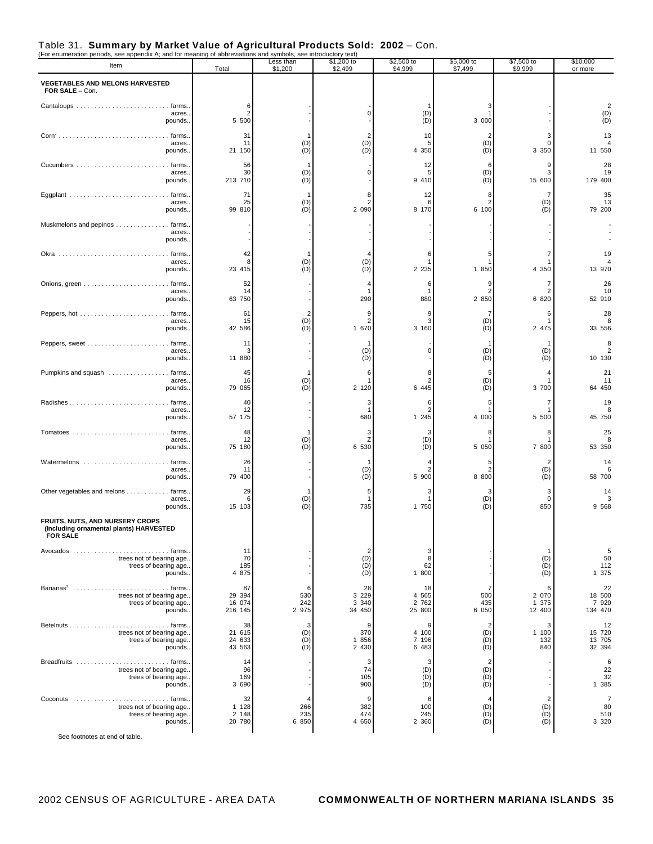|  |  |  |  | Table 31. Summary by Market Value of Agricultural Products Sold: 2002 - Con. |  |
|--|--|--|--|------------------------------------------------------------------------------|--|
|--|--|--|--|------------------------------------------------------------------------------|--|

| (For enumeration periods, see appendix A; and for meaning of abbreviations and symbols, see introductory text)<br>Item | Total                             | Less than<br>\$1,200                  | \$1,200 to<br>\$2,499               | \$2,500 to<br>\$4,999            | \$5,000 to<br>\$7,499               | \$7,500 to<br>\$9,999                   | \$10,000<br>or more                                    |
|------------------------------------------------------------------------------------------------------------------------|-----------------------------------|---------------------------------------|-------------------------------------|----------------------------------|-------------------------------------|-----------------------------------------|--------------------------------------------------------|
| <b>VEGETABLES AND MELONS HARVESTED</b><br>FOR SALE - Con.                                                              |                                   |                                       |                                     |                                  |                                     |                                         |                                                        |
| acres.<br>pounds.                                                                                                      | 6<br>5 500                        |                                       | O                                   | (D)<br>(D)                       | 3<br>-1<br>3 000                    |                                         | $\overline{\mathbf{c}}$<br>(D)<br>(D)                  |
| acres.<br>pounds.                                                                                                      | 31<br>11<br>21 150                | (D)<br>(D)                            | 2<br>(D)<br>(D)                     | 10<br>4 3 5 0                    | $\overline{2}$<br>(D)<br>(D)        | 3<br>$\Omega$<br>3 3 5 0                | 13<br>11 550                                           |
| acres.<br>pounds                                                                                                       | 56<br>30<br>213 710               | -1<br>(D)<br>(D)                      | 0                                   | 12<br>9 410                      | 6<br>(D)<br>(D)                     | 9<br>3<br>15 600                        | 28<br>19<br>179 400                                    |
| Eggplant  farms.<br>acres.<br>pounds                                                                                   | 71<br>25<br>99 810                | $\mathbf 1$<br>(D)<br>(D)             | 8<br>$\overline{2}$<br>2 0 9 0      | 12<br>8 170                      | 8<br>$\overline{c}$<br>6 100        | 7<br>(D)<br>(D)                         | 35<br>13<br>79 200                                     |
| Muskmelons and pepinos farms.<br>acres.<br>pounds                                                                      |                                   |                                       |                                     |                                  |                                     |                                         |                                                        |
| acres.<br>pounds                                                                                                       | 42<br>8<br>23 415                 | (D)<br>(D)                            | (D)<br>(D)                          | 2 2 3 5                          | 5<br>1<br>1 850                     | 7<br>1<br>4 3 5 0                       | 19<br>4<br>13 970                                      |
| acres.<br>pounds                                                                                                       | 52<br>14<br>63 750                |                                       | 290                                 | 6<br>880                         | 9<br>2<br>2 850                     | 7<br>$\overline{2}$<br>6 8 20           | 26<br>10<br>52 910                                     |
| acres.<br>pounds                                                                                                       | 61<br>15<br>42 586                | $\overline{2}$<br>(D)<br>(D)          | 9<br>$\overline{2}$<br>1 670        | 3 160                            | 7<br>(D)<br>(D)                     | 6<br>-1<br>2 475                        | 28<br>8<br>33 556                                      |
| acres.<br>pounds                                                                                                       | 11<br>з<br>11 880                 |                                       | (D)<br>(D)                          | O                                | (D)<br>(D)                          | -1<br>(D)<br>(D)                        | 8<br>2<br>10 130                                       |
| Pumpkins and squash  farms.<br>acres.<br>pounds                                                                        | 45<br>16<br>79 065                | -1<br>(D)<br>(D)                      | 6<br>2 1 2 0                        | 8<br>6 4 4 5                     | 5<br>(D)<br>(D)                     | 4<br>3 700                              | 21<br>11<br>64 450                                     |
| acres.<br>pounds                                                                                                       | 40<br>12<br>57 175                |                                       | 3<br>680                            | 6<br>1 2 4 5                     | 5<br>4 000                          | 7<br>1<br>5 500                         | 19<br>8<br>45 750                                      |
| Tomatoes  farms.<br>acres.<br>pounds                                                                                   | 48<br>12<br>75 180                | (D)<br>(D)                            | 3<br>Z<br>6 530                     | 3<br>(D)<br>(D)                  | 8<br>5 0 5 0                        | 8<br>7 800                              | 25<br>8<br>53 350                                      |
| Watermelons  farms.<br>acres.<br>pounds                                                                                | 26<br>11<br>79 400                |                                       | (D)<br>(D)                          | 5 900                            | 5<br>$\overline{2}$<br>8 800        | $\overline{2}$<br>(D)<br>(D)            | 14<br>6<br>58 700                                      |
| Other vegetables and melons farms.<br>acres.<br>pounds                                                                 | 29<br>6<br>15 103                 | (D)<br>(D)                            | 5<br>1<br>735                       | 1 750                            | 3<br>(D)<br>(D)                     | 3<br>0<br>850                           | 14<br>3<br>9 5 68                                      |
| FRUITS, NUTS, AND NURSERY CROPS<br>(including ornamental plants) HARVESTED<br><b>FOR SALE</b>                          |                                   |                                       |                                     |                                  |                                     |                                         |                                                        |
| trees not of bearing age.<br>trees of bearing age<br>pounds.                                                           | 11<br>70<br>185<br>4 875          |                                       | $\overline{2}$<br>(D)<br>(D)<br>(D) | $\mathbf{3}$<br>8<br>62<br>1 800 |                                     | $\mathbf{1}$<br>(D)<br>(D)<br>(D)       | $\begin{array}{c} 5 \\ 50 \end{array}$<br>112<br>1 375 |
| Bananas <sup>3</sup> farms.<br>trees not of bearing age.<br>trees of bearing age<br>pounds                             | 87<br>29 394<br>16 074<br>216 145 | 6<br>530<br>242<br>2 975              | 28<br>3 2 2 9<br>3 3 4 0<br>34 450  | 18<br>4 5 6 5<br>2 762<br>25 800 | 7<br>500<br>435<br>6 0 5 0          | 6<br>2 070<br>1 375<br>12 400           | 22<br>18 500<br>7 9 2 0<br>134 470                     |
| trees not of bearing age<br>trees of bearing age.<br>pounds                                                            | 38<br>21 615<br>24 633<br>43 563  | 3<br>(D)<br>(D)<br>(D)                | 9<br>370<br>1 856<br>2 4 3 0        | 9<br>4 100<br>7 196<br>6 483     | $\overline{c}$<br>(D)<br>(D)<br>(D) | 3<br>1 100<br>132<br>840                | 12<br>15 720<br>13 705<br>32 394                       |
| Breadfruits  farms.<br>trees not of bearing age.<br>trees of bearing age<br>pounds                                     | 14<br>96<br>169<br>3 6 9 0        |                                       | 3<br>74<br>105<br>900               | 3<br>(D)<br>(D)<br>(D)           | $\overline{c}$<br>(D)<br>(D)<br>(D) |                                         | 6<br>22<br>32<br>1 385                                 |
| trees not of bearing age<br>trees of bearing age.<br>pounds                                                            | 32<br>1 1 28<br>2 148<br>20 780   | $\overline{4}$<br>266<br>235<br>6 850 | 9<br>382<br>474<br>4 650            | 6<br>100<br>245<br>2 3 6 0       | (D)<br>(D)<br>(D)                   | $\overline{c}$<br>(D)<br>$(D)$<br>$(D)$ | $\overline{7}$<br>80<br>510<br>3 3 2 0                 |
| Soo footpotog at and of table                                                                                          |                                   |                                       |                                     |                                  |                                     |                                         |                                                        |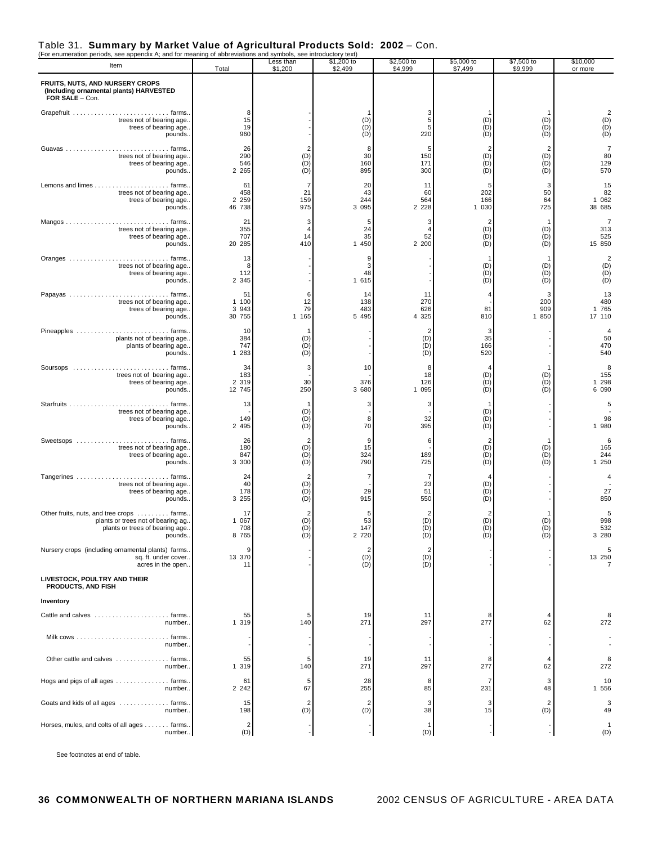|  |  |  |  | Table 31. Summary by Market Value of Agricultural Products Sold: 2002 - Con. |  |
|--|--|--|--|------------------------------------------------------------------------------|--|
|--|--|--|--|------------------------------------------------------------------------------|--|

| (For enumeration periods, see appendix A; and for meaning of abbreviations and symbols, see introductory text)<br>Item        | Total                            | Less than<br>\$1,200                                  | \$1,200 to<br>\$2,499              | \$2,500 to<br>\$4,999               | \$5,000 to<br>\$7,499                        | \$7,500 to<br>\$9,999                        | \$10,000<br>or more                                          |
|-------------------------------------------------------------------------------------------------------------------------------|----------------------------------|-------------------------------------------------------|------------------------------------|-------------------------------------|----------------------------------------------|----------------------------------------------|--------------------------------------------------------------|
| FRUITS, NUTS, AND NURSERY CROPS<br>(Including ornamental plants) HARVESTED<br>FOR SALE - Con.                                 |                                  |                                                       |                                    |                                     |                                              |                                              |                                                              |
| trees not of bearing age.<br>trees of bearing age.<br>pounds.                                                                 | 8<br>15<br>19<br>960             |                                                       | 1<br>(D)<br>(D)<br>(D)             | 3<br>5<br>5<br>220                  | (D)<br>(D)<br>(D)                            | -1<br>(D)<br>(D)<br>(D)                      | $2$<br>(D)<br>(D)<br>(D)                                     |
| trees not of bearing age.<br>trees of bearing age<br>pounds.                                                                  | 26<br>290<br>546<br>2 2 6 5      | $2$<br>(D)<br>(D)<br>(D)                              | 8<br>30<br>160<br>895              | 5<br>150<br>171<br>300              | $\overline{2}$<br>(D)<br>(D)<br>(D)          | $\overline{\mathbf{c}}$<br>(D)<br>(D)<br>(D) | $\begin{array}{c} 7 \\ 80 \end{array}$<br>129<br>570         |
| trees not of bearing age.<br>trees of bearing age.<br>pounds                                                                  | 61<br>458<br>2 2 5 9<br>46 738   | 7<br>$21$<br>159<br>975                               | 20<br>43<br>244<br>3 0 9 5         | 11<br>60<br>564<br>2 2 2 8          | 5<br>202<br>166<br>1 0 3 0                   | 3<br>50<br>64<br>725                         | $\begin{array}{c} 15 \\ 82 \end{array}$<br>1 0 6 2<br>38 685 |
| trees not of bearing age.<br>trees of bearing age.<br>pounds.                                                                 | 21<br>355<br>707<br>20 285       | 3<br>$\overline{4}$<br>14<br>410                      | 5<br>24<br>35<br>1 450             | 3<br>4<br>52<br>2 200               | $\overline{2}$<br>(D)<br>(D)<br>(D)          | -1<br>(D)<br>(D)<br>(D)                      | $\overline{7}$<br>313<br>525<br>15 850                       |
| trees not of bearing age.<br>trees of bearing age.<br>pounds.                                                                 | 13<br>8<br>112<br>2 3 4 5        |                                                       | 9<br>3<br>48<br>1 615              |                                     | -1<br>(D)<br>(D)<br>(D)                      | -1<br>(D)<br>(D)<br>(D)                      | $\overline{\mathbf{c}}$<br>(D)<br>$(D)$<br>$(D)$             |
| Papayas farms.<br>trees not of bearing age.<br>trees of bearing age<br>pounds                                                 | 51<br>1 100<br>3 9 4 3<br>30 755 | $\begin{array}{c} 6 \\ 12 \end{array}$<br>79<br>1 165 | 14<br>138<br>483<br>5 4 9 5        | 11<br>270<br>626<br>4 3 2 5         | 4<br>81<br>810                               | 3<br>200<br>909<br>1 850                     | 13<br>480<br>1 765<br>17 110                                 |
| Pineapples  farms.<br>plants not of bearing age.<br>plants of bearing age.<br>pounds.                                         | 10<br>384<br>747<br>1 283        | (D)<br>(D)<br>(D)                                     |                                    | (D)<br>(D)<br>(D)                   | 3<br>35<br>166<br>520                        |                                              | 50<br>470<br>540                                             |
| Soursops  farms.<br>trees not of bearing age<br>trees of bearing age.<br>pounds                                               | 34<br>183<br>2 3 1 9<br>12 745   | $\mathsf 3$<br>30<br>250                              | 10<br>376<br>3 680                 | 8<br>18<br>126<br>1 0 9 5           | $\overline{4}$<br>(D)<br>(D)<br>(D)          | 1<br>(D)<br>(D)<br>(D)                       | 8<br>155<br>1 2 9 8<br>6 0 9 0                               |
| trees not of bearing age.<br>trees of bearing age<br>pounds                                                                   | 13<br>149<br>2 4 9 5             | $\mathbf{1}$<br>(D)<br>(D)<br>(D)                     | 3<br>8<br>70                       | 3<br>32<br>395                      | (D)<br>(D)<br>(D)                            |                                              | 5<br>98<br>1 980                                             |
| Sweetsops  farms.<br>trees not of bearing age.<br>trees of bearing age.<br>pounds                                             | 26<br>180<br>847<br>3 300        | $\overline{\mathbf{c}}$<br>(D)<br>(D)<br>(D)          | 9<br>15<br>324<br>790              | 6<br>189<br>725                     | $\overline{\mathbf{c}}$<br>(D)<br>(D)<br>(D) | -1<br>(D)<br>(D)<br>(D)                      | 6<br>165<br>244<br>1 250                                     |
| Tangerines  farms.<br>trees not of bearing age.<br>trees of bearing age.<br>pounds                                            | 24<br>40<br>178<br>3 2 5 5       | $\overline{2}$<br>(D)<br>(D)<br>(D)                   | 7<br>29<br>915                     | -7<br>23<br>51<br>550               | (D)<br>(D)<br>(D)                            |                                              | 27<br>850                                                    |
| Other fruits, nuts, and tree crops  farms.<br>plants or trees not of bearing ag<br>plants or trees of bearing age.<br>pounds. | 17<br>1 0 6 7<br>708<br>8 7 6 5  | $\frac{2}{(D)}$<br>(D)<br>(D)                         | $\sqrt{5}$<br>53<br>147<br>2 7 2 0 | $\overline{2}$<br>(D)<br>(D)<br>(D) | $\overline{2}$<br>(D)<br>(D)<br>(D)          | -1<br>(D)<br>(D)<br>(D)                      | 5<br>998<br>532<br>3 2 8 0                                   |
| Nursery crops (including ornamental plants) farms.<br>sq. ft. under cover<br>acres in the open                                | 13 370<br>11                     |                                                       | 2<br>(D)<br>(D)                    | (D)<br>(D)                          |                                              |                                              | 5<br>13 250                                                  |
| LIVESTOCK, POULTRY AND THEIR<br>PRODUCTS, AND FISH                                                                            |                                  |                                                       |                                    |                                     |                                              |                                              |                                                              |
| Inventory                                                                                                                     |                                  |                                                       |                                    |                                     |                                              |                                              |                                                              |
| Cattle and calves  farms.<br>number                                                                                           | 55<br>1 319                      | 5<br>140                                              | 19<br>271                          | 11<br>297                           | 8<br>277                                     | 4<br>62                                      | 8<br>272                                                     |
| number                                                                                                                        |                                  |                                                       |                                    |                                     |                                              |                                              |                                                              |
| Other cattle and calves  farms.<br>number                                                                                     | 55<br>1 319                      | 5<br>140                                              | 19<br>271                          | 11<br>297                           | 8<br>277                                     | 4<br>62                                      | 8<br>272                                                     |
| Hogs and pigs of all ages  farms.<br>number                                                                                   | 61<br>2 2 4 2                    | 5<br>67                                               | 28<br>255                          | 85                                  | 7<br>231                                     | 3<br>48                                      | 10<br>1 556                                                  |
| Goats and kids of all ages  farms.<br>number                                                                                  | 15<br>198                        | $\overline{2}$<br>(D)                                 | 2<br>(D)                           | 3<br>38                             | 3<br>15                                      | $\overline{2}$<br>(D)                        | 3<br>49                                                      |
| Horses, mules, and colts of all ages farms.<br>number                                                                         | 2<br>(D)                         |                                                       |                                    | r,<br>(D)                           |                                              |                                              | 1<br>(D)                                                     |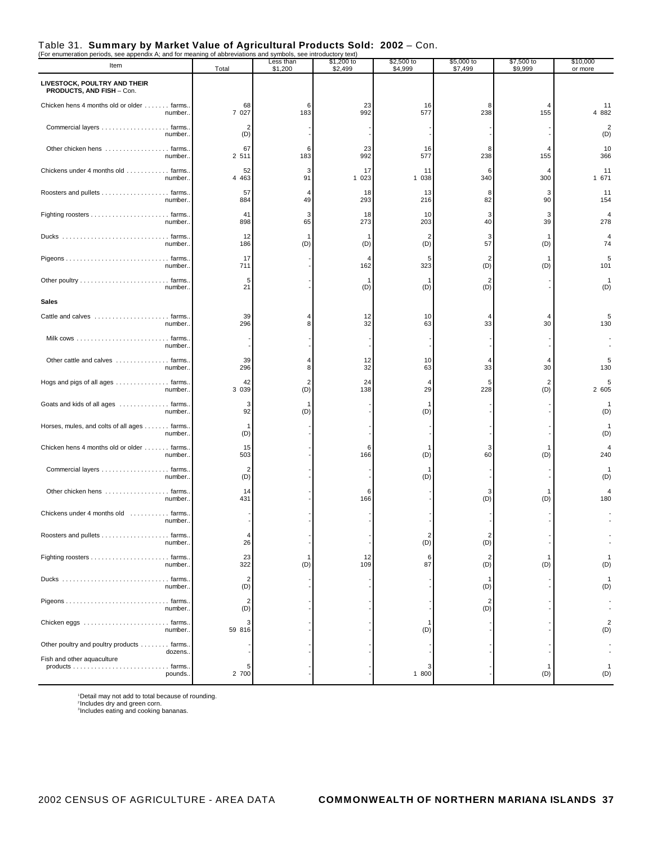|  |  |  |  | Table 31. Summary by Market Value of Agricultural Products Sold: 2002 - Con. |  |
|--|--|--|--|------------------------------------------------------------------------------|--|
|--|--|--|--|------------------------------------------------------------------------------|--|

| (For enumeration periods, see appendix A; and for meaning of abbreviations and symbols, see introductory text)<br>Item | Total                 | Less than<br>\$1,200  | \$1,200 to<br>\$2,499 | \$2,500 to<br>\$4,999 | \$5,000 to<br>\$7,499 | \$7,500 to<br>\$9,999 | \$10,000<br>or more   |
|------------------------------------------------------------------------------------------------------------------------|-----------------------|-----------------------|-----------------------|-----------------------|-----------------------|-----------------------|-----------------------|
| LIVESTOCK, POULTRY AND THEIR<br>PRODUCTS, AND FISH - Con.                                                              |                       |                       |                       |                       |                       |                       |                       |
| Chicken hens 4 months old or older farms.<br>number.                                                                   | 68<br>7 0 2 7         | 6<br>183              | 23<br>992             | 16<br>577             | 8<br>238              | $\overline{4}$<br>155 | 11<br>4 882           |
| Commercial layers farms.<br>number.                                                                                    | $\overline{2}$<br>(D) |                       |                       |                       |                       |                       | $\overline{2}$<br>(D) |
| Other chicken hens  farms.<br>number                                                                                   | 67<br>2 511           | 6<br>183              | 23<br>992             | 16<br>577             | 8<br>238              | $\overline{4}$<br>155 | 10<br>366             |
| Chickens under 4 months old  farms.<br>number.                                                                         | 52<br>4 4 6 3         | 3<br>91               | 17<br>1 0 2 3         | 11<br>1 0 38          | 6<br>340              | $\overline{4}$<br>300 | 11<br>1 671           |
| Roosters and pullets farms.<br>number.                                                                                 | 57<br>884             | 49                    | 18<br>293             | 13<br>216             | 8<br>82               | 3<br>90               | 11<br>154             |
| number                                                                                                                 | 41<br>898             | 3<br>65               | 18<br>273             | 10<br>203             | 3<br>40               | 3<br>39               | $\overline{A}$<br>278 |
| number.                                                                                                                | 12<br>186             | $\mathbf 1$<br>(D)    | (D)                   | 2<br>(D)              | 3<br>57               | -1<br>(D)             | 4<br>74               |
| number                                                                                                                 | 17<br>711             |                       | 4<br>162              | 5<br>323              | $\overline{2}$<br>(D) | -1<br>(D)             | 5<br>101              |
| number                                                                                                                 | 5<br>21               |                       | (D)                   | -1<br>(D)             | $\overline{2}$<br>(D) |                       | $\overline{1}$<br>(D) |
| <b>Sales</b>                                                                                                           |                       |                       |                       |                       |                       |                       |                       |
| Cattle and calves  farms.<br>number.                                                                                   | 39<br>296             | 8                     | 12<br>32              | 10<br>63              | 33                    | $\overline{4}$<br>30  | 5<br>130              |
| number.                                                                                                                |                       |                       |                       |                       |                       |                       |                       |
| Other cattle and calves  farms.<br>number.                                                                             | 39<br>296             | $\overline{4}$<br>8   | 12<br>32              | 10<br>63              | 4<br>33               | 4<br>30               | 5<br>130              |
| Hogs and pigs of all ages farms.<br>number                                                                             | 42<br>3 0 3 9         | $\overline{2}$<br>(D) | 24<br>138             | 29                    | 5<br>228              | $\overline{2}$<br>(D) | 5<br>2 605            |
| Goats and kids of all ages  farms.<br>number.                                                                          | 3<br>92               | -1<br>(D)             |                       | -1<br>(D)             |                       |                       | (D)                   |
| Horses, mules, and colts of all ages farms.<br>number.                                                                 | 1<br>(D)              |                       |                       |                       |                       |                       | -1<br>(D)             |
| Chicken hens 4 months old or older farms.<br>number.                                                                   | 15<br>503             |                       | 6<br>166              | -1<br>(D)             | 3<br>60               | -1<br>(D)             | 240                   |
| Commercial layers farms.<br>number.                                                                                    | $\overline{2}$<br>(D) |                       |                       | (D)                   |                       |                       | (D)                   |
| Other chicken hens farms.<br>number.                                                                                   | 14<br>431             |                       | 6<br>166              |                       | 3<br>(D)              | 1<br>(D)              | 4<br>180              |
| Chickens under 4 months old  farms.<br>number                                                                          |                       |                       |                       |                       |                       |                       |                       |
| Roosters and pullets farms.<br>number                                                                                  | 26                    |                       |                       | (D)                   | 2<br>(D)              |                       |                       |
| number.                                                                                                                | 23<br>322             | -1<br>(D)             | 12<br>109             | 6<br>87               | (D)                   | $\mathbf 1$<br>(D)    | (D)                   |
| number                                                                                                                 | $\overline{2}$<br>(D) |                       |                       |                       | (D)                   |                       | $\overline{1}$<br>(D) |
| number.                                                                                                                | 2<br>(D)              |                       |                       |                       | 2<br>(D)              |                       |                       |
| number                                                                                                                 | 59 816                |                       |                       | -1<br>(D)             |                       |                       | $\overline{2}$<br>(D) |
| Other poultry and poultry products farms.<br>dozens.                                                                   |                       |                       |                       |                       |                       |                       |                       |
| Fish and other aquaculture<br>pounds.                                                                                  | 5<br>2 700            |                       |                       | 3<br>1 800            |                       | $\mathbf 1$<br>(D)    | 1<br>(D)              |

'Detail may not add to total because of rounding.<br><sup>2</sup>Includes dry and green corn.<br><sup>3</sup>Includes eating and cooking bananas.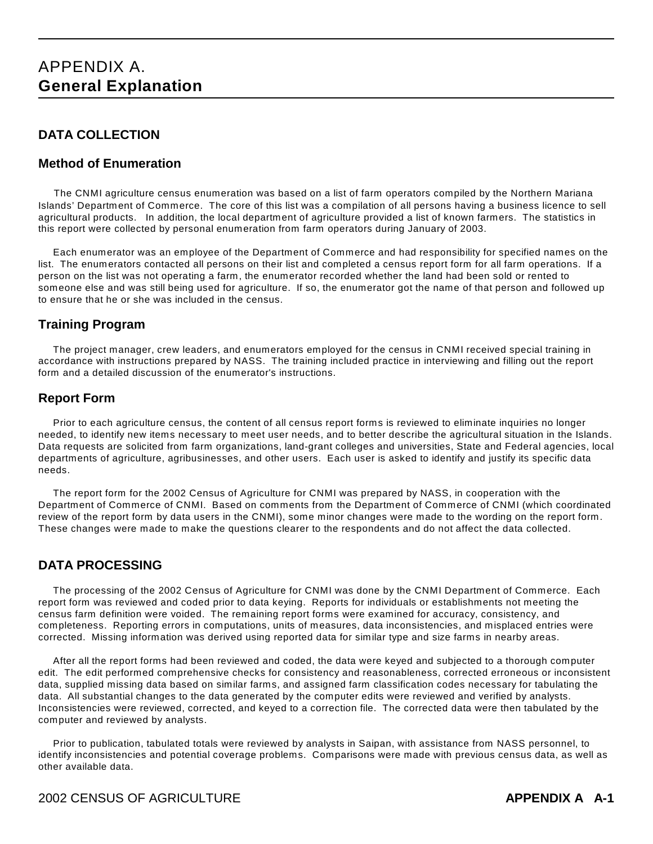# APPENDIX A. **General Explanation**

### **DATA COLLECTION**

### **Method of Enumeration**

 The CNMI agriculture census enumeration was based on a list of farm operators compiled by the Northern Mariana Islands' Department of Commerce. The core of this list was a compilation of all persons having a business licence to sell agricultural products. In addition, the local department of agriculture provided a list of known farmers. The statistics in this report were collected by personal enumeration from farm operators during January of 2003.

 Each enumerator was an employee of the Department of Commerce and had responsibility for specified names on the list. The enumerators contacted all persons on their list and completed a census report form for all farm operations. If a person on the list was not operating a farm, the enumerator recorded whether the land had been sold or rented to someone else and was still being used for agriculture. If so, the enumerator got the name of that person and followed up to ensure that he or she was included in the census.

### **Training Program**

 The project manager, crew leaders, and enumerators employed for the census in CNMI received special training in accordance with instructions prepared by NASS. The training included practice in interviewing and filling out the report form and a detailed discussion of the enumerator's instructions.

### **Report Form**

 Prior to each agriculture census, the content of all census report forms is reviewed to eliminate inquiries no longer needed, to identify new items necessary to meet user needs, and to better describe the agricultural situation in the Islands. Data requests are solicited from farm organizations, land-grant colleges and universities, State and Federal agencies, local departments of agriculture, agribusinesses, and other users. Each user is asked to identify and justify its specific data needs.

 The report form for the 2002 Census of Agriculture for CNMI was prepared by NASS, in cooperation with the Department of Commerce of CNMI. Based on comments from the Department of Commerce of CNMI (which coordinated review of the report form by data users in the CNMI), some minor changes were made to the wording on the report form. These changes were made to make the questions clearer to the respondents and do not affect the data collected.

### **DATA PROCESSING**

 The processing of the 2002 Census of Agriculture for CNMI was done by the CNMI Department of Commerce. Each report form was reviewed and coded prior to data keying. Reports for individuals or establishments not meeting the census farm definition were voided. The remaining report forms were examined for accuracy, consistency, and completeness. Reporting errors in computations, units of measures, data inconsistencies, and misplaced entries were corrected. Missing information was derived using reported data for similar type and size farms in nearby areas.

 After all the report forms had been reviewed and coded, the data were keyed and subjected to a thorough computer edit. The edit performed comprehensive checks for consistency and reasonableness, corrected erroneous or inconsistent data, supplied missing data based on similar farms, and assigned farm classification codes necessary for tabulating the data. All substantial changes to the data generated by the computer edits were reviewed and verified by analysts. Inconsistencies were reviewed, corrected, and keyed to a correction file. The corrected data were then tabulated by the computer and reviewed by analysts.

 Prior to publication, tabulated totals were reviewed by analysts in Saipan, with assistance from NASS personnel, to identify inconsistencies and potential coverage problems. Comparisons were made with previous census data, as well as other available data.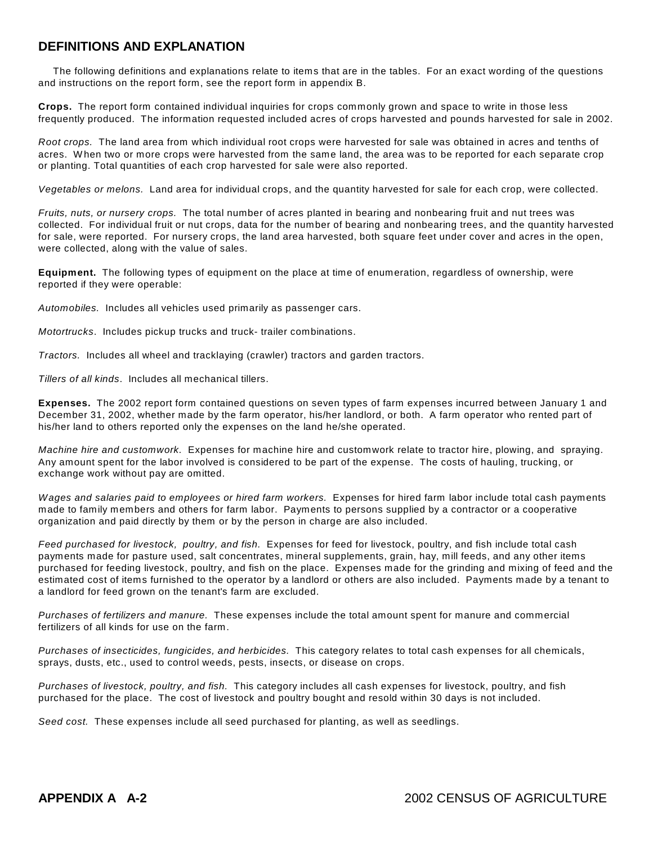### **DEFINITIONS AND EXPLANATION**

 The following definitions and explanations relate to items that are in the tables. For an exact wording of the questions and instructions on the report form, see the report form in appendix B.

**Crops.** The report form contained individual inquiries for crops commonly grown and space to write in those less frequently produced. The information requested included acres of crops harvested and pounds harvested for sale in 2002.

*Root crops.* The land area from which individual root crops were harvested for sale was obtained in acres and tenths of acres. When two or more crops were harvested from the same land, the area was to be reported for each separate crop or planting. Total quantities of each crop harvested for sale were also reported.

*Vegetables or melons.* Land area for individual crops, and the quantity harvested for sale for each crop, were collected.

*Fruits, nuts, or nursery crops.* The total number of acres planted in bearing and nonbearing fruit and nut trees was collected. For individual fruit or nut crops, data for the number of bearing and nonbearing trees, and the quantity harvested for sale, were reported. For nursery crops, the land area harvested, both square feet under cover and acres in the open, were collected, along with the value of sales.

**Equipment.** The following types of equipment on the place at time of enumeration, regardless of ownership, were reported if they were operable:

*Automobiles.* Includes all vehicles used primarily as passenger cars.

*Motortrucks*. Includes pickup trucks and truck- trailer combinations.

*Tractors.* Includes all wheel and tracklaying (crawler) tractors and garden tractors.

*Tillers of all kinds*. Includes all mechanical tillers.

**Expenses.** The 2002 report form contained questions on seven types of farm expenses incurred between January 1 and December 31, 2002, whether made by the farm operator, his/her landlord, or both. A farm operator who rented part of his/her land to others reported only the expenses on the land he/she operated.

*Machine hire and customwork.* Expenses for machine hire and customwork relate to tractor hire, plowing, and spraying. Any amount spent for the labor involved is considered to be part of the expense. The costs of hauling, trucking, or exchange work without pay are omitted.

*Wages and salaries paid to employees or hired farm workers.* Expenses for hired farm labor include total cash payments made to family members and others for farm labor. Payments to persons supplied by a contractor or a cooperative organization and paid directly by them or by the person in charge are also included.

*Feed purchased for livestock, poultry, and fish.* Expenses for feed for livestock, poultry, and fish include total cash payments made for pasture used, salt concentrates, mineral supplements, grain, hay, mill feeds, and any other items purchased for feeding livestock, poultry, and fish on the place. Expenses made for the grinding and mixing of feed and the estimated cost of items furnished to the operator by a landlord or others are also included. Payments made by a tenant to a landlord for feed grown on the tenant's farm are excluded.

*Purchases of fertilizers and manure.* These expenses include the total amount spent for manure and commercial fertilizers of all kinds for use on the farm.

*Purchases of insecticides, fungicides, and herbicides.* This category relates to total cash expenses for all chemicals, sprays, dusts, etc., used to control weeds, pests, insects, or disease on crops.

*Purchases of livestock, poultry, and fish.* This category includes all cash expenses for livestock, poultry, and fish purchased for the place. The cost of livestock and poultry bought and resold within 30 days is not included.

*Seed cost.* These expenses include all seed purchased for planting, as well as seedlings.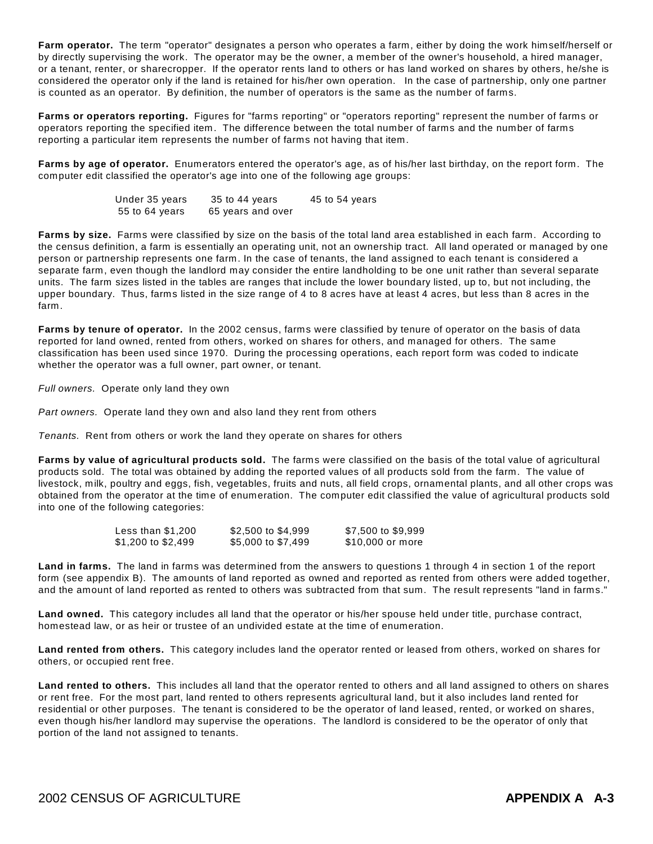**Farm operator.** The term "operator" designates a person who operates a farm, either by doing the work himself/herself or by directly supervising the work. The operator may be the owner, a member of the owner's household, a hired manager, or a tenant, renter, or sharecropper. If the operator rents land to others or has land worked on shares by others, he/she is considered the operator only if the land is retained for his/her own operation. In the case of partnership, only one partner is counted as an operator. By definition, the number of operators is the same as the number of farms.

**Farms or operators reporting.** Figures for "farms reporting" or "operators reporting" represent the number of farms or operators reporting the specified item. The difference between the total number of farms and the number of farms reporting a particular item represents the number of farms not having that item.

**Farms by age of operator.** Enumerators entered the operator's age, as of his/her last birthday, on the report form. The computer edit classified the operator's age into one of the following age groups:

| Under 35 years | 35 to 44 years    | 45 to 54 years |
|----------------|-------------------|----------------|
| 55 to 64 years | 65 years and over |                |

**Farms by size.** Farms were classified by size on the basis of the total land area established in each farm. According to the census definition, a farm is essentially an operating unit, not an ownership tract. All land operated or managed by one person or partnership represents one farm. In the case of tenants, the land assigned to each tenant is considered a separate farm, even though the landlord may consider the entire landholding to be one unit rather than several separate units. The farm sizes listed in the tables are ranges that include the lower boundary listed, up to, but not including, the upper boundary. Thus, farms listed in the size range of 4 to 8 acres have at least 4 acres, but less than 8 acres in the farm.

**Farms by tenure of operator.** In the 2002 census, farms were classified by tenure of operator on the basis of data reported for land owned, rented from others, worked on shares for others, and managed for others. The same classification has been used since 1970. During the processing operations, each report form was coded to indicate whether the operator was a full owner, part owner, or tenant.

*Full owners.* Operate only land they own

*Part owners.* Operate land they own and also land they rent from others

*Tenants.* Rent from others or work the land they operate on shares for others

**Farms by value of agricultural products sold.** The farms were classified on the basis of the total value of agricultural products sold. The total was obtained by adding the reported values of all products sold from the farm. The value of livestock, milk, poultry and eggs, fish, vegetables, fruits and nuts, all field crops, ornamental plants, and all other crops was obtained from the operator at the time of enumeration. The computer edit classified the value of agricultural products sold into one of the following categories:

| Less than \$1,200  | \$2,500 to \$4,999 | \$7,500 to \$9,999 |
|--------------------|--------------------|--------------------|
| \$1,200 to \$2,499 | \$5,000 to \$7,499 | \$10,000 or more   |

**Land in farms.** The land in farms was determined from the answers to questions 1 through 4 in section 1 of the report form (see appendix B). The amounts of land reported as owned and reported as rented from others were added together, and the amount of land reported as rented to others was subtracted from that sum. The result represents "land in farms."

**Land owned.** This category includes all land that the operator or his/her spouse held under title, purchase contract, homestead law, or as heir or trustee of an undivided estate at the time of enumeration.

**Land rented from others.** This category includes land the operator rented or leased from others, worked on shares for others, or occupied rent free.

**Land rented to others.** This includes all land that the operator rented to others and all land assigned to others on shares or rent free. For the most part, land rented to others represents agricultural land, but it also includes land rented for residential or other purposes. The tenant is considered to be the operator of land leased, rented, or worked on shares, even though his/her landlord may supervise the operations. The landlord is considered to be the operator of only that portion of the land not assigned to tenants.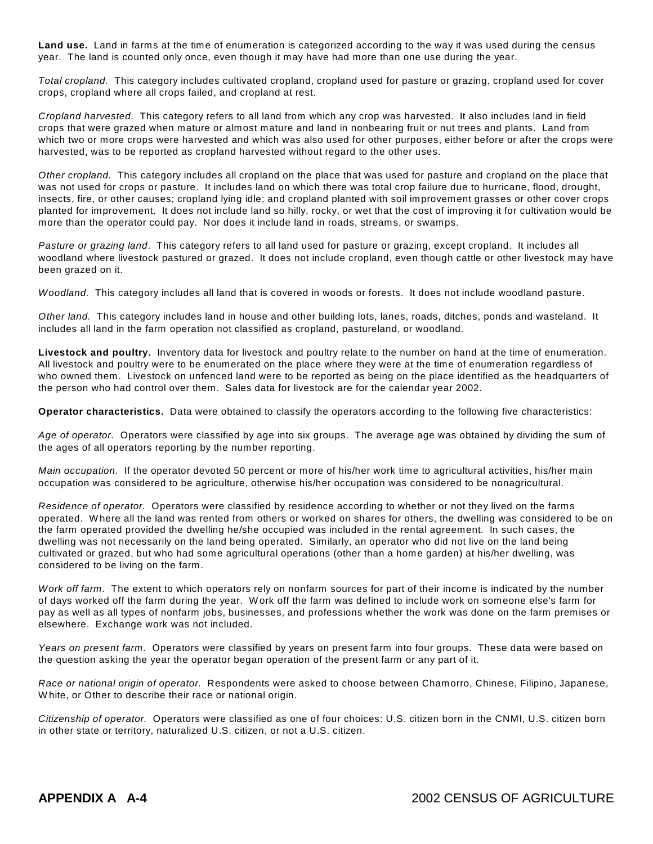**Land use.** Land in farms at the time of enumeration is categorized according to the way it was used during the census year. The land is counted only once, even though it may have had more than one use during the year.

*Total cropland.* This category includes cultivated cropland, cropland used for pasture or grazing, cropland used for cover crops, cropland where all crops failed, and cropland at rest.

*Cropland harvested.* This category refers to all land from which any crop was harvested. It also includes land in field crops that were grazed when mature or almost mature and land in nonbearing fruit or nut trees and plants. Land from which two or more crops were harvested and which was also used for other purposes, either before or after the crops were harvested, was to be reported as cropland harvested without regard to the other uses.

*Other cropland.* This category includes all cropland on the place that was used for pasture and cropland on the place that was not used for crops or pasture. It includes land on which there was total crop failure due to hurricane, flood, drought, insects, fire, or other causes; cropland lying idle; and cropland planted with soil improvement grasses or other cover crops planted for improvement. It does not include land so hilly, rocky, or wet that the cost of improving it for cultivation would be more than the operator could pay. Nor does it include land in roads, streams, or swamps.

*Pasture or grazing land*. This category refers to all land used for pasture or grazing, except cropland. It includes all woodland where livestock pastured or grazed. It does not include cropland, even though cattle or other livestock may have been grazed on it.

*Woodland.* This category includes all land that is covered in woods or forests. It does not include woodland pasture.

*Other land.* This category includes land in house and other building lots, lanes, roads, ditches, ponds and wasteland. It includes all land in the farm operation not classified as cropland, pastureland, or woodland.

**Livestock and poultry.** Inventory data for livestock and poultry relate to the number on hand at the time of enumeration. All livestock and poultry were to be enumerated on the place where they were at the time of enumeration regardless of who owned them. Livestock on unfenced land were to be reported as being on the place identified as the headquarters of the person who had control over them. Sales data for livestock are for the calendar year 2002.

**Operator characteristics.** Data were obtained to classify the operators according to the following five characteristics:

*Age of operator.* Operators were classified by age into six groups. The average age was obtained by dividing the sum of the ages of all operators reporting by the number reporting.

*Main occupation.* If the operator devoted 50 percent or more of his/her work time to agricultural activities, his/her main occupation was considered to be agriculture, otherwise his/her occupation was considered to be nonagricultural.

*Residence of operator.* Operators were classified by residence according to whether or not they lived on the farms operated. Where all the land was rented from others or worked on shares for others, the dwelling was considered to be on the farm operated provided the dwelling he/she occupied was included in the rental agreement. In such cases, the dwelling was not necessarily on the land being operated. Similarly, an operator who did not live on the land being cultivated or grazed, but who had some agricultural operations (other than a home garden) at his/her dwelling, was considered to be living on the farm.

*Work off farm.* The extent to which operators rely on nonfarm sources for part of their income is indicated by the number of days worked off the farm during the year. Work off the farm was defined to include work on someone else's farm for pay as well as all types of nonfarm jobs, businesses, and professions whether the work was done on the farm premises or elsewhere. Exchange work was not included.

*Years on present farm.* Operators were classified by years on present farm into four groups. These data were based on the question asking the year the operator began operation of the present farm or any part of it.

*Race or national origin of operator.* Respondents were asked to choose between Chamorro, Chinese, Filipino, Japanese, W hite, or Other to describe their race or national origin.

*Citizenship of operator.* Operators were classified as one of four choices: U.S. citizen born in the CNMI, U.S. citizen born in other state or territory, naturalized U.S. citizen, or not a U.S. citizen.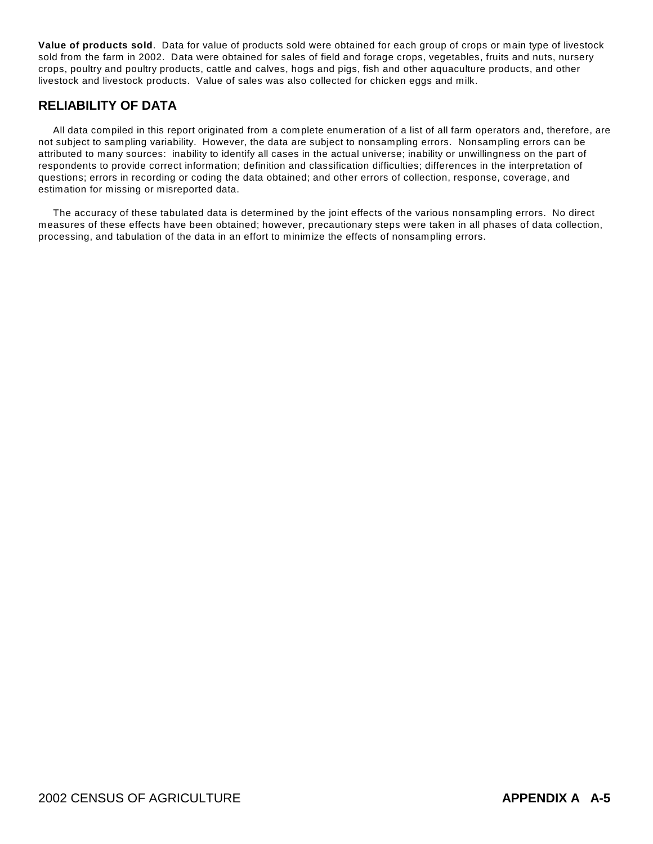**Value of products sold**. Data for value of products sold were obtained for each group of crops or main type of livestock sold from the farm in 2002. Data were obtained for sales of field and forage crops, vegetables, fruits and nuts, nursery crops, poultry and poultry products, cattle and calves, hogs and pigs, fish and other aquaculture products, and other livestock and livestock products. Value of sales was also collected for chicken eggs and milk.

### **RELIABILITY OF DATA**

 All data compiled in this report originated from a complete enumeration of a list of all farm operators and, therefore, are not subject to sampling variability. However, the data are subject to nonsampling errors. Nonsampling errors can be attributed to many sources: inability to identify all cases in the actual universe; inability or unwillingness on the part of respondents to provide correct information; definition and classification difficulties; differences in the interpretation of questions; errors in recording or coding the data obtained; and other errors of collection, response, coverage, and estimation for missing or misreported data.

 The accuracy of these tabulated data is determined by the joint effects of the various nonsampling errors. No direct measures of these effects have been obtained; however, precautionary steps were taken in all phases of data collection, processing, and tabulation of the data in an effort to minimize the effects of nonsampling errors.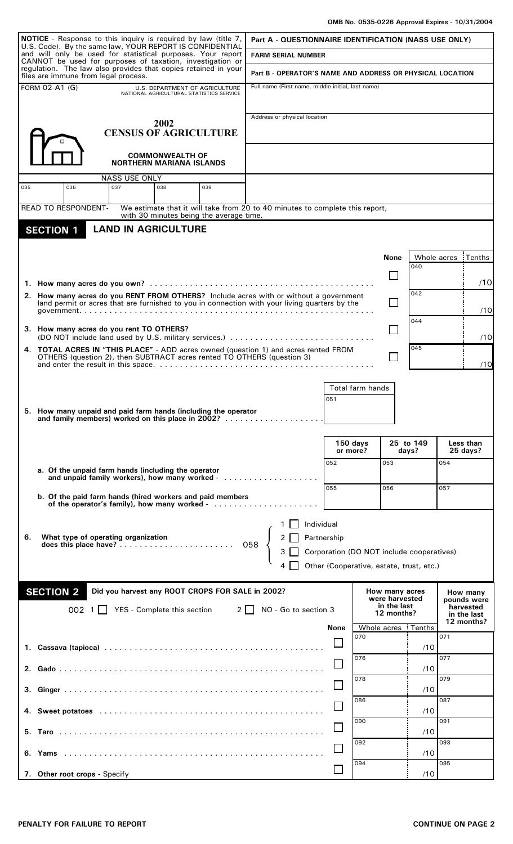| NOTICE - Response to this inquiry is required by law (title 7,<br>U.S. Code). By the same law, YOUR REPORT IS CONFIDENTIAL                                    | Part A - QUESTIONNAIRE IDENTIFICATION (NASS USE ONLY)     |                                                                            |                                                                                                    |                                    |                             |                      |                                  |                                           |            |                                        |
|---------------------------------------------------------------------------------------------------------------------------------------------------------------|-----------------------------------------------------------|----------------------------------------------------------------------------|----------------------------------------------------------------------------------------------------|------------------------------------|-----------------------------|----------------------|----------------------------------|-------------------------------------------|------------|----------------------------------------|
| and will only be used for statistical purposes. Your report<br>CANNOT be used for purposes of taxation, investigation or                                      | <b>FARM SERIAL NUMBER</b>                                 |                                                                            |                                                                                                    |                                    |                             |                      |                                  |                                           |            |                                        |
| regulation. The law also provides that copies retained in your<br>files are immune from legal process.                                                        | Part B - OPERATOR'S NAME AND ADDRESS OR PHYSICAL LOCATION |                                                                            |                                                                                                    |                                    |                             |                      |                                  |                                           |            |                                        |
| FORM 02-A1 (G)                                                                                                                                                |                                                           | U.S. DEPARTMENT OF AGRICULTURE<br>NATIONAL AGRICULTURAL STATISTICS SERVICE | Full name (First name, middle initial, last name)                                                  |                                    |                             |                      |                                  |                                           |            |                                        |
|                                                                                                                                                               | 2002                                                      |                                                                            | Address or physical location                                                                       |                                    |                             |                      |                                  |                                           |            |                                        |
| <b>CENSUS OF AGRICULTURE</b>                                                                                                                                  |                                                           |                                                                            |                                                                                                    |                                    |                             |                      |                                  |                                           |            |                                        |
| <b>NORTHERN MARIANA ISLANDS</b>                                                                                                                               | <b>COMMONWEALTH OF</b>                                    |                                                                            |                                                                                                    |                                    |                             |                      |                                  |                                           |            |                                        |
| <b>NASS USE ONLY</b><br>037<br>035<br>036                                                                                                                     | 038                                                       | 039                                                                        |                                                                                                    |                                    |                             |                      |                                  |                                           |            |                                        |
| <b>READ TO RESPONDENT-</b>                                                                                                                                    |                                                           | with 30 minutes being the average time.                                    | We estimate that it will take from 20 to 40 minutes to complete this report,                       |                                    |                             |                      |                                  |                                           |            |                                        |
| <b>LAND IN AGRICULTURE</b><br><b>SECTION 1</b>                                                                                                                |                                                           |                                                                            |                                                                                                    |                                    |                             |                      |                                  |                                           |            |                                        |
|                                                                                                                                                               |                                                           |                                                                            |                                                                                                    |                                    |                             |                      | None                             | Whole acres                               |            | : Tenths                               |
|                                                                                                                                                               |                                                           |                                                                            |                                                                                                    |                                    |                             |                      |                                  | 040                                       |            |                                        |
| 2. How many acres do you RENT FROM OTHERS? Include acres with or without a government                                                                         |                                                           |                                                                            |                                                                                                    |                                    |                             |                      |                                  | 042                                       |            | /10                                    |
| land permit or acres that are furnished to you in connection with your living quarters by the                                                                 |                                                           |                                                                            |                                                                                                    |                                    |                             |                      |                                  |                                           |            | /10                                    |
| 3. How many acres do you rent TO OTHERS?<br>(DO NOT include land used by U.S. military services.)                                                             |                                                           |                                                                            |                                                                                                    |                                    |                             |                      |                                  | 044                                       |            | /10                                    |
| 4. TOTAL ACRES IN "THIS PLACE" - ADD acres owned (question 1) and acres rented FROM<br>OTHERS (question 2), then SUBTRACT acres rented TO OTHERS (question 3) |                                                           |                                                                            |                                                                                                    |                                    |                             |                      |                                  | 045                                       |            |                                        |
|                                                                                                                                                               |                                                           |                                                                            |                                                                                                    |                                    |                             |                      |                                  |                                           |            | /10                                    |
|                                                                                                                                                               |                                                           |                                                                            |                                                                                                    |                                    |                             | Total farm hands     |                                  |                                           |            |                                        |
| 5. How many unpaid and paid farm hands (including the operator                                                                                                |                                                           |                                                                            |                                                                                                    |                                    | 051                         |                      |                                  |                                           |            |                                        |
|                                                                                                                                                               |                                                           |                                                                            |                                                                                                    |                                    |                             |                      |                                  |                                           |            |                                        |
|                                                                                                                                                               |                                                           |                                                                            |                                                                                                    |                                    |                             | 150 days<br>or more? |                                  | 25 to 149<br>days?                        |            | Less than<br>25 days?                  |
| a. Of the unpaid farm hands (including the operator<br>and unpaid family workers), how many worked -                                                          |                                                           |                                                                            |                                                                                                    |                                    | 052                         |                      | 053                              |                                           | 054        |                                        |
| b. Of the paid farm hands (hired workers and paid members                                                                                                     |                                                           |                                                                            | 055                                                                                                |                                    |                             |                      | 056                              |                                           | 057        |                                        |
| of the operator's family), how many worked -                                                                                                                  |                                                           |                                                                            |                                                                                                    |                                    |                             |                      |                                  |                                           |            |                                        |
| 6.<br>What type of operating organization                                                                                                                     |                                                           |                                                                            |                                                                                                    | Individual<br>$2 \Box$ Partnership |                             |                      |                                  |                                           |            |                                        |
| does this place have?                                                                                                                                         |                                                           |                                                                            | 058                                                                                                |                                    |                             |                      |                                  | Corporation (DO NOT include cooperatives) |            |                                        |
|                                                                                                                                                               |                                                           |                                                                            |                                                                                                    |                                    |                             |                      |                                  | Other (Cooperative, estate, trust, etc.)  |            |                                        |
| <b>SECTION 2</b><br>Did you harvest any ROOT CROPS FOR SALE in 2002?                                                                                          |                                                           |                                                                            |                                                                                                    |                                    |                             |                      | How many acres<br>were harvested |                                           |            | How many<br>pounds were                |
| $002 \; 1 \;   \;  $                                                                                                                                          |                                                           |                                                                            | YES - Complete this section $2 \begin{bmatrix} 0 & 0 \\ 0 & -1 \end{bmatrix}$ NO - Go to section 3 |                                    |                             |                      | in the last<br>12 months?        |                                           |            | harvested<br>in the last<br>12 months? |
|                                                                                                                                                               |                                                           |                                                                            |                                                                                                    |                                    | <b>None</b>                 | 070                  |                                  | Whole acres Tenths                        | 071        |                                        |
|                                                                                                                                                               |                                                           |                                                                            |                                                                                                    |                                    | $\Box$                      | 076                  |                                  | /10                                       | 077        |                                        |
|                                                                                                                                                               |                                                           |                                                                            |                                                                                                    |                                    | $\Box$                      | 078                  |                                  | /10                                       | 079        |                                        |
|                                                                                                                                                               |                                                           |                                                                            |                                                                                                    |                                    | $\Box$                      | 086                  |                                  | /10                                       | 087        |                                        |
|                                                                                                                                                               |                                                           |                                                                            |                                                                                                    |                                    | $\Box$                      |                      |                                  | /10                                       |            |                                        |
|                                                                                                                                                               |                                                           |                                                                            |                                                                                                    |                                    |                             | 090                  |                                  |                                           | 091        |                                        |
|                                                                                                                                                               |                                                           |                                                                            |                                                                                                    |                                    | $\mathcal{L}_{\mathcal{A}}$ |                      |                                  | /10                                       |            |                                        |
|                                                                                                                                                               |                                                           |                                                                            |                                                                                                    |                                    | $\Box$                      | 092<br>094           |                                  | /10                                       | 093<br>095 |                                        |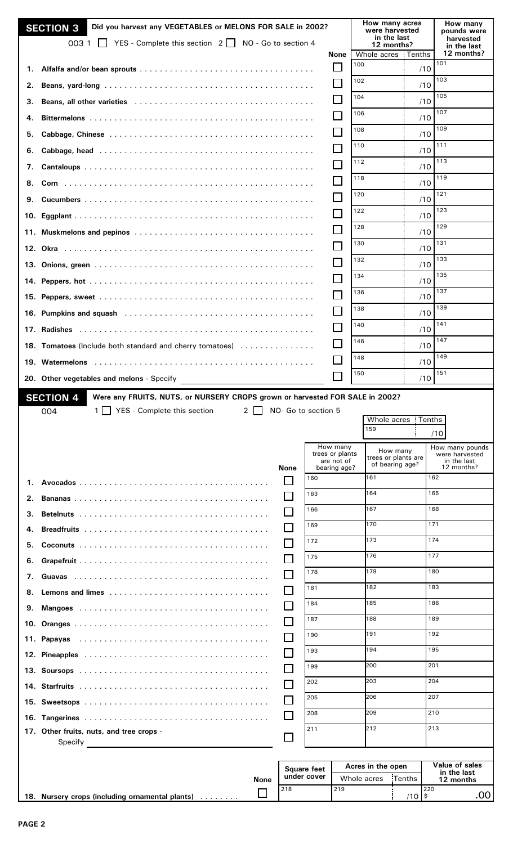| <b>SECTION 3</b><br>Did you harvest any VEGETABLES or MELONS FOR SALE in 2002? |                                           |  |                                 |                                                                                                                                                                                                                                | How many acres<br>were harvested |                             |                                   | How many<br>pounds were     |                    |                                        |            |                                   |  |
|--------------------------------------------------------------------------------|-------------------------------------------|--|---------------------------------|--------------------------------------------------------------------------------------------------------------------------------------------------------------------------------------------------------------------------------|----------------------------------|-----------------------------|-----------------------------------|-----------------------------|--------------------|----------------------------------------|------------|-----------------------------------|--|
|                                                                                |                                           |  |                                 | 003 1 YES - Complete this section 2 NO - Go to section 4                                                                                                                                                                       |                                  |                             |                                   |                             |                    | in the last                            |            | harvested                         |  |
|                                                                                |                                           |  |                                 |                                                                                                                                                                                                                                |                                  |                             |                                   | None                        | Whole acres Tenths | 12 months?                             |            | in the last<br>12 months?         |  |
| 1.                                                                             |                                           |  |                                 |                                                                                                                                                                                                                                |                                  |                             |                                   | I.                          | 100                |                                        | 101<br>/10 |                                   |  |
|                                                                                |                                           |  |                                 |                                                                                                                                                                                                                                |                                  |                             |                                   |                             | 102                |                                        | 103<br>/10 |                                   |  |
| 2.                                                                             |                                           |  |                                 |                                                                                                                                                                                                                                |                                  |                             |                                   |                             | 104                |                                        | 105        |                                   |  |
| З.                                                                             |                                           |  |                                 | Beans, all other varieties entertainment contains and other areas of the set of the set of the set of the set of the set of the set of the set of the set of the set of the set of the set of the set of the set of the set of |                                  |                             |                                   |                             | 106                |                                        | /10<br>107 |                                   |  |
| 4.                                                                             |                                           |  |                                 |                                                                                                                                                                                                                                |                                  |                             |                                   |                             |                    |                                        | /10<br>109 |                                   |  |
| 5.                                                                             |                                           |  |                                 |                                                                                                                                                                                                                                |                                  |                             |                                   |                             | 108                |                                        | /10        |                                   |  |
| 6.                                                                             |                                           |  |                                 |                                                                                                                                                                                                                                |                                  |                             |                                   |                             | 110                |                                        | 111<br>/10 |                                   |  |
| 7.                                                                             |                                           |  |                                 |                                                                                                                                                                                                                                |                                  |                             |                                   |                             | 112                |                                        | 113<br>/10 |                                   |  |
| 8.                                                                             |                                           |  |                                 |                                                                                                                                                                                                                                |                                  |                             |                                   |                             | 118                |                                        | 119<br>/10 |                                   |  |
| 9.                                                                             |                                           |  |                                 |                                                                                                                                                                                                                                |                                  |                             |                                   |                             | 120                |                                        | 121<br>/10 |                                   |  |
|                                                                                |                                           |  |                                 |                                                                                                                                                                                                                                |                                  |                             |                                   |                             | 122                |                                        | 123<br>/10 |                                   |  |
|                                                                                |                                           |  |                                 |                                                                                                                                                                                                                                |                                  |                             |                                   |                             | 128                |                                        | 129<br>/10 |                                   |  |
|                                                                                |                                           |  |                                 |                                                                                                                                                                                                                                |                                  |                             |                                   | $\Box$                      | 130                |                                        | 131<br>/10 |                                   |  |
|                                                                                |                                           |  |                                 |                                                                                                                                                                                                                                |                                  |                             |                                   |                             | 132                |                                        | 133<br>/10 |                                   |  |
|                                                                                |                                           |  |                                 |                                                                                                                                                                                                                                |                                  |                             |                                   |                             | 134                |                                        | 135        |                                   |  |
|                                                                                |                                           |  |                                 |                                                                                                                                                                                                                                |                                  |                             |                                   |                             | 136                |                                        | /10<br>137 |                                   |  |
|                                                                                |                                           |  |                                 |                                                                                                                                                                                                                                |                                  |                             |                                   |                             | 138                |                                        | /10<br>139 |                                   |  |
|                                                                                |                                           |  |                                 |                                                                                                                                                                                                                                |                                  |                             |                                   |                             |                    |                                        | /10<br>141 |                                   |  |
|                                                                                |                                           |  |                                 |                                                                                                                                                                                                                                |                                  |                             |                                   | Г                           | 140                |                                        | /10        |                                   |  |
|                                                                                |                                           |  |                                 | 18. Tomatoes (Include both standard and cherry tomatoes)                                                                                                                                                                       |                                  |                             |                                   |                             | 146                |                                        | 147<br>/10 |                                   |  |
|                                                                                |                                           |  |                                 |                                                                                                                                                                                                                                |                                  |                             |                                   |                             | 148                |                                        | 149<br>/10 |                                   |  |
|                                                                                | 20. Other vegetables and melons - Specify |  |                                 |                                                                                                                                                                                                                                |                                  |                             |                                   | $\Box$                      | 150                |                                        | 151<br>/10 |                                   |  |
|                                                                                | <b>SECTION 4</b>                          |  |                                 | Were any FRUITS, NUTS, or NURSERY CROPS grown or harvested FOR SALE in 2002?                                                                                                                                                   |                                  |                             |                                   |                             |                    |                                        |            |                                   |  |
|                                                                                | 004                                       |  | 1   YES - Complete this section |                                                                                                                                                                                                                                | $2 \mid \mid$                    |                             | NO- Go to section 5               |                             |                    |                                        |            |                                   |  |
|                                                                                |                                           |  |                                 |                                                                                                                                                                                                                                |                                  |                             |                                   |                             | Whole acres        |                                        | Tenths     |                                   |  |
|                                                                                |                                           |  |                                 |                                                                                                                                                                                                                                |                                  |                             |                                   |                             | 159                |                                        | /10        |                                   |  |
|                                                                                |                                           |  |                                 |                                                                                                                                                                                                                                |                                  |                             |                                   | How many<br>trees or plants |                    | How many                               |            | How many pounds<br>were harvested |  |
|                                                                                |                                           |  |                                 |                                                                                                                                                                                                                                |                                  | None                        |                                   | are not of<br>bearing age?  |                    | trees or plants are<br>of bearing age? |            | in the last<br>12 months?         |  |
| 1.                                                                             |                                           |  |                                 |                                                                                                                                                                                                                                |                                  |                             | 160                               |                             | 161                |                                        | 162        |                                   |  |
| 2.                                                                             |                                           |  |                                 |                                                                                                                                                                                                                                |                                  |                             | 163                               |                             | 164                |                                        | 165        |                                   |  |
| З.                                                                             |                                           |  |                                 |                                                                                                                                                                                                                                |                                  |                             | 166                               |                             | 167                |                                        | 168        |                                   |  |
| 4.                                                                             |                                           |  |                                 |                                                                                                                                                                                                                                |                                  |                             | 169                               |                             | 170                |                                        | 171        |                                   |  |
| 5.                                                                             |                                           |  |                                 |                                                                                                                                                                                                                                |                                  |                             | 172                               |                             | 173                |                                        | 174        |                                   |  |
|                                                                                |                                           |  |                                 |                                                                                                                                                                                                                                |                                  |                             | 175                               |                             | 176                |                                        | 177        |                                   |  |
|                                                                                |                                           |  |                                 |                                                                                                                                                                                                                                |                                  |                             | 178                               |                             | 179                |                                        | 180        |                                   |  |
| 7.                                                                             |                                           |  |                                 |                                                                                                                                                                                                                                |                                  |                             | 181                               |                             | 182                |                                        | 183        |                                   |  |
| 8.                                                                             |                                           |  |                                 |                                                                                                                                                                                                                                |                                  |                             | 184                               |                             | 185                |                                        | 186        |                                   |  |
| 9.                                                                             |                                           |  |                                 |                                                                                                                                                                                                                                |                                  |                             | 187                               |                             | 188                |                                        | 189        |                                   |  |
|                                                                                |                                           |  |                                 |                                                                                                                                                                                                                                |                                  |                             | 190                               |                             | 191                |                                        | 192        |                                   |  |
|                                                                                |                                           |  |                                 |                                                                                                                                                                                                                                |                                  | $\mathcal{C}^{\mathcal{A}}$ | 193                               |                             | 194                |                                        | 195        |                                   |  |
|                                                                                |                                           |  |                                 |                                                                                                                                                                                                                                |                                  |                             |                                   |                             | 200                |                                        | 201        |                                   |  |
|                                                                                |                                           |  |                                 |                                                                                                                                                                                                                                |                                  |                             | 199                               |                             | 203                |                                        | 204        |                                   |  |
|                                                                                |                                           |  |                                 |                                                                                                                                                                                                                                |                                  |                             | 202                               |                             |                    |                                        |            |                                   |  |
|                                                                                |                                           |  |                                 |                                                                                                                                                                                                                                |                                  |                             | 205                               |                             | 206                |                                        | 207        |                                   |  |
|                                                                                |                                           |  |                                 |                                                                                                                                                                                                                                |                                  |                             |                                   |                             |                    |                                        |            |                                   |  |
|                                                                                |                                           |  |                                 |                                                                                                                                                                                                                                |                                  |                             | 208                               |                             | 209                |                                        | 210        |                                   |  |
|                                                                                | 17. Other fruits, nuts, and tree crops -  |  |                                 |                                                                                                                                                                                                                                |                                  |                             | 211                               |                             | 212                |                                        | 213        |                                   |  |
|                                                                                | Specify                                   |  |                                 |                                                                                                                                                                                                                                |                                  |                             |                                   |                             |                    |                                        |            |                                   |  |
|                                                                                |                                           |  |                                 |                                                                                                                                                                                                                                |                                  |                             |                                   |                             | Acres in the open  |                                        |            | Value of sales                    |  |
|                                                                                |                                           |  |                                 |                                                                                                                                                                                                                                | <b>None</b>                      |                             | <b>Square feet</b><br>under cover |                             | Whole acres        | Tenths                                 |            | in the last<br>12 months          |  |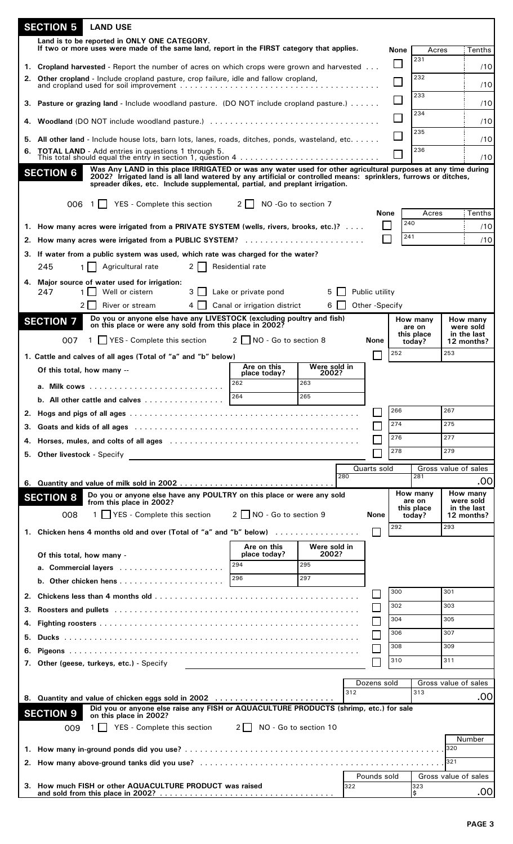|    | <b>SECTION 5</b><br><b>LAND USE</b>                                                                                                                                                                                            |                              |                       |                    |              |                                  |                      |                                      |
|----|--------------------------------------------------------------------------------------------------------------------------------------------------------------------------------------------------------------------------------|------------------------------|-----------------------|--------------------|--------------|----------------------------------|----------------------|--------------------------------------|
|    | Land is to be reported in ONLY ONE CATEGORY.<br>If two or more uses were made of the same land, report in the FIRST category that applies.                                                                                     |                              |                       |                    |              |                                  |                      |                                      |
|    |                                                                                                                                                                                                                                |                              |                       |                    | None         | Acres<br>231                     |                      | Tenths                               |
|    | 1. Cropland harvested - Report the number of acres on which crops were grown and harvested                                                                                                                                     |                              |                       |                    |              | 232                              |                      | /10                                  |
|    | 2. Other cropland - Include cropland pasture, crop failure, idle and fallow cropland,                                                                                                                                          |                              |                       |                    |              |                                  |                      | /10                                  |
|    | 3. Pasture or grazing land - Include woodland pasture. (DO NOT include cropland pasture.)                                                                                                                                      |                              |                       |                    |              | 233                              |                      | /10                                  |
|    |                                                                                                                                                                                                                                |                              |                       |                    |              | 234                              |                      | /10                                  |
|    |                                                                                                                                                                                                                                |                              |                       |                    |              | 235                              |                      | /10                                  |
|    | 5. All other land - Include house lots, barn lots, lanes, roads, ditches, ponds, wasteland, etc.<br>6. TOTAL LAND - Add entries in questions 1 through 5.                                                                      |                              |                       |                    |              | 236                              |                      |                                      |
|    | Was Any LAND in this place IRRIGATED or was any water used for other agricultural purposes at any time during                                                                                                                  |                              |                       |                    |              |                                  |                      | /10                                  |
|    | <b>SECTION 6</b><br>2002? Irrigated land is all land watered by any artificial or controlled means: sprinklers, furrows or ditches,<br>spreader dikes, etc. Include supplemental, partial, and preplant irrigation.            |                              |                       |                    |              |                                  |                      |                                      |
|    |                                                                                                                                                                                                                                |                              |                       |                    |              |                                  |                      |                                      |
|    | 1 YES - Complete this section<br>006                                                                                                                                                                                           | 2 NO -Go to section 7        |                       |                    | None         | Acres                            |                      | Tenths                               |
|    | 1. How many acres were irrigated from a PRIVATE SYSTEM (wells, rivers, brooks, etc.)?                                                                                                                                          |                              |                       |                    | $\mathsf{L}$ | 240                              |                      | /10                                  |
|    | 2. How many acres were irrigated from a PUBLIC SYSTEM?                                                                                                                                                                         |                              |                       |                    |              | 241                              |                      | /10                                  |
|    | 3. If water from a public system was used, which rate was charged for the water?                                                                                                                                               |                              |                       |                    |              |                                  |                      |                                      |
|    | $2 \mid$<br>245<br>Agricultural rate<br>$1 \mid$                                                                                                                                                                               | Residential rate             |                       |                    |              |                                  |                      |                                      |
|    | 4. Major source of water used for irrigation:<br>247<br>Well or cistern<br>3 <sup>1</sup><br>1 I I                                                                                                                             | Lake or private pond         | 5 I                   | Public utility     |              |                                  |                      |                                      |
|    | $4 \mid \mid$<br>2 I I<br>River or stream                                                                                                                                                                                      | Canal or irrigation district | 6 <sup>1</sup>        | Other -Specify     |              |                                  |                      |                                      |
|    | Do you or anyone else have any LIVESTOCK (excluding poultry and fish)<br><b>SECTION 7</b>                                                                                                                                      |                              |                       |                    |              | How many                         |                      | How many                             |
|    | on this place or were any sold from this place in 2002?<br>│ YES - Complete this section 2 ∩ NO - Go to section 8<br>1                                                                                                         |                              |                       |                    |              | are on<br>this place             |                      | were sold<br>in the last             |
|    | 007                                                                                                                                                                                                                            |                              |                       | <b>None</b>        | 252          | today?                           | 253                  | 12 months?                           |
|    | 1. Cattle and calves of all ages (Total of "a" and "b" below)<br>Of this total, how many --                                                                                                                                    | Are on this                  | Were sold in          |                    |              |                                  |                      |                                      |
|    |                                                                                                                                                                                                                                | place today?<br>262          | 2002?<br>263          |                    |              |                                  |                      |                                      |
|    | b. All other cattle and calves $\dots\dots\dots\dots\dots\dots$                                                                                                                                                                | 264                          | 265                   |                    |              |                                  |                      |                                      |
|    |                                                                                                                                                                                                                                |                              |                       |                    | 266          |                                  | 267                  |                                      |
| 3. | Goats and kids of all ages (and all all contained all contained and side of all ages (all contained all contained and side and side and side and side and side and side and side and side and side and side and side and side  |                              |                       |                    | 274          |                                  | 275                  |                                      |
|    | 4. Horses, mules, and colts of all ages entertainment contained and such a series and series and series are series and such a series and such a series and such a series and such a series and such a series and such a series |                              |                       |                    | 276          |                                  | 277                  |                                      |
|    | 5. Other livestock - Specify<br><u> 1989 - Johann John Stein, markin fizzar eta idazlea (</u>                                                                                                                                  |                              |                       |                    | 278          |                                  | 279                  |                                      |
|    |                                                                                                                                                                                                                                |                              |                       | Quarts sold<br>280 |              | 281                              | Gross value of sales |                                      |
|    |                                                                                                                                                                                                                                |                              |                       |                    |              |                                  |                      | .00                                  |
|    | Do you or anyone else have any POULTRY on this place or were any sold<br><b>SECTION 8</b><br>from this place in 2002?                                                                                                          |                              |                       |                    |              | How many<br>are on<br>this place |                      | How many<br>were sold<br>in the last |
|    | 1   YES - Complete this section<br>008                                                                                                                                                                                         | $2$ NO - Go to section 9     |                       | <b>None</b>        |              | today?                           |                      | 12 months?                           |
|    | 1. Chicken hens 4 months old and over (Total of "a" and "b" below)                                                                                                                                                             |                              |                       |                    | 292          |                                  | 293                  |                                      |
|    |                                                                                                                                                                                                                                | Are on this<br>place today?  | Were sold in<br>2002? |                    |              |                                  |                      |                                      |
|    | Of this total, how many -                                                                                                                                                                                                      | 294                          | 295                   |                    |              |                                  |                      |                                      |
|    |                                                                                                                                                                                                                                | 296                          | 297                   |                    |              |                                  |                      |                                      |
| 2. |                                                                                                                                                                                                                                |                              |                       |                    | 300          |                                  | 301                  |                                      |
| 3. | Roosters and pullets interest in the contract of the contract of the contract of the contract of the contract of the contract of the contract of the contract of the contract of the contract of the contract of the contract  |                              |                       |                    | 302          |                                  | 303                  |                                      |
|    |                                                                                                                                                                                                                                |                              |                       |                    | 304          |                                  | 305                  |                                      |
| 5. |                                                                                                                                                                                                                                |                              |                       |                    | 306          |                                  | 307                  |                                      |
|    |                                                                                                                                                                                                                                |                              |                       | H                  | 308          |                                  | 309                  |                                      |
| 7. | Other (geese, turkeys, etc.) - Specify                                                                                                                                                                                         |                              |                       |                    | 310          |                                  | 311                  |                                      |
|    |                                                                                                                                                                                                                                |                              |                       | Dozens sold        |              |                                  | Gross value of sales |                                      |
|    | 8. Quantity and value of chicken eggs sold in 2002                                                                                                                                                                             |                              |                       | 312                |              | 313                              |                      | .00                                  |
|    | Did you or anyone else raise any FISH or AQUACULTURE PRODUCTS (shrimp, etc.) for sale<br><b>SECTION 9</b><br>on this place in 2002?                                                                                            |                              |                       |                    |              |                                  |                      |                                      |
|    | 1   YES - Complete this section<br>009                                                                                                                                                                                         | $2 \mid$                     | NO - Go to section 10 |                    |              |                                  |                      |                                      |
|    |                                                                                                                                                                                                                                |                              |                       |                    |              |                                  | 320                  | Number                               |
|    |                                                                                                                                                                                                                                |                              |                       |                    |              |                                  | 321                  |                                      |
|    |                                                                                                                                                                                                                                |                              |                       | Pounds sold        |              |                                  | Gross value of sales |                                      |
|    | 3. How much FISH or other AQUACULTURE PRODUCT was raised                                                                                                                                                                       |                              |                       | 322                |              | 323<br>I\$                       |                      | .00 <sub>l</sub>                     |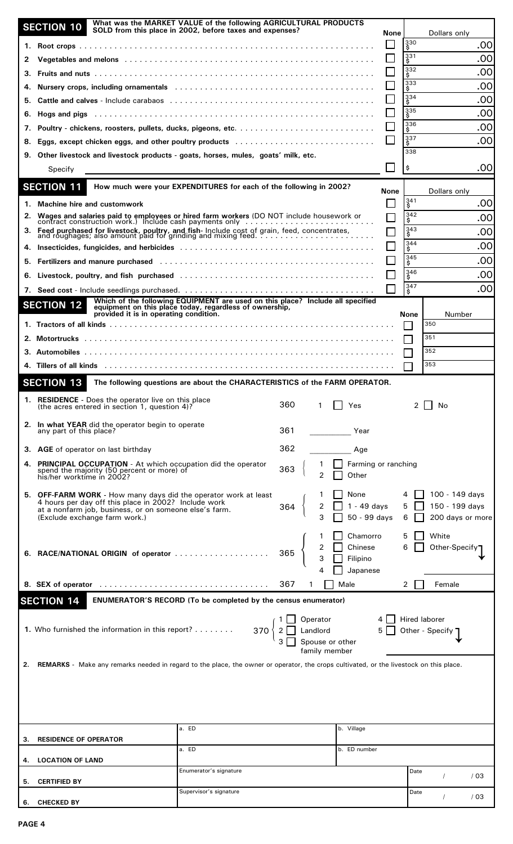|    | <b>SECTION 10</b>                                                                                                                                                                                                              | What was the MARKET VALUE of the following AGRICULTURAL PRODUCTS<br>SOLD from this place in 2002, before taxes and expenses?           |     |                                                          |        |      |                                             | None |                             | Dollars only                     |                                                      |     |
|----|--------------------------------------------------------------------------------------------------------------------------------------------------------------------------------------------------------------------------------|----------------------------------------------------------------------------------------------------------------------------------------|-----|----------------------------------------------------------|--------|------|---------------------------------------------|------|-----------------------------|----------------------------------|------------------------------------------------------|-----|
|    |                                                                                                                                                                                                                                |                                                                                                                                        |     |                                                          |        |      |                                             |      | 330<br>\$                   |                                  |                                                      | .00 |
| 2  | Vegetables and melons interestination of the contract of the contract of the contract of the contract of the contract of the contract of the contract of the contract of the contract of the contract of the contract of the c |                                                                                                                                        |     |                                                          |        |      |                                             |      | 331<br>\$                   |                                  |                                                      | .00 |
| З. |                                                                                                                                                                                                                                |                                                                                                                                        |     |                                                          |        |      |                                             |      | 332<br>\$                   |                                  |                                                      | .00 |
|    |                                                                                                                                                                                                                                |                                                                                                                                        |     |                                                          |        |      |                                             |      | 333<br>\$                   |                                  |                                                      | .00 |
| 5. |                                                                                                                                                                                                                                |                                                                                                                                        |     |                                                          |        |      |                                             |      | 334                         |                                  |                                                      | .00 |
| 6. | Hogs and pigs in the contract of the contract of the contract of the contract of the contract of the contract of the contract of the contract of the contract of the contract of the contract of the contract of the contract  |                                                                                                                                        |     |                                                          |        |      |                                             |      | 335<br>\$                   |                                  |                                                      | .00 |
| 7. |                                                                                                                                                                                                                                |                                                                                                                                        |     |                                                          |        |      |                                             |      | 336<br>\$                   |                                  |                                                      | .00 |
| 8. |                                                                                                                                                                                                                                |                                                                                                                                        |     |                                                          |        |      |                                             |      | 337<br>\$<br>338            |                                  |                                                      | .00 |
|    | 9. Other livestock and livestock products - goats, horses, mules, goats' milk, etc.<br>Specify                                                                                                                                 |                                                                                                                                        |     |                                                          |        |      |                                             |      | \$                          |                                  |                                                      | .00 |
|    | <b>SECTION 11</b>                                                                                                                                                                                                              | How much were your EXPENDITURES for each of the following in 2002?                                                                     |     |                                                          |        |      |                                             | None |                             |                                  |                                                      |     |
|    | 1. Machine hire and customwork                                                                                                                                                                                                 |                                                                                                                                        |     |                                                          |        |      |                                             |      | 341<br>\$                   | Dollars only                     |                                                      | .00 |
|    | 2. Wages and salaries paid to employees or hired farm workers (DO NOT include housework or contract construction work.) Include cash payments only with contract construction work.) Include cash payments only                |                                                                                                                                        |     |                                                          |        |      |                                             |      | 342<br>\$                   |                                  |                                                      | .00 |
|    | 3. Feed purchased for livestock, poultry, and fish- lnclude cost of grain, feed, concentrates,<br>and roughages; also amount paid for grinding and mixing feed                                                                 |                                                                                                                                        |     |                                                          |        |      |                                             |      | 343                         |                                  |                                                      | .00 |
|    |                                                                                                                                                                                                                                |                                                                                                                                        |     |                                                          |        |      |                                             |      | 344<br>\$                   |                                  |                                                      | .00 |
|    |                                                                                                                                                                                                                                |                                                                                                                                        |     |                                                          |        |      |                                             |      | 345<br>Ŝ                    |                                  |                                                      | .00 |
|    |                                                                                                                                                                                                                                |                                                                                                                                        |     |                                                          |        |      |                                             |      | 346                         |                                  |                                                      | .00 |
|    |                                                                                                                                                                                                                                |                                                                                                                                        |     |                                                          |        |      |                                             |      | 347<br>\$                   |                                  |                                                      | .00 |
|    | <b>SECTION 12</b>                                                                                                                                                                                                              | Which of the following EQUIPMENT are used on this place? Include all specified equipment on this place today, regardless of ownership, |     |                                                          |        |      |                                             |      |                             |                                  |                                                      |     |
|    | provided it is in operating condition.                                                                                                                                                                                         |                                                                                                                                        |     |                                                          |        |      |                                             |      | <b>None</b><br>$\mathbf{I}$ | 350                              | Number                                               |     |
|    |                                                                                                                                                                                                                                |                                                                                                                                        |     |                                                          |        |      |                                             |      |                             | 351                              |                                                      |     |
|    |                                                                                                                                                                                                                                |                                                                                                                                        |     |                                                          |        |      |                                             |      |                             | 352                              |                                                      |     |
|    |                                                                                                                                                                                                                                |                                                                                                                                        |     |                                                          |        |      |                                             |      |                             | 353                              |                                                      |     |
|    | <b>SECTION 13</b>                                                                                                                                                                                                              | The following questions are about the CHARACTERISTICS of the FARM OPERATOR.                                                            |     |                                                          |        |      |                                             |      |                             |                                  |                                                      |     |
|    | <b>1. RESIDENCE</b> - Does the operator live on this place<br>(the acres entered in section 1, question 4)?                                                                                                                    |                                                                                                                                        | 360 |                                                          |        |      | Yes                                         |      |                             | No                               |                                                      |     |
|    | 2. In what YEAR did the operator begin to operate<br>any part of this place?                                                                                                                                                   |                                                                                                                                        | 361 |                                                          |        |      | Year                                        |      |                             |                                  |                                                      |     |
|    | 3. AGE of operator on last birthday                                                                                                                                                                                            |                                                                                                                                        | 362 |                                                          |        |      | Age                                         |      |                             |                                  |                                                      |     |
|    | 4. PRINCIPAL OCCUPATION - At which occupation did the operator<br>spend the majority (50 percent or more) of<br>his/her worktime in 2002?                                                                                      |                                                                                                                                        | 363 |                                                          | 2      |      | Farming or ranching<br>Other                |      |                             |                                  |                                                      |     |
|    | 5. OFF-FARM WORK - How many days did the operator work at least<br>4 hours per day off this place in 2002? Include work<br>at a nonfarm job, business, or on someone else's farm.<br>(Exclude exchange farm work.)             |                                                                                                                                        | 364 |                                                          | 2<br>3 |      | None<br>1 - 49 days<br>50 - 99 days         |      | 5                           |                                  | 100 - 149 days<br>150 - 199 days<br>200 days or more |     |
|    | 6. RACE/NATIONAL ORIGIN of operator                                                                                                                                                                                            |                                                                                                                                        | 365 |                                                          |        |      | Chamorro<br>Chinese<br>Filipino<br>Japanese |      | 5                           | White                            | Other-Specify"                                       |     |
|    | 8. SEX of operator                                                                                                                                                                                                             |                                                                                                                                        | 367 | 1                                                        |        | Male |                                             |      | 2                           | Female                           |                                                      |     |
|    | <b>SECTION 14</b>                                                                                                                                                                                                              | <b>ENUMERATOR'S RECORD</b> (To be completed by the census enumerator)                                                                  |     |                                                          |        |      |                                             |      |                             |                                  |                                                      |     |
|    | 1. Who furnished the information in this report?                                                                                                                                                                               | 370                                                                                                                                    |     | Operator<br>Landlord<br>Spouse or other<br>family member |        |      |                                             |      |                             | Hired laborer<br>Other - Specify |                                                      |     |
| 2. | <b>REMARKS</b> - Make any remarks needed in regard to the place, the owner or operator, the crops cultivated, or the livestock on this place.                                                                                  |                                                                                                                                        |     |                                                          |        |      |                                             |      |                             |                                  |                                                      |     |
|    |                                                                                                                                                                                                                                |                                                                                                                                        |     |                                                          |        |      |                                             |      |                             |                                  |                                                      |     |
|    |                                                                                                                                                                                                                                | a. ED                                                                                                                                  |     |                                                          |        |      | b. Village                                  |      |                             |                                  |                                                      |     |
| 3. | <b>RESIDENCE OF OPERATOR</b>                                                                                                                                                                                                   | a. ED                                                                                                                                  |     |                                                          |        |      | b. ED number                                |      |                             |                                  |                                                      |     |
| 4. | <b>LOCATION OF LAND</b>                                                                                                                                                                                                        | Enumerator's signature                                                                                                                 |     |                                                          |        |      |                                             |      | Date                        |                                  |                                                      |     |
| 5. | <b>CERTIFIED BY</b>                                                                                                                                                                                                            | Supervisor's signature                                                                                                                 |     |                                                          |        |      |                                             |      |                             | $\sqrt{2}$                       |                                                      | /03 |
| 6. | <b>CHECKED BY</b>                                                                                                                                                                                                              |                                                                                                                                        |     |                                                          |        |      |                                             |      | Date                        |                                  |                                                      | /03 |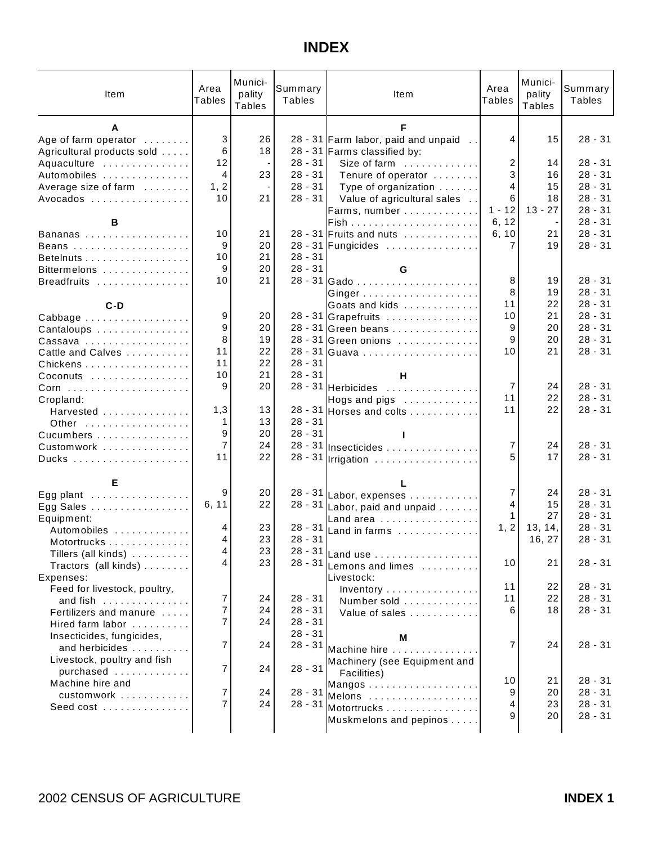### **INDEX**

| Item                         | Area<br>Tables | Munici-<br>pality<br><b>Tables</b> | Summary<br>Tables      | Item                              | Area<br><b>Tables</b> | Munici-<br>pality<br><b>Tables</b> | Summary<br>Tables |
|------------------------------|----------------|------------------------------------|------------------------|-----------------------------------|-----------------------|------------------------------------|-------------------|
| A                            |                |                                    |                        | F                                 |                       |                                    |                   |
| Age of farm operator         | 3              | 26                                 | $28 - 31$              | Farm labor, paid and unpaid       | 4                     | 15                                 | $28 - 31$         |
| Agricultural products sold   | 6              | 18                                 |                        | 28 - 31 Farms classified by:      |                       |                                    |                   |
| Aquaculture                  | 12             | $\blacksquare$                     | $28 - 31$              | Size of farm                      | 2                     | 14                                 | $28 - 31$         |
| Automobiles                  | $\overline{4}$ | 23                                 | $28 - 31$              | Tenure of operator                | 3                     | 16                                 | $28 - 31$         |
| Average size of farm         | 1, 2           | $\sim$                             | $28 - 31$              | Type of organization              | 4                     | 15                                 | $28 - 31$         |
| Avocados                     | 10             | 21                                 | $28 - 31$              | Value of agricultural sales       | 6                     | 18                                 | $28 - 31$         |
|                              |                |                                    |                        | Farms, number                     | $1 - 12$              | $13 - 27$                          | $28 - 31$         |
| в                            |                |                                    |                        |                                   | 6, 12                 |                                    | $28 - 31$         |
| Bananas                      | 10             | 21                                 |                        | 28 - 31 Fruits and nuts           | 6, 10                 | 21                                 | $28 - 31$         |
|                              | 9              | 20                                 | $28 - 31$              | Fungicides                        |                       | 19                                 | $28 - 31$         |
|                              | 10             | 21                                 | $28 - 31$              |                                   |                       |                                    |                   |
| Bittermelons                 | 9              | 20                                 | $28 - 31$              | G                                 |                       |                                    |                   |
| Breadfruits                  | 10             | 21                                 |                        |                                   | 8                     | 19                                 | $28 - 31$         |
|                              |                |                                    |                        |                                   | 8                     | 19                                 | $28 - 31$         |
| $C-D$                        |                |                                    |                        | Goats and kids                    | 11                    | 22                                 | $28 - 31$         |
| Cabbage                      | 9              | 20                                 |                        | 28 - 31 Grapefruits               | 10                    | 21                                 | $28 - 31$         |
| Cantaloups                   | 9              | 20                                 |                        | 28 - 31 Green beans               | 9                     | 20                                 | $28 - 31$         |
| Cassava                      | 8              | 19                                 |                        | 28 - 31 Green onions              | 9                     | 20                                 | $28 - 31$         |
| Cattle and Calves            | 11             | 22                                 | $28 - 31$              |                                   | 10                    | 21                                 | $28 - 31$         |
| Chickens                     | 11             | 22<br>21                           | $28 - 31$<br>$28 - 31$ |                                   |                       |                                    |                   |
| Coconuts                     | 10<br>9        | 20                                 |                        | н                                 | $\overline{7}$        | 24                                 | $28 - 31$         |
|                              |                |                                    |                        | 28 - 31 Herbicides                | 11                    | 22                                 | $28 - 31$         |
| Cropland:<br>Harvested       | 1,3            | 13                                 | $28 - 31$              | Hogs and pigs<br>Horses and colts | 11                    | 22                                 | $28 - 31$         |
| Other                        | 1              | 13                                 | $28 - 31$              |                                   |                       |                                    |                   |
| Cucumbers                    | 9              | 20 <sub>1</sub>                    | $28 - 31$              |                                   |                       |                                    |                   |
| Customwork                   | 7              | 24                                 |                        | 28 - 31 Insecticides              | $\overline{7}$        | 24                                 | $28 - 31$         |
|                              | 11             | 22                                 |                        | 28 - 31   Irrigation              |                       | 17                                 | $28 - 31$         |
|                              |                |                                    |                        |                                   |                       |                                    |                   |
| Е                            |                |                                    |                        |                                   |                       |                                    |                   |
| Egg plant                    | 9              | 20                                 | $28 - 31$              | Labor, expenses                   | 7                     | 24                                 | $28 - 31$         |
| Egg Sales                    | 6, 11          | 22                                 | $28 - 31$              | Labor, paid and unpaid            | 4                     | 15                                 | $28 - 31$         |
| Equipment:                   |                |                                    |                        | Land area                         | 1                     | 27                                 | $28 - 31$         |
| Automobiles                  | 4              | 23                                 | $28 - 31$              | Land in farms                     | 1, 2                  | 13, 14,                            | $28 - 31$         |
| Motortrucks                  | 4              | 23                                 | $28 - 31$              |                                   |                       | 16, 27                             | $28 - 31$         |
| Tillers (all kinds)          | 4              | 23                                 | $28 - 31$              | Land use                          |                       |                                    |                   |
| Tractors (all kinds)         | 4              | 23                                 |                        | 28 - 31 Lemons and limes          | 10                    | 21                                 | $28 - 31$         |
| Expenses:                    |                |                                    |                        | Livestock:                        |                       |                                    |                   |
| Feed for livestock, poultry, |                |                                    |                        | Inventory                         | 11                    | 22                                 | $28 - 31$         |
| and fish                     | 7              | 24                                 | $28 - 31$              | Number sold                       | 11                    | 22                                 | $28 - 31$         |
| Fertilizers and manure       | 7              | 24                                 | $28 - 31$              | Value of sales                    | 6                     | 18                                 | $28 - 31$         |
| Hired farm labor             | $\overline{7}$ | 24                                 | $28 - 31$              |                                   |                       |                                    |                   |
| Insecticides, fungicides,    |                |                                    | $28 - 31$              | M                                 |                       |                                    |                   |
| and herbicides               | $\overline{7}$ | 24                                 | $28 - 31$              | Machine hire                      | $\overline{7}$        | 24                                 | $28 - 31$         |
| Livestock, poultry and fish  | $\overline{7}$ | 24                                 | $28 - 31$              | Machinery (see Equipment and      |                       |                                    |                   |
| purchased                    |                |                                    |                        | Facilities)                       | 10                    | 21                                 | $28 - 31$         |
| Machine hire and             | 7              | 24                                 | $28 - 31$              |                                   | 9                     | 20                                 | $28 - 31$         |
| customwork                   | $\overline{7}$ | 24                                 | $28 - 31$              | Melons                            | 4                     | 23                                 | $28 - 31$         |
| Seed cost                    |                |                                    |                        | Motortrucks                       | 9                     | 20                                 | $28 - 31$         |
|                              |                |                                    |                        | Muskmelons and pepinos            |                       |                                    |                   |